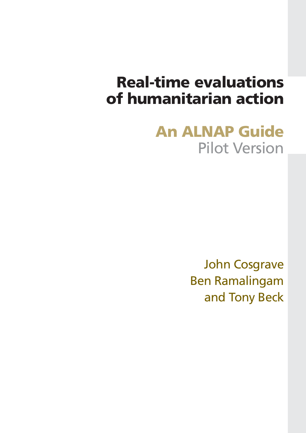# **Real-time evaluations of humanitarian action**

# **An ALNAP Guide** Pilot Version

John Cosgrave Ben Ramalingam and Tony Beck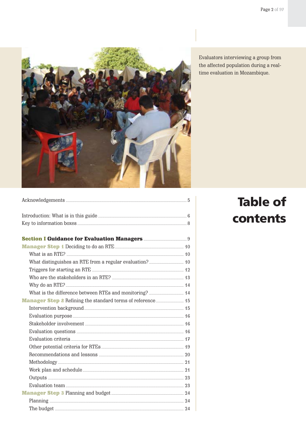

Evaluators interviewing a group from the affected population during a realtime evaluation in Mozambique.

# **Table of** contents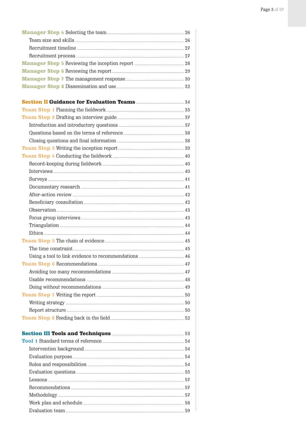| <b>Manager Step 8</b> Dissemination and use <b>Manager Step 8</b> Dissemination and use <b>Manager</b> 32 |  |
|-----------------------------------------------------------------------------------------------------------|--|
|                                                                                                           |  |
|                                                                                                           |  |
|                                                                                                           |  |
|                                                                                                           |  |
|                                                                                                           |  |
|                                                                                                           |  |
|                                                                                                           |  |
|                                                                                                           |  |
|                                                                                                           |  |
|                                                                                                           |  |
|                                                                                                           |  |
|                                                                                                           |  |
|                                                                                                           |  |
|                                                                                                           |  |
|                                                                                                           |  |
|                                                                                                           |  |
|                                                                                                           |  |
|                                                                                                           |  |
|                                                                                                           |  |
|                                                                                                           |  |
|                                                                                                           |  |
|                                                                                                           |  |
|                                                                                                           |  |
|                                                                                                           |  |
|                                                                                                           |  |
|                                                                                                           |  |
|                                                                                                           |  |
|                                                                                                           |  |
|                                                                                                           |  |
| <b>Section III Tools and Techniques <b>Election</b> 53</b>                                                |  |
|                                                                                                           |  |
|                                                                                                           |  |
|                                                                                                           |  |
|                                                                                                           |  |
|                                                                                                           |  |
|                                                                                                           |  |
|                                                                                                           |  |
|                                                                                                           |  |
|                                                                                                           |  |
|                                                                                                           |  |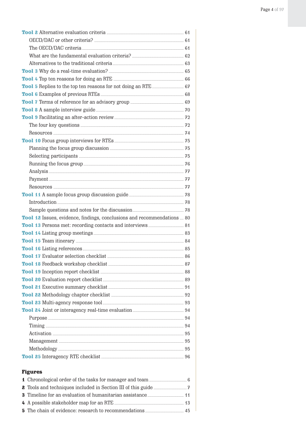| Tool 8 A sample interview guide <b>Example 20</b> 70                    |  |
|-------------------------------------------------------------------------|--|
|                                                                         |  |
|                                                                         |  |
|                                                                         |  |
|                                                                         |  |
|                                                                         |  |
|                                                                         |  |
|                                                                         |  |
|                                                                         |  |
|                                                                         |  |
|                                                                         |  |
|                                                                         |  |
|                                                                         |  |
|                                                                         |  |
| Tool 12 Issues, evidence, findings, conclusions and recommendations  80 |  |
|                                                                         |  |
|                                                                         |  |
|                                                                         |  |
|                                                                         |  |
|                                                                         |  |
|                                                                         |  |
|                                                                         |  |
|                                                                         |  |
|                                                                         |  |
|                                                                         |  |
|                                                                         |  |
|                                                                         |  |
|                                                                         |  |
|                                                                         |  |
|                                                                         |  |
|                                                                         |  |
|                                                                         |  |
|                                                                         |  |
|                                                                         |  |
| <b>Figures</b>                                                          |  |
|                                                                         |  |
|                                                                         |  |
|                                                                         |  |
|                                                                         |  |
|                                                                         |  |
|                                                                         |  |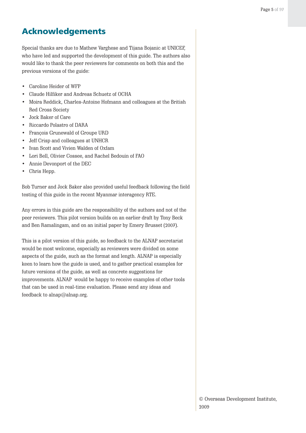## <span id="page-4-0"></span>**Acknowledgements**

Special thanks are due to Mathew Varghese and Tijana Bojanic at UNICEF, who have led and supported the development of this guide. The authors also would like to thank the peer reviewers for comments on both this and the previous versions of the guide:

- Caroline Heider of WFP
- Claude Hilfiker and Andreas Schuetz of OCHA
- Moira Reddick, Charles-Antoine Hofmann and colleagues at the British Red Cross Society
- Jock Baker of Care
- Riccardo Polastro of DARA
- François Grunewald of Groupe URD
- Jeff Crisp and colleagues at UNHCR
- Ivan Scott and Vivien Walden of Oxfam
- Lori Bell, Olivier Cossee, and Rachel Bedouin of FAO
- Annie Devonport of the DEC
- Chris Hepp.

Bob Turner and Jock Baker also provided useful feedback following the field testing of this guide in the recent Myanmar interagency RTE.

Any errors in this guide are the responsibility of the authors and not of the peer reviewers. This pilot version builds on an earlier draft by Tony Beck and Ben Ramalingam, and on an initial paper by Emery Brusset (2007).

This is a pilot version of this guide, so feedback to the ALNAP secretariat would be most welcome, especially as reviewers were divided on some aspects of the guide, such as the format and length. ALNAP is especially keen to learn how the guide is used, and to gather practical examples for future versions of the guide, as well as concrete suggestions for improvements. ALNAP would be happy to receive examples of other tools that can be used in real-time evaluation. Please send any ideas and feedback to alnap@alnap.org.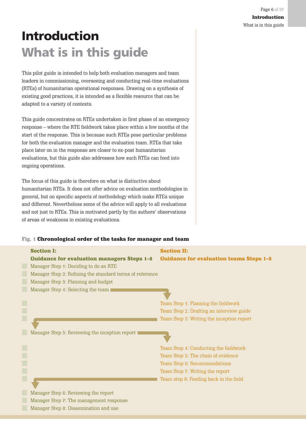# <span id="page-5-0"></span>**Introduction What is in this guide**

This pilot guide is intended to help both evaluation managers and team leaders in commissioning, overseeing and conducting real-time evaluations (RTEs) of humanitarian operational responses. Drawing on a synthesis of existing good practices, it is intended as a flexible resource that can be adapted to a variety of contexts.

This guide concentrates on RTEs undertaken in first phase of an emergency response – where the RTE fieldwork takes place within a few months of the start of the response. This is because such RTEs pose particular problems for both the evaluation manager and the evaluation team. RTEs that take place later on in the response are closer to ex-post humanitarian evaluations, but this guide also addresses how such RTEs can feed into ongoing operations.

The focus of this guide is therefore on what is distinctive about humanitarian RTEs. It does not offer advice on evaluation methodologies in general, but on specific aspects of methodology which make RTEs unique and different. Nevertheless some of the advice will apply to all evaluations and not just to RTEs. This is motivated partly by the authors' observations of areas of weakness in existing evaluations.

#### Fig. 1 Chronological order of the tasks for manager and team

| <b>Section I:</b><br><b>Guidance for evaluation managers Steps 1-8</b> | <b>Section II:</b><br><b>Guidance for evaluation teams Steps 1-8</b> |
|------------------------------------------------------------------------|----------------------------------------------------------------------|
| Manager Step 1: Deciding to do an RTE                                  |                                                                      |
| Manager Step 2: Refining the standard terms of reference               |                                                                      |
| Manager Step 3: Planning and budget                                    |                                                                      |
| Manager Step 4: Selecting the team                                     |                                                                      |
|                                                                        | Team Step 1: Planning the fieldwork                                  |
|                                                                        | Team Step 2: Drafting an interview guide                             |
|                                                                        | Team Step 3: Writing the inception report                            |
|                                                                        |                                                                      |
| Manager Step 5: Reviewing the inception report                         |                                                                      |
|                                                                        | Team Step 4: Conducting the fieldwork                                |
|                                                                        | Team Step 5: The chain of evidence                                   |
|                                                                        | Team Step 6: Recommendations                                         |
|                                                                        | Team Step 7: Writing the report                                      |
|                                                                        | Team step 8: Feeding back in the field                               |
| Manager Step 6: Reviewing the report                                   |                                                                      |
| Manager Step 7: The management response                                |                                                                      |
| Manager Step 8: Dissemination and use                                  |                                                                      |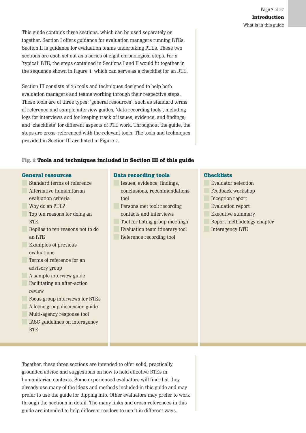This guide contains three sections, which can be used separately or together. Section I offers guidance for evaluation managers running RTEs. Section II is guidance for evaluation teams undertaking RTEs. These two sections are each set out as a series of eight chronological steps. For a 'typical' RTE, the steps contained in Sections I and II would fit together in the sequence shown in Figure 1, which can serve as a checklist for an RTE.

Section III consists of 25 tools and techniques designed to help both evaluation managers and teams working through their respective steps. These tools are of three types: 'general resources', such as standard terms of reference and sample interview guides; 'data recording tools', including logs for interviews and for keeping track of issues, evidence, and findings; and 'checklists' for different aspects of RTE work. Throughout the guide, the steps are cross-referenced with the relevant tools. The tools and techniques provided in Section III are listed in Figure 2.

#### Fig. 2 Tools and techniques included in Section III of this guide

#### General resources

Standard terms of reference **Alternative humanitarian** evaluation criteria Why do an RTE? Top ten reasons for doing an **RTE** Replies to ten reasons not to do an RTE Examples of previous evaluations Terms of reference for an advisory group A sample interview guide **Facilitating an after-action** review Focus group interviews for RTEs A focus group discussion guide Multi-agency response tool **IASC** guidelines on interagency

**RTE** 

#### Data recording tools

- Issues, evidence, findings, conclusions, recommendations tool
- Persons met tool: recording contacts and interviews
- Tool for listing group meetings Evaluation team itinerary tool Reference recording tool

## **Checklists**

Evaluator selection Feedback workshop Inception report Evaluation report Executive summary Report methodology chapter Interagency RTE

Together, these three sections are intended to offer solid, practically grounded advice and suggestions on how to hold effective RTEs in humanitarian contexts. Some experienced evaluators will find that they already use many of the ideas and methods included in this guide and may prefer to use the guide for dipping into. Other evaluators may prefer to work through the sections in detail. The many links and cross-references in this guide are intended to help different readers to use it in different ways.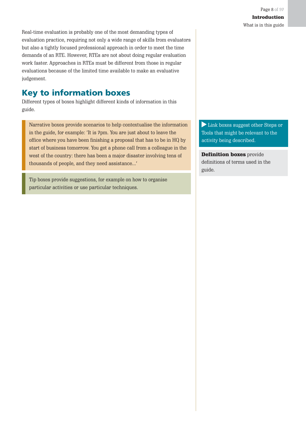<span id="page-7-0"></span>Real-time evaluation is probably one of the most demanding types of evaluation practice, requiring not only a wide range of skills from evaluators but also a tightly focused professional approach in order to meet the time demands of an RTE. However, RTEs are not about doing regular evaluation work faster. Approaches in RTEs must be different from those in regular evaluations because of the limited time available to make an evaluative judgement.

## **Key to information boxes**

Different types of boxes highlight different kinds of information in this guide.

Narrative boxes provide scenarios to help contextualise the information in the guide, for example: 'It is 7pm. You are just about to leave the office where you have been finishing a proposal that has to be in HQ by start of business tomorrow. You get a phone call from a colleague in the west of the country: there has been a major disaster involving tens of thousands of people, and they need assistance...'

Tip boxes provide suggestions, for example on how to organise particular activities or use particular techniques.

Link boxes suggest other Steps or Tools that might be relevant to the activity being described.

**Definition boxes** provide definitions of terms used in the guide.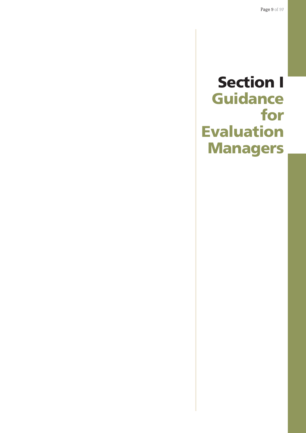# <span id="page-8-0"></span>**Section I Guidance for Evaluation Managers**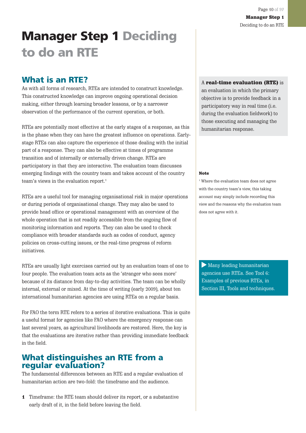# <span id="page-9-0"></span>**Manager Step 1 Deciding to do an RTE**

## **What is an RTE?**

As with all forms of research, RTEs are intended to construct knowledge. This constructed knowledge can improve ongoing operational decision making, either through learning broader lessons, or by a narrower observation of the performance of the current operation, or both.

RTEs are potentially most effective at the early stages of a response, as this is the phase when they can have the greatest influence on operations. Earlystage RTEs can also capture the experience of those dealing with the initial part of a response. They can also be effective at times of programme transition and of internally or externally driven change. RTEs are participatory in that they are interactive. The evaluation team discusses emerging findings with the country team and takes account of the country team's views in the evaluation report.<sup>1</sup>

RTEs are a useful tool for managing organisational risk in major operations or during periods of organisational change. They may also be used to provide head office or operational management with an overview of the whole operation that is not readily accessible from the ongoing flow of monitoring information and reports. They can also be used to check compliance with broader standards such as codes of conduct, agency policies on cross-cutting issues, or the real-time progress of reform initiatives.

RTEs are usually light exercises carried out by an evaluation team of one to four people. The evaluation team acts as the 'stranger who sees more' because of its distance from day-to-day activities. The team can be wholly internal, external or mixed. At the time of writing (early 2009), about ten international humanitarian agencies are using RTEs on a regular basis.

For FAO the term RTE refers to a series of iterative evaluations. This is quite a useful format for agencies like FAO where the emergency response can last several years, as agricultural livelihoods are restored. Here, the key is that the evaluations are iterative rather than providing immediate feedback in the field.

## **What distinguishes an RTE from a regular evaluation?**

The fundamental differences between an RTE and a regular evaluation of humanitarian action are two-fold: the timeframe and the audience.

1 Timeframe: the RTE team should deliver its report, or a substantive early draft of it, in the field before leaving the field.

#### A real-time evaluation (RTE) is

an evaluation in which the primary objective is to provide feedback in a participatory way in real time (i.e. during the evaluation fieldwork) to those executing and managing the humanitarian response.

#### Note

1 Where the evaluation team does not agree with the country team's view, this taking account may simply include recording this view and the reasons why the evaluation team does not agree with it.

Many leading humanitarian agencies use RTEs. See Tool 6: Examples of previous RTEs, in Section III, Tools and techniques.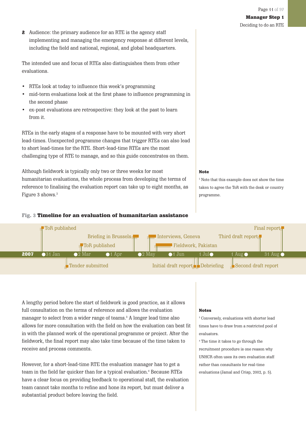2 Audience: the primary audience for an RTE is the agency staff implementing and managing the emergency response at different levels, including the field and national, regional, and global headquarters.

The intended use and focus of RTEs also distinguishes them from other evaluations.

- RTEs look at today to influence this week's programming
- mid-term evaluations look at the first phase to influence programming in the second phase
- ex-post evaluations are retrospective: they look at the past to learn from it.

RTEs in the early stages of a response have to be mounted with very short lead-times. Unexpected programme changes that trigger RTEs can also lead to short lead-times for the RTE. Short-lead-time RTEs are the most challenging type of RTE to manage, and so this guide concentrates on them.

Although fieldwork is typically only two or three weeks for most humanitarian evaluations, the whole process from developing the terms of reference to finalising the evaluation report can take up to eight months, as Figure 3 shows.<sup>2</sup>

#### Fig. 3 Timeline for an evaluation of humanitarian assistance



A lengthy period before the start of fieldwork is good practice, as it allows full consultation on the terms of reference and allows the evaluation manager to select from a wider range of teams.3 A longer lead time also allows for more consultation with the field on how the evaluation can best fit in with the planned work of the operational programme or project. After the fieldwork, the final report may also take time because of the time taken to receive and process comments.

However, for a short-lead-time RTE the evaluation manager has to get a team in the field far quicker than for a typical evaluation.4 Because RTEs have a clear focus on providing feedback to operational staff, the evaluation team cannot take months to refine and hone its report, but must deliver a substantial product before leaving the field.

#### Notes

3 Conversely, evaluations with shorter lead times have to draw from a restricted pool of evaluators.

4 The time it takes to go through the recruitment procedure is one reason why UNHCR often uses its own evaluation staff rather than consultants for real-time evaluations (Jamal and Crisp, 2002, p. 5).

Note

2 Note that this example does not show the time taken to agree the ToR with the desk or country programme.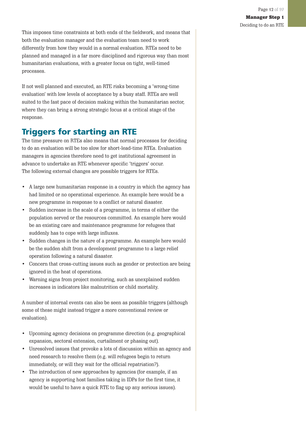Deciding to do an RTE

<span id="page-11-0"></span>This imposes time constraints at both ends of the fieldwork, and means that both the evaluation manager and the evaluation team need to work differently from how they would in a normal evaluation. RTEs need to be planned and managed in a far more disciplined and rigorous way than most humanitarian evaluations, with a greater focus on tight, well-timed processes.

If not well planned and executed, an RTE risks becoming a 'wrong-time evaluation' with low levels of acceptance by a busy staff. RTEs are well suited to the fast pace of decision making within the humanitarian sector, where they can bring a strong strategic focus at a critical stage of the response.

## **Triggers for starting an RTE**

The time pressure on RTEs also means that normal processes for deciding to do an evaluation will be too slow for short-lead-time RTEs. Evaluation managers in agencies therefore need to get institutional agreement in advance to undertake an RTE whenever specific 'triggers' occur. The following external changes are possible triggers for RTEs.

- A large new humanitarian response in a country in which the agency has had limited or no operational experience. An example here would be a new programme in response to a conflict or natural disaster.
- Sudden increase in the scale of a programme, in terms of either the population served or the resources committed. An example here would be an existing care and maintenance programme for refugees that suddenly has to cope with large influxes.
- Sudden changes in the nature of a programme. An example here would be the sudden shift from a development programme to a large relief operation following a natural disaster.
- Concern that cross-cutting issues such as gender or protection are being ignored in the heat of operations.
- Warning signs from project monitoring, such as unexplained sudden increases in indicators like malnutrition or child mortality.

A number of internal events can also be seen as possible triggers (although some of these might instead trigger a more conventional review or evaluation).

- Upcoming agency decisions on programme direction (e.g. geographical expansion, sectoral extension, curtailment or phasing out).
- Unresolved issues that provoke a lots of discussion within an agency and need research to resolve them (e.g. will refugees begin to return immediately, or will they wait for the official repatriation?).
- The introduction of new approaches by agencies (for example, if an agency is supporting host families taking in IDPs for the first time, it would be useful to have a quick RTE to flag up any serious issues).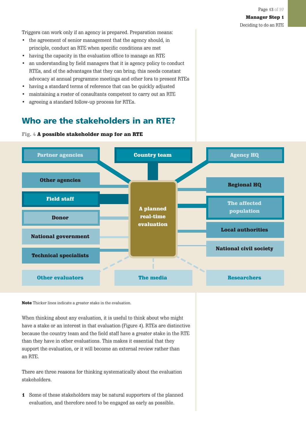<span id="page-12-0"></span>Triggers can work only if an agency is prepared. Preparation means:

- the agreement of senior management that the agency should, in principle, conduct an RTE when specific conditions are met
- having the capacity in the evaluation office to manage an RTE
- an understanding by field managers that it is agency policy to conduct RTEs, and of the advantages that they can bring; this needs constant advocacy at annual programme meetings and other fora to present RTEs
- having a standard terms of reference that can be quickly adjusted
- maintaining a roster of consultants competent to carry out an RTE
- agreeing a standard follow-up process for RTEs.

## **Who are the stakeholders in an RTE?**



Fig. 4 A possible stakeholder map for an RTE

Note Thicker lines indicate a greater stake in the evaluation.

When thinking about any evaluation, it is useful to think about who might have a stake or an interest in that evaluation (Figure 4). RTEs are distinctive because the country team and the field staff have a greater stake in the RTE than they have in other evaluations. This makes it essential that they support the evaluation, or it will become an external review rather than an RTE.

There are three reasons for thinking systematically about the evaluation stakeholders.

1 Some of these stakeholders may be natural supporters of the planned evaluation, and therefore need to be engaged as early as possible.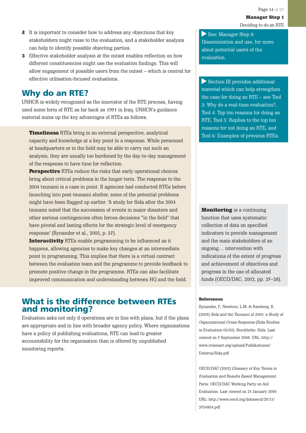- <span id="page-13-0"></span>2 It is important to consider how to address any objections that key stakeholders might raise to the evaluation, and a stakeholder analysis can help to identify possible objecting parties.
- 3 Effective stakeholder analysis at the outset enables reflection on how different constituencies might use the evaluation findings. This will allow engagement of possible users from the outset – which is central for effective utilisation-focused evaluations.

## **Why do an RTE?**

UNHCR is widely recognised as the innovator of the RTE process, having used some form of RTE as far back as 1991 in Iraq. UNHCR's guidance material sums up the key advantages of RTEs as follows.

Timeliness RTEs bring in an external perspective, analytical capacity and knowledge at a key point in a response. While personnel at headquarters or in the field may be able to carry out such an analysis, they are usually too burdened by the day-to-day management of the response to have time for reflection.

**Perspective** RTEs reduce the risks that early operational choices bring about critical problems in the longer term. The response to the 2004 tsunami is a case in point. If agencies had conducted RTEs before launching into post-tsunami shelter, some of the potential problems might have been flagged up earlier. 'A study for Sida after the 2004 tsunami noted that the succession of events in major disasters and other serious contingencies often forces decisions "in the field" that have pivotal and lasting effects for the strategic level of emergency response' (Bynander et al., 2005, p. 37).

Interactivity RTEs enable programming to be influenced as it happens, allowing agencies to make key changes at an intermediate point in programming. This implies that there is a virtual contract between the evaluation team and the programme to provide feedback to promote positive change in the programme. RTEs can also facilitate improved communication and understanding between HQ and the field.

## **What is the difference between RTEs and monitoring?**

Evaluation asks not only if operations are in line with plans, but if the plans are appropriate and in line with broader agency policy. Where organisations have a policy of publishing evaluations, RTE can lead to greater accountability for the organisation than is offered by unpublished monitoring reports.

See: Manager Step 8: Dissemination and use, for more about potential users of the evaluation.

Section III provides additional material which can help strengthen the case for doing an RTE – see Tool 3: Why do a real-time evaluation?, Tool 4: Top ten reasons for doing an RTE, Tool 5: Replies to the top ten reasons for not doing an RTE, and Tool 6: Examples of previous RTEs.

**Monitoring** is a continuing function that uses systematic collection of data on specified indicators to provide management and the main stakeholders of an ongoing… intervention with indications of the extent of progress and achievement of objectives and progress in the use of allocated funds (OECD/DAC, 2002, pp. 27–28).

#### **References**

Bynander, F., Newlove, L.M. & Ramberg, B. (2005) Sida and the Tsunami of 2004: a Study of Organizational Crisis Response (Sida Studies in Evaluation 05/02). Stockholm: Sida. Last viewed on 7 September 2008. URL: http:// www.crismart.org/upload/Publikationer/ Externa/Sida.pdf

OECD/DAC (2002) Glossary of Key Terms in Evaluation and Results Based Management. Paris: OECD/DAC Working Party on Aid Evaluation. Last viewed on 21 January 2009. URL: http://www.oecd.org/dataoecd/29/21/ 2754804.pdf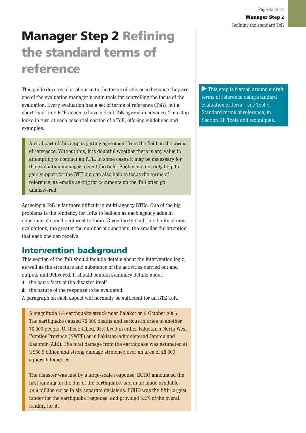# <span id="page-14-0"></span>**Manager Step 2 Refining the standard terms of reference**

This guide devotes a lot of space to the terms of reference because they are one of the evaluation manager's main tools for controlling the focus of the evaluation. Every evaluation has a set of terms of reference (ToR), but a short-lead-time RTE needs to have a draft ToR agreed in advance. This step looks in turn at each essential section of a ToR, offering guidelines and examples.

A vital part of this step is getting agreement from the field on the terms of reference. Without this, it is doubtful whether there is any value in attempting to conduct an RTE. In some cases it may be necessary for the evaluation manager to visit the field. Such visits not only help to gain support for the RTE but can also help to focus the terms of reference, as emails asking for comments on the ToR often go unanswered.

Agreeing a ToR is far more difficult in multi-agency RTEs. One of the big problems is the tendency for ToRs to balloon as each agency adds in questions of specific interest to them. Given the typical time limits of most evaluations, the greater the number of questions, the smaller the attention that each one can receive.

## **Intervention background**

This section of the ToR should include details about the intervention logic, as well as the structure and substance of the activities carried out and outputs and delivered. It should contain summary details about:

- 1 the basic facts of the disaster itself
- 2 the nature of the response to be evaluated.
- A paragraph on each aspect will normally be sufficient for an RTE ToR.

A magnitude 7.6 earthquake struck near Balakot on 8 October 2005. The earthquake caused 75,000 deaths and serious injuries to another 76,000 people. Of those killed, 98% lived in either Pakistan's North West Frontier Province (NWFP) or in Pakistan-administered Jammu and Kashmir (AJK). The total damage from the earthquake was estimated at US\$6.9 billion and strong damage stretched over an area of 28,000 square kilometres.

The disaster was met by a large-scale response. ECHO announced the first funding on the day of the earthquake, and in all made available 49.6 million euros in six separate decisions. ECHO was the fifth-largest funder for the earthquake response, and provided 5.2% of the overall funding for it.

This step is framed around a draft terms of reference using standard evaluation criteria – see Tool 1: Standard terms of reference, in Section III: Tools and techniques.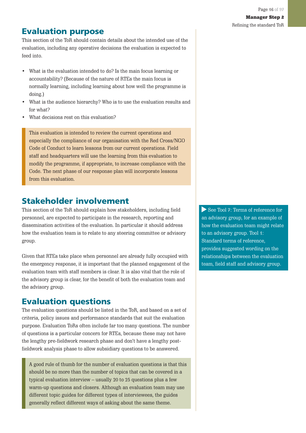Refining the standard ToR

## <span id="page-15-0"></span>**Evaluation purpose**

This section of the ToR should contain details about the intended use of the evaluation, including any operative decisions the evaluation is expected to feed into.

- What is the evaluation intended to do? Is the main focus learning or accountability? (Because of the nature of RTEs the main focus is normally learning, including learning about how well the programme is doing.)
- What is the audience hierarchy? Who is to use the evaluation results and for what?
- What decisions rest on this evaluation?

This evaluation is intended to review the current operations and especially the compliance of our organisation with the Red Cross/NGO Code of Conduct to learn lessons from our current operations. Field staff and headquarters will use the learning from this evaluation to modify the programme, if appropriate, to increase compliance with the Code. The next phase of our response plan will incorporate lessons from this evaluation.

## **Stakeholder involvement**

This section of the ToR should explain how stakeholders, including field personnel, are expected to participate in the research, reporting and dissemination activities of the evaluation. In particular it should address how the evaluation team is to relate to any steering committee or advisory group.

Given that RTEs take place when personnel are already fully occupied with the emergency response, it is important that the planned engagement of the evaluation team with staff members is clear. It is also vital that the role of the advisory group is clear, for the benefit of both the evaluation team and the advisory group.

## **Evaluation questions**

The evaluation questions should be listed in the ToR, and based on a set of criteria, policy issues and performance standards that suit the evaluation purpose. Evaluation ToRs often include far too many questions. The number of questions is a particular concern for RTEs, because these may not have the lengthy pre-fieldwork research phase and don't have a lengthy postfieldwork analysis phase to allow subsidiary questions to be answered.

A good rule of thumb for the number of evaluation questions is that this should be no more than the number of topics that can be covered in a typical evaluation interview – usually 20 to 25 questions plus a few warm-up questions and closers. Although an evaluation team may use different topic guides for different types of interviewees, the guides generally reflect different ways of asking about the same theme.

See Tool 7: Terms of reference for an advisory group, for an example of how the evaluation team might relate to an advisory group. Tool 1: Standard terms of reference, provides suggested wording on the relationships between the evaluation team, field staff and advisory group.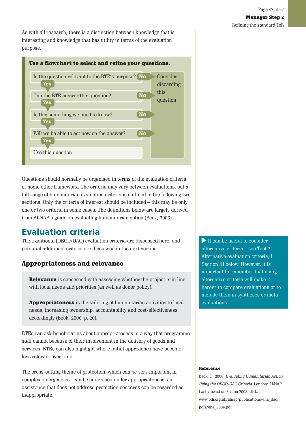Refining the standard ToR

<span id="page-16-0"></span>As with all research, there is a distinction between knowledge that is interesting and knowledge that has utility in terms of the evaluation purpose.



Questions should normally be organised in terms of the evaluation criteria or some other framework. The criteria may vary between evaluations, but a full range of humanitarian evaluation criteria is outlined in the following two sections. Only the criteria of interest should be included – this may be only one or two criteria in some cases. The definitions below are largely derived from ALNAP's guide on evaluating humanitarian action (Beck, 2006).

## **Evaluation criteria**

The traditional (OECD/DAC) evaluation criteria are discussed here, and potential additional criteria are discussed in the next section.

### Appropriateness and relevance

**Relevance** is concerned with assessing whether the project is in line with local needs and priorities (as well as donor policy).

Appropriateness is the tailoring of humanitarian activities to local needs, increasing ownership, accountability and cost-effectiveness accordingly (Beck, 2006, p. 20).

RTEs can ask beneficiaries about appropriateness in a way that programme staff cannot because of their involvement in the delivery of goods and services. RTEs can also highlight where initial approaches have become less relevant over time.

The cross-cutting theme of protection, which can be very important in complex emergencies, can be addressed under appropriateness, as assistance that does not address protection concerns can be regarded as inappropriate.

It can be useful to consider alternative criteria – see Tool 2: Alternative evaluation criteria, I Section III below. However, it is important to remember that using alternative criteria will make it harder to compare evaluations or to include them in syntheses or metaevaluations.

#### Reference

Beck, T. (2006) Evaluating Humanitarian Action Using the OECD-DAC Criteria. London: ALNAP. Last viewed on 8 June 2008. URL: www.odi.org.uk/alnap/publications/eha\_dac/ pdfs/eha\_2006.pdf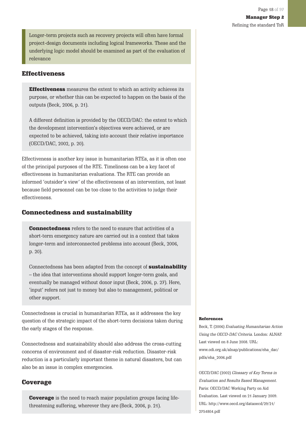Longer-term projects such as recovery projects will often have formal project-design documents including logical frameworks. These and the underlying logic model should be examined as part of the evaluation of relevance

### Effectiveness

**Effectiveness** measures the extent to which an activity achieves its purpose, or whether this can be expected to happen on the basis of the outputs (Beck, 2006, p. 21).

A different definition is provided by the OECD/DAC: the extent to which the development intervention's objectives were achieved, or are expected to be achieved, taking into account their relative importance (OECD/DAC, 2002, p. 20).

Effectiveness is another key issue in humanitarian RTEs, as it is often one of the principal purposes of the RTE. Timeliness can be a key facet of effectiveness in humanitarian evaluations. The RTE can provide an informed 'outsider's view' of the effectiveness of an intervention, not least because field personnel can be too close to the activities to judge their effectiveness.

### Connectedness and sustainability

**Connectedness** refers to the need to ensure that activities of a short-term emergency nature are carried out in a context that takes longer-term and interconnected problems into account (Beck, 2006, p. 20).

Connectedness has been adapted from the concept of sustainability – the idea that interventions should support longer-term goals, and eventually be managed without donor input (Beck, 2006, p. 27). Here, 'input' refers not just to money but also to management, political or other support.

Connectedness is crucial in humanitarian RTEs, as it addresses the key question of the strategic impact of the short-term decisions taken during the early stages of the response.

Connectedness and sustainability should also address the cross-cutting concerns of environment and of disaster-risk reduction. Disaster-risk reduction is a particularly important theme in natural disasters, but can also be an issue in complex emergencies.

#### Coverage

**Coverage** is the need to reach major population groups facing lifethreatening suffering, wherever they are (Beck, 2006, p. 21).

#### References

Beck, T. (2006) Evaluating Humanitarian Action Using the OECD-DAC Criteria. London: ALNAP. Last viewed on 8 June 2008. URL: www.odi.org.uk/alnap/publications/eha\_dac/ pdfs/eha\_2006.pdf

OECD/DAC (2002) Glossary of Key Terms in Evaluation and Results Based Management. Paris: OECD/DAC Working Party on Aid Evaluation. Last viewed on 21 January 2009. URL: http://www.oecd.org/dataoecd/29/21/ 2754804.pdf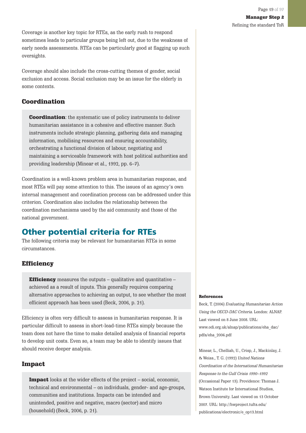<span id="page-18-0"></span>Coverage is another key topic for RTEs, as the early rush to respond sometimes leads to particular groups being left out, due to the weakness of early needs assessments. RTEs can be particularly good at flagging up such oversights.

Coverage should also include the cross-cutting themes of gender, social exclusion and access. Social exclusion may be an issue for the elderly in some contexts.

### Coordination

**Coordination:** the systematic use of policy instruments to deliver humanitarian assistance in a cohesive and effective manner. Such instruments include strategic planning, gathering data and managing information, mobilising resources and ensuring accountability, orchestrating a functional division of labour, negotiating and maintaining a serviceable framework with host political authorities and providing leadership (Minear et al., 1992, pp. 6–7).

Coordination is a well-known problem area in humanitarian response, and most RTEs will pay some attention to this. The issues of an agency's own internal management and coordination process can be addressed under this criterion. Coordination also includes the relationship between the coordination mechanisms used by the aid community and those of the national government.

## **Other potential criteria for RTEs**

The following criteria may be relevant for humanitarian RTEs in some circumstances.

### **Efficiency**

**Efficiency** measures the outputs  $-$  qualitative and quantitative  $$ achieved as a result of inputs. This generally requires comparing alternative approaches to achieving an output, to see whether the most efficient approach has been used (Beck, 2006, p. 21).

Efficiency is often very difficult to assess in humanitarian response. It is particular difficult to assess in short-lead-time RTEs simply because the team does not have the time to make detailed analysis of financial reports to develop unit costs. Even so, a team may be able to identify issues that should receive deeper analysis.

### Impact

Impact looks at the wider effects of the project – social, economic, technical and environmental – on individuals, gender- and age-groups, communities and institutions. Impacts can be intended and unintended, positive and negative, macro (sector) and micro (household) (Beck, 2006, p. 21).

#### References

Beck, T. (2006) Evaluating Humanitarian Action Using the OECD-DAC Criteria. London: ALNAP. Last viewed on 8 June 2008. URL: www.odi.org.uk/alnap/publications/eha\_dac/ pdfs/eha\_2006.pdf

Minear, L., Chelliah, U., Crisp, J., Mackinlay, J. & Weiss., T. G. (1992) United Nations Coordination of the International Humanitarian Response to the Gulf Crisis 1990–1992 (Occasional Paper 13). Providence: Thomas J. Watson Institute for International Studies, Brown University. Last viewed on 13 October 2007. URL: http://hwproject.tufts.edu/ publications/electronic/e\_op13.html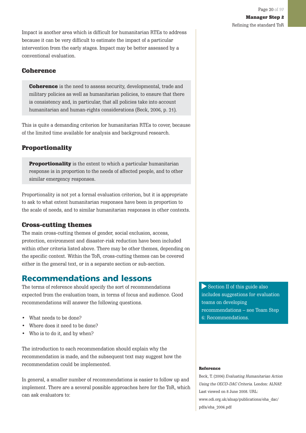Manager Step 2 Refining the standard ToR

<span id="page-19-0"></span>Impact is another area which is difficult for humanitarian RTEs to address because it can be very difficult to estimate the impact of a particular intervention from the early stages. Impact may be better assessed by a conventional evaluation.

### **Coherence**

**Coherence** is the need to assess security, developmental, trade and military policies as well as humanitarian policies, to ensure that there is consistency and, in particular, that all policies take into account humanitarian and human-rights considerations (Beck, 2006, p. 21).

This is quite a demanding criterion for humanitarian RTEs to cover, because of the limited time available for analysis and background research.

### **Proportionality**

**Proportionality** is the extent to which a particular humanitarian response is in proportion to the needs of affected people, and to other similar emergency responses.

Proportionality is not yet a formal evaluation criterion, but it is appropriate to ask to what extent humanitarian responses have been in proportion to the scale of needs, and to similar humanitarian responses in other contexts.

#### Cross-cutting themes

The main cross-cutting themes of gender, social exclusion, access, protection, environment and disaster-risk reduction have been included within other criteria listed above. There may be other themes, depending on the specific context. Within the ToR, cross-cutting themes can be covered either in the general text, or in a separate section or sub-section.

### **Recommendations and lessons**

The terms of reference should specify the sort of recommendations expected from the evaluation team, in terms of focus and audience. Good recommendations will answer the following questions.

- What needs to be done?
- Where does it need to be done?
- Who is to do it, and by when?

The introduction to each recommendation should explain why the recommendation is made, and the subsequent text may suggest how the recommendation could be implemented.

In general, a smaller number of recommendations is easier to follow up and implement. There are a several possible approaches here for the ToR, which can ask evaluators to:

Section II of this guide also includes suggestions for evaluation teams on developing recommendations – see Team Step 6: Recommendations.

#### Reference

Beck, T. (2006) Evaluating Humanitarian Action Using the OECD-DAC Criteria. London: ALNAP. Last viewed on 8 June 2008. URL: www.odi.org.uk/alnap/publications/eha\_dac/ pdfs/eha\_2006.pdf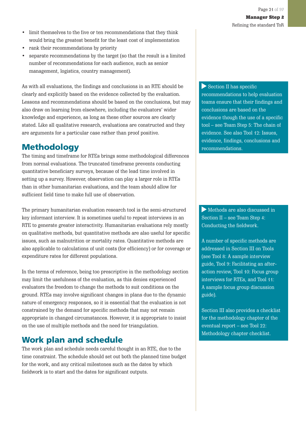- <span id="page-20-0"></span>• limit themselves to the five or ten recommendations that they think would bring the greatest benefit for the least cost of implementation
- rank their recommendations by priority
- separate recommendations by the target (so that the result is a limited number of recommendations for each audience, such as senior management, logistics, country management).

As with all evaluations, the findings and conclusions in an RTE should be clearly and explicitly based on the evidence collected by the evaluation. Lessons and recommendations should be based on the conclusions, but may also draw on learning from elsewhere, including the evaluators' wider knowledge and experience, as long as these other sources are clearly stated. Like all qualitative research, evaluations are constructed and they are arguments for a particular case rather than proof positive.

## **Methodology**

The timing and timeframe for RTEs brings some methodological differences from normal evaluations. The truncated timeframe prevents conducting quantitative beneficiary surveys, because of the lead time involved in setting up a survey. However, observation can play a larger role in RTEs than in other humanitarian evaluations, and the team should allow for sufficient field time to make full use of observation.

The primary humanitarian evaluation research tool is the semi-structured key informant interview. It is sometimes useful to repeat interviews in an RTE to generate greater interactivity. Humanitarian evaluations rely mostly on qualitative methods, but quantitative methods are also useful for specific issues, such as malnutrition or mortality rates. Quantitative methods are also applicable to calculations of unit costs (for efficiency) or for coverage or expenditure rates for different populations.

In the terms of reference, being too prescriptive in the methodology section may limit the usefulness of the evaluation, as this denies experienced evaluators the freedom to change the methods to suit conditions on the ground. RTEs may involve significant changes in plans due to the dynamic nature of emergency responses, so it is essential that the evaluation is not constrained by the demand for specific methods that may not remain appropriate in changed circumstances. However, it is appropriate to insist on the use of multiple methods and the need for triangulation.

## **Work plan and schedule**

The work plan and schedule needs careful thought in an RTE, due to the time constraint. The schedule should set out both the planned time budget for the work, and any critical milestones such as the dates by which fieldwork is to start and the dates for significant outputs.

Section II has specific recommendations to help evaluation teams ensure that their findings and conclusions are based on the evidence though the use of a specific tool – see Team Step 5: The chain of evidence. See also Tool 12: Issues, evidence, findings, conclusions and recommendations.

Methods are also discussed in Section II – see Team Step 4: Conducting the fieldwork.

A number of specific methods are addressed in Section III on Tools (see Tool 8: A sample interview guide, Tool 9: Facilitating an afteraction review, Tool 10: Focus group interviews for RTEs, and Tool 11: A sample focus group discussion guide).

Section III also provides a checklist for the methodology chapter of the eventual report – see Tool 22: Methodology chapter checklist.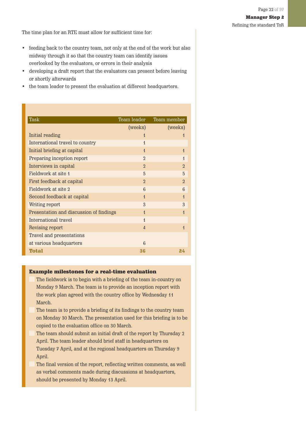<span id="page-21-0"></span>The time plan for an RTE must allow for sufficient time for:

- feeding back to the country team, not only at the end of the work but also midway through it so that the country team can identify issues overlooked by the evaluators, or errors in their analysis
- developing a draft report that the evaluators can present before leaving or shortly afterwards
- the team leader to present the evaluation at different headquarters.

| <b>Task</b>                             | Team leader    | Team member              |
|-----------------------------------------|----------------|--------------------------|
|                                         | (weeks)        | (weeks)                  |
| Initial reading                         | 1              | 1                        |
| International travel to country         | $\overline{1}$ |                          |
| Initial briefing at capital             | $\overline{1}$ | $\overline{1}$           |
| Preparing inception report              | $\mathfrak{D}$ | $\overline{1}$           |
| Interviews in capital                   | $\overline{2}$ | $\mathfrak{D}$           |
| Fieldwork at site 1                     | 5              | 5                        |
| First feedback at capital               | $\mathfrak{D}$ | $\mathfrak{D}$           |
| Fieldwork at site 2                     | 6              | 6                        |
| Second feedback at capital              | $\overline{1}$ | $\overline{\mathcal{L}}$ |
| Writing report                          | 3              | 3                        |
| Presentation and discussion of findings | $\overline{1}$ | $\overline{\mathcal{L}}$ |
| International travel                    | $\overline{1}$ |                          |
| Revising report                         | $\overline{4}$ | 1                        |
| Travel and presentations                |                |                          |
| at various headquarters                 | 6              |                          |
| Total                                   | 36             | 24                       |

#### Example milestones for a real-time evaluation

- The fieldwork is to begin with a briefing of the team in-country on Monday 9 March. The team is to provide an inception report with the work plan agreed with the country office by Wednesday 11 March.
- The team is to provide a briefing of its findings to the country team on Monday 30 March. The presentation used for this briefing is to be copied to the evaluation office on 30 March.
- The team should submit an initial draft of the report by Thursday 2 April. The team leader should brief staff in headquarters on Tuesday 7 April, and at the regional headquarters on Thursday 9 April.

The final version of the report, reflecting written comments, as well as verbal comments made during discussions at headquarters, should be presented by Monday 13 April.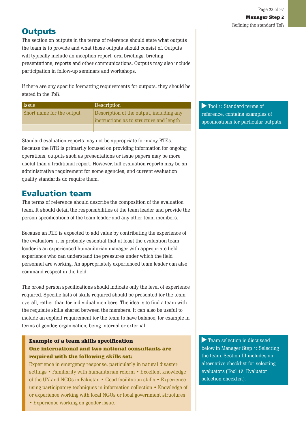## <span id="page-22-0"></span>**Outputs**

The section on outputs in the terms of reference should state what outputs the team is to provide and what those outputs should consist of. Outputs will typically include an inception report, oral briefings, briefing presentations, reports and other communications. Outputs may also include participation in follow-up seminars and workshops.

If there are any specific formatting requirements for outputs, they should be stated in the ToR.

| Issue                     | Description                              |
|---------------------------|------------------------------------------|
| Short name for the output | Description of the output, including any |
|                           | instructions as to structure and length  |
|                           |                                          |

Standard evaluation reports may not be appropriate for many RTEs. Because the RTE is primarily focused on providing information for ongoing operations, outputs such as presentations or issue papers may be more useful than a traditional report. However, full evaluation reports may be an administrative requirement for some agencies, and current evaluation quality standards do require them.

## **Evaluation team**

The terms of reference should describe the composition of the evaluation team. It should detail the responsibilities of the team leader and provide the person specifications of the team leader and any other team members.

Because an RTE is expected to add value by contributing the experience of the evaluators, it is probably essential that at least the evaluation team leader is an experienced humanitarian manager with appropriate field experience who can understand the pressures under which the field personnel are working. An appropriately experienced team leader can also command respect in the field.

The broad person specifications should indicate only the level of experience required. Specific lists of skills required should be presented for the team overall, rather than for individual members. The idea is to find a team with the requisite skills shared between the members. It can also be useful to include an explicit requirement for the team to have balance, for example in terms of gender, organisation, being internal or external.

### Example of a team skills specification One international and two national consultants are required with the following skills set:

Experience in emergency response, particularly in natural disaster settings • Familiarity with humanitarian reform • Excellent knowledge of the UN and NGOs in Pakistan • Good facilitation skills • Experience using participatory techniques in information collection • Knowledge of or experience working with local NGOs or local government structures

• Experience working on gender issue.

Tool 1: Standard terms of reference, contains examples of specifications for particular outputs.

Team selection is discussed below in Manager Step 4: Selecting the team. Section III includes an alternative checklist for selecting evaluators (Tool 17: Evaluator selection checklist).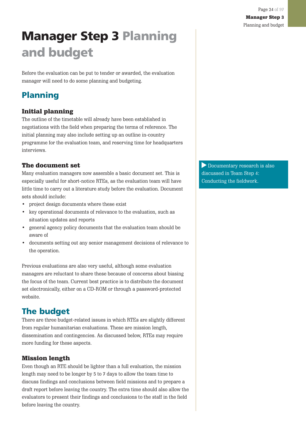# <span id="page-23-0"></span>**Manager Step 3 Planning and budget**

Before the evaluation can be put to tender or awarded, the evaluation manager will need to do some planning and budgeting.

## **Planning**

### Initial planning

The outline of the timetable will already have been established in negotiations with the field when preparing the terms of reference. The initial planning may also include setting up an outline in-country programme for the evaluation team, and reserving time for headquarters interviews.

### The document set

Many evaluation managers now assemble a basic document set. This is especially useful for short-notice RTEs, as the evaluation team will have little time to carry out a literature study before the evaluation. Document sets should include:

- project design documents where these exist
- key operational documents of relevance to the evaluation, such as situation updates and reports
- general agency policy documents that the evaluation team should be aware of
- documents setting out any senior management decisions of relevance to the operation.

Previous evaluations are also very useful, although some evaluation managers are reluctant to share these because of concerns about biasing the focus of the team. Current best practice is to distribute the document set electronically, either on a CD-ROM or through a password-protected website.

## **The budget**

There are three budget-related issues in which RTEs are slightly different from regular humanitarian evaluations. These are mission length, dissemination and contingencies. As discussed below, RTEs may require more funding for these aspects.

### Mission length

Even though an RTE should be lighter than a full evaluation, the mission length may need to be longer by 5 to 7 days to allow the team time to discuss findings and conclusions between field missions and to prepare a draft report before leaving the country. The extra time should also allow the evaluators to present their findings and conclusions to the staff in the field before leaving the country.

Documentary research is also discussed in Team Step 4: Conducting the fieldwork.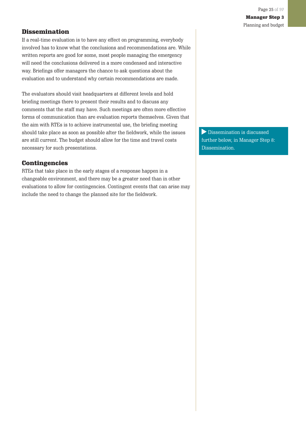### Dissemination

If a real-time evaluation is to have any effect on programming, everybody involved has to know what the conclusions and recommendations are. While written reports are good for some, most people managing the emergency will need the conclusions delivered in a more condensed and interactive way. Briefings offer managers the chance to ask questions about the evaluation and to understand why certain recommendations are made.

The evaluators should visit headquarters at different levels and hold briefing meetings there to present their results and to discuss any comments that the staff may have. Such meetings are often more effective forms of communication than are evaluation reports themselves. Given that the aim with RTEs is to achieve instrumental use, the briefing meeting should take place as soon as possible after the fieldwork, while the issues are still current. The budget should allow for the time and travel costs necessary for such presentations.

### **Contingencies**

RTEs that take place in the early stages of a response happen in a changeable environment, and there may be a greater need than in other evaluations to allow for contingencies. Contingent events that can arise may include the need to change the planned site for the fieldwork.

Dissemination is discussed further below, in Manager Step 8: Dissemination.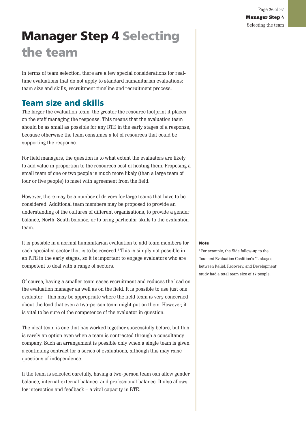Manager Step 4 Selecting the team

Page 26 of 97

# <span id="page-25-0"></span>**Manager Step 4 Selecting the team**

In terms of team selection, there are a few special considerations for realtime evaluations that do not apply to standard humanitarian evaluations: team size and skills, recruitment timeline and recruitment process.

## **Team size and skills**

The larger the evaluation team, the greater the resource footprint it places on the staff managing the response. This means that the evaluation team should be as small as possible for any RTE in the early stages of a response, because otherwise the team consumes a lot of resources that could be supporting the response.

For field managers, the question is to what extent the evaluators are likely to add value in proportion to the resources cost of hosting them. Proposing a small team of one or two people is much more likely (than a large team of four or five people) to meet with agreement from the field.

However, there may be a number of drivers for large teams that have to be considered. Additional team members may be proposed to provide an understanding of the cultures of different organisations, to provide a gender balance, North–South balance, or to bring particular skills to the evaluation team.

It is possible in a normal humanitarian evaluation to add team members for each specialist sector that is to be covered.<sup>4</sup> This is simply not possible in an RTE in the early stages, so it is important to engage evaluators who are competent to deal with a range of sectors.

Of course, having a smaller team eases recruitment and reduces the load on the evaluation manager as well as on the field. It is possible to use just one evaluator – this may be appropriate where the field team is very concerned about the load that even a two-person team might put on them. However, it is vital to be sure of the competence of the evaluator in question.

The ideal team is one that has worked together successfully before, but this is rarely an option even when a team is contracted through a consultancy company. Such an arrangement is possible only when a single team is given a continuing contract for a series of evaluations, although this may raise questions of independence.

If the team is selected carefully, having a two-person team can allow gender balance, internal-external balance, and professional balance. It also allows for interaction and feedback – a vital capacity in RTE.

#### Note

1 For example, the Sida follow-up to the Tsunami Evaluation Coalition's 'Linkages between Relief, Recovery, and Development' study had a total team size of 17 people.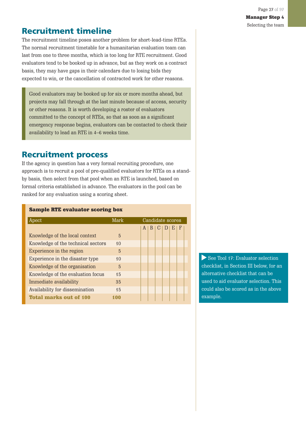## <span id="page-26-0"></span>**Recruitment timeline**

The recruitment timeline poses another problem for short-lead-time RTEs. The normal recruitment timetable for a humanitarian evaluation team can last from one to three months, which is too long for RTE recruitment. Good evaluators tend to be booked up in advance, but as they work on a contract basis, they may have gaps in their calendars due to losing bids they expected to win, or the cancellation of contracted work for other reasons.

Good evaluators may be booked up for six or more months ahead, but projects may fall through at the last minute because of access, security or other reasons. It is worth developing a roster of evaluators committed to the concept of RTEs, so that as soon as a significant emergency response begins, evaluators can be contacted to check their availability to lead an RTE in 4–6 weeks time.

## **Recruitment process**

If the agency in question has a very formal recruiting procedure, one approach is to recruit a pool of pre-qualified evaluators for RTEs on a standby basis, then select from that pool when an RTE is launched, based on formal criteria established in advance. The evaluators in the pool can be ranked for any evaluation using a scoring sheet.

#### Sample RTE evaluator scoring box

| Apect                              | Mark | Candidate scores |   |          |    |  |
|------------------------------------|------|------------------|---|----------|----|--|
|                                    |      | A                | B | <b>U</b> | н. |  |
| Knowledge of the local context     | 5    |                  |   |          |    |  |
| Knowledge of the technical sectors | 10   |                  |   |          |    |  |
| Experience in the region           | 5    |                  |   |          |    |  |
| Experience in the disaster type    | 10   |                  |   |          |    |  |
| Knowledge of the organisation      | 5    |                  |   |          |    |  |
| Knowledge of the evaluation focus  | 15   |                  |   |          |    |  |
| Immediate availability             | 35   |                  |   |          |    |  |
| Availability for dissemination     | 15   |                  |   |          |    |  |
| <b>Total marks out of 100</b>      | 100  |                  |   |          |    |  |

See Tool 17: Evaluator selection checklist, in Section III below, for an alternative checklist that can be used to aid evaluator selection. This could also be scored as in the above example.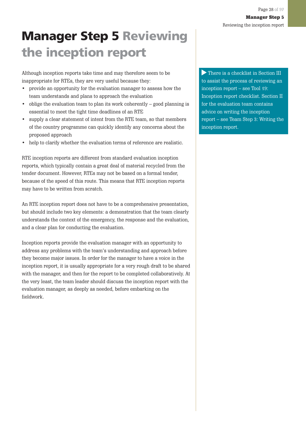# <span id="page-27-0"></span>**Manager Step 5 Reviewing the inception report**

Although inception reports take time and may therefore seem to be inappropriate for RTEs, they are very useful because they:

- provide an opportunity for the evaluation manager to assess how the team understands and plans to approach the evaluation
- oblige the evaluation team to plan its work coherently good planning is essential to meet the tight time deadlines of an RTE
- supply a clear statement of intent from the RTE team, so that members of the country programme can quickly identify any concerns about the proposed approach
- help to clarify whether the evaluation terms of reference are realistic.

RTE inception reports are different from standard evaluation inception reports, which typically contain a great deal of material recycled from the tender document. However, RTEs may not be based on a formal tender, because of the speed of this route. This means that RTE inception reports may have to be written from scratch.

An RTE inception report does not have to be a comprehensive presentation, but should include two key elements: a demonstration that the team clearly understands the context of the emergency, the response and the evaluation, and a clear plan for conducting the evaluation.

Inception reports provide the evaluation manager with an opportunity to address any problems with the team's understanding and approach before they become major issues. In order for the manager to have a voice in the inception report, it is usually appropriate for a very rough draft to be shared with the manager, and then for the report to be completed collaboratively. At the very least, the team leader should discuss the inception report with the evaluation manager, as deeply as needed, before embarking on the fieldwork.

There is a checklist in Section III to assist the process of reviewing an inception report – see Tool 19: Inception report checklist. Section II for the evaluation team contains advice on writing the inception report – see Team Step 3: Writing the inception report.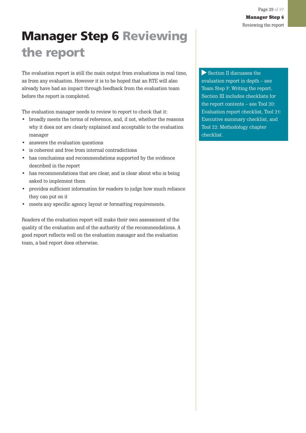# <span id="page-28-0"></span>**Manager Step 6 Reviewing the report**

The evaluation report is still the main output from evaluations in real time, as from any evaluation. However it is to be hoped that an RTE will also already have had an impact through feedback from the evaluation team before the report is completed.

The evaluation manager needs to review to report to check that it:

- broadly meets the terms of reference, and, if not, whether the reasons why it does not are clearly explained and acceptable to the evaluation manager
- answers the evaluation questions
- is coherent and free from internal contradictions
- has conclusions and recommendations supported by the evidence described in the report
- has recommendations that are clear, and is clear about who is being asked to implement them
- provides sufficient information for readers to judge how much reliance they can put on it
- meets any specific agency layout or formatting requirements.

Readers of the evaluation report will make their own assessment of the quality of the evaluation and of the authority of the recommendations. A good report reflects well on the evaluation manager and the evaluation team, a bad report does otherwise.

Section II discusses the evaluation report in depth – see Team Step 7: Writing the report. Section III includes checklists for the report contents – see Tool 20: Evaluation report checklist, Tool 21: Executive summary checklist, and Tool 22: Methodology chapter checklist.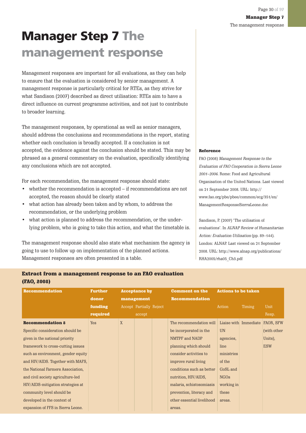# <span id="page-29-0"></span>**Manager Step 7 The management response**

Management responses are important for all evaluations, as they can help to ensure that the evaluation is considered by senior management. A management response is particularly critical for RTEs, as they strive for what Sandison (2007) described as direct utilisation: RTEs aim to have a direct influence on current programme activities, and not just to contribute to broader learning.

The management responses, by operational as well as senior managers, should address the conclusions and recommendations in the report, stating whether each conclusion is broadly accepted. If a conclusion is not accepted, the evidence against the conclusion should be stated. This may be phrased as a general commentary on the evaluation, specifically identifying any conclusions which are not accepted.

For each recommendation, the management response should state:

- whether the recommendation is accepted if recommendations are not accepted, the reason should be clearly stated
- what action has already been taken and by whom, to address the recommendation, or the underlying problem
- what action is planned to address the recommendation, or the underlying problem, who is going to take this action, and what the timetable is.

The management response should also state what mechanism the agency is going to use to follow up on implementation of the planned actions. Management responses are often presented in a table.

#### Reference

FAO (2008) Management Response to the Evaluation of FAO Cooperation in Sierra Leone 2001–2006. Rome: Food and Agricultural Organisation of the United Nations. Last viewed on 21 September 2008. URL: http:// www.fao.org/pbe/pbee/common/ecg/351/en/ ManagementResponseSierraLeone.doc

Sandison, P. (2007) 'The utilisation of evaluations'. In ALNAP Review of Humanitarian Action: Evaluation Utilisation (pp. 89–144). London: ALNAP. Last viewed on 21 September 2008. URL: http://www.alnap.org/publications/ RHA2005/rha05\_Ch3.pdf

| Extract from a management response to an FAO evaluation |  |  |
|---------------------------------------------------------|--|--|
| (FAO, 2008)                                             |  |  |

| <b>Recommendation</b>              | <b>Further</b> | <b>Acceptance by</b> |                                | <b>Comment on the</b> | <b>Actions to be taken</b> |             |                       |                  |
|------------------------------------|----------------|----------------------|--------------------------------|-----------------------|----------------------------|-------------|-----------------------|------------------|
|                                    | donor          |                      | management                     |                       | <b>Recommendation</b>      |             |                       |                  |
|                                    | funding        |                      | <b>Accept Partially Reject</b> |                       |                            | Action      | Timing                | Unit             |
|                                    | required       |                      | accept                         |                       |                            |             |                       | Resp.            |
| <b>Recommendation 8</b>            | Yes            | $\overline{X}$       |                                |                       | The recommendation will    |             | Liaise with Immediate | <b>FAOR, SFW</b> |
| Specific consideration should be   |                |                      |                                |                       | be incorporated in the     | <b>UN</b>   |                       | (with other      |
| given in the national priority     |                |                      |                                |                       | NMTPF and NADP             | agencies,   |                       | Units),          |
| framework to cross-cutting issues  |                |                      |                                |                       | planning which should      | line        |                       | <b>ESW</b>       |
| such as environment, gender equity |                |                      |                                |                       | consider activities to     | ministries  |                       |                  |
| and HIV/AIDS. Together with MAFS,  |                |                      |                                |                       | improve rural living       | of the      |                       |                  |
| the National Farmers Association,  |                |                      |                                |                       | conditions such as better  | GoSL and    |                       |                  |
| and civil society agriculture-led  |                |                      |                                |                       | nutrition, HIV/AIDS,       | <b>NGOs</b> |                       |                  |
| HIV/AIDS-mitigation strategies at  |                |                      |                                |                       | malaria, schistosomiasis   | working in  |                       |                  |
| community level should be          |                |                      |                                |                       | prevention, literacy and   | these       |                       |                  |
| developed in the context of        |                |                      |                                |                       | other essential livelihood | areas.      |                       |                  |
| expansion of FFS in Sierra Leone.  |                |                      |                                |                       | areas.                     |             |                       |                  |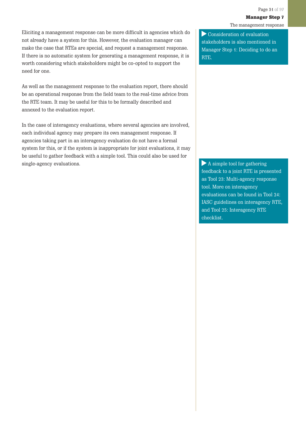Eliciting a management response can be more difficult in agencies which do not already have a system for this. However, the evaluation manager can make the case that RTEs are special, and request a management response. If there is no automatic system for generating a management response, it is worth considering which stakeholders might be co-opted to support the need for one.

As well as the management response to the evaluation report, there should be an operational response from the field team to the real-time advice from the RTE team. It may be useful for this to be formally described and annexed to the evaluation report.

In the case of interagency evaluations, where several agencies are involved, each individual agency may prepare its own management response. If agencies taking part in an interagency evaluation do not have a formal system for this, or if the system is inappropriate for joint evaluations, it may be useful to gather feedback with a simple tool. This could also be used for single-agency evaluations.

Consideration of evaluation stakeholders is also mentioned in Manager Step 1: Deciding to do an RTE.

A simple tool for gathering feedback to a joint RTE is presented as Tool 23: Multi-agency response tool. More on interagency evaluations can be found in Tool 24: IASC guidelines on interagency RTE, and Tool 25: Interagency RTE checklist.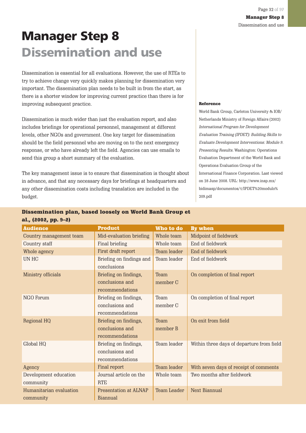# <span id="page-31-0"></span>**Manager Step 8 Dissemination and use**

Dissemination is essential for all evaluations. However, the use of RTEs to try to achieve change very quickly makes planning for dissemination very important. The dissemination plan needs to be built in from the start, as there is a shorter window for improving current practice than there is for improving subsequent practice.

Dissemination is much wider than just the evaluation report, and also includes briefings for operational personnel, management at different levels, other NGOs and government. One key target for dissemination should be the field personnel who are moving on to the next emergency response, or who have already left the field. Agencies can use emails to send this group a short summary of the evaluation.

The key management issue is to ensure that dissemination is thought about in advance, and that any necessary days for briefings at headquarters and any other dissemination costs including translation are included in the budget.

#### Reference

World Bank Group, Carleton University & IOB/ Netherlands Ministry of Foreign Affairs (2002) International Program for Development Evaluation Training (IPDET): Building Skills to Evaluate Development Interventions: Module 9. Presenting Results. Washington: Operations Evaluation Department of the World Bank and Operations Evaluation Group of the International Finance Corporation. Last viewed on 28 June 2008. URL: http://www.insp.mx/ bidimasp/documentos/1/IPDET%20modulo% 209.pdf

| Dissemination plan, based loosely on World Bank Group et |  |  |  |  |
|----------------------------------------------------------|--|--|--|--|
| al., (2002, pp. 9–2)                                     |  |  |  |  |

| <b>Audience</b>                      | <b>Product</b>                                              | Who to do          | By when                                   |
|--------------------------------------|-------------------------------------------------------------|--------------------|-------------------------------------------|
| Country management team              | Mid-evaluation briefing                                     | Whole team         | Midpoint of fieldwork                     |
| Country staff                        | Final briefing                                              | Whole team         | End of fieldwork                          |
| Whole agency                         | First draft report                                          | Team leader        | End of fieldwork                          |
| <b>UN HC</b>                         | Briefing on findings and<br>conclusions                     | Team leader        | End of fieldwork                          |
| Ministry officials                   | Briefing on findings,<br>conclusions and<br>recommendations | Team<br>member C   | On completion of final report             |
| NGO Forum                            | Briefing on findings,<br>conclusions and<br>recommendations | Team<br>member C   | On completion of final report             |
| <b>Regional HQ</b>                   | Briefing on findings,<br>conclusions and<br>recommendations | Team<br>member B   | On exit from field                        |
| Global HQ                            | Briefing on findings,<br>conclusions and<br>recommendations | Team leader        | Within three days of departure from field |
| Agency                               | Final report                                                | Team leader        | With seven days of receipt of comments    |
| Development education<br>community   | Journal article on the<br><b>RTE</b>                        | Whole team         | Two months after fieldwork                |
| Humanitarian evaluation<br>community | <b>Presentation at ALNAP</b><br><b>Biannual</b>             | <b>Team Leader</b> | <b>Next Biannual</b>                      |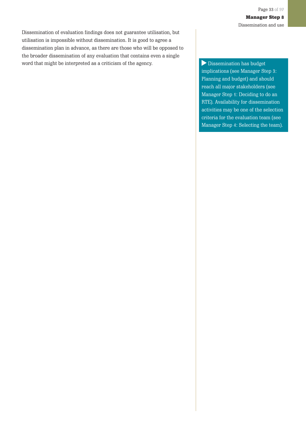Dissemination of evaluation findings does not guarantee utilisation, but utilisation is impossible without dissemination. It is good to agree a dissemination plan in advance, as there are those who will be opposed to the broader dissemination of any evaluation that contains even a single word that might be interpreted as a criticism of the agency.  $\Box$  Dissemination has budget

implications (see Manager Step 3: Planning and budget) and should reach all major stakeholders (see Manager Step 1: Deciding to do an RTE). Availability for dissemination activities may be one of the selection criteria for the evaluation team (see Manager Step 4: Selecting the team).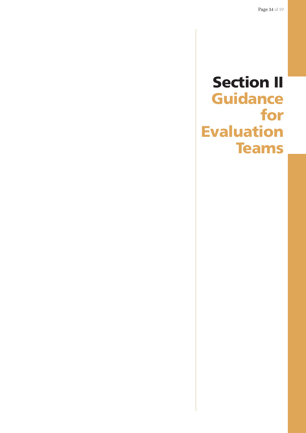# <span id="page-33-0"></span>**Section II Guidance for Evaluation Teams**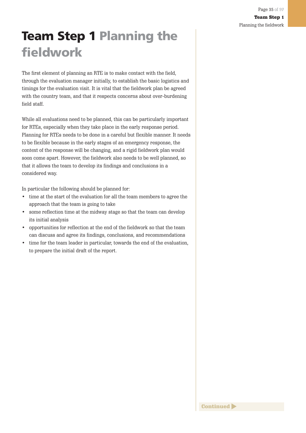# <span id="page-34-0"></span>**Team Step 1 Planning the fieldwork**

The first element of planning an RTE is to make contact with the field, through the evaluation manager initially, to establish the basic logistics and timings for the evaluation visit. It is vital that the fieldwork plan be agreed with the country team, and that it respects concerns about over-burdening field staff.

While all evaluations need to be planned, this can be particularly important for RTEs, especially when they take place in the early response period. Planning for RTEs needs to be done in a careful but flexible manner. It needs to be flexible because in the early stages of an emergency response, the context of the response will be changing, and a rigid fieldwork plan would soon come apart. However, the fieldwork also needs to be well planned, so that it allows the team to develop its findings and conclusions in a considered way.

In particular the following should be planned for:

- time at the start of the evaluation for all the team members to agree the approach that the team is going to take
- some reflection time at the midway stage so that the team can develop its initial analysis
- opportunities for reflection at the end of the fieldwork so that the team can discuss and agree its findings, conclusions, and recommendations
- time for the team leader in particular, towards the end of the evaluation, to prepare the initial draft of the report.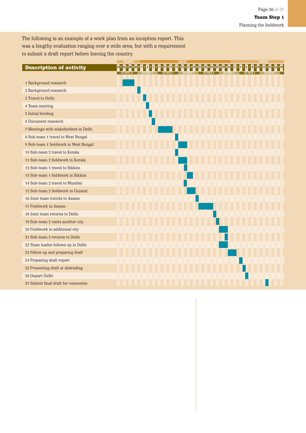The following is an example of a work plan from an inception report. This was a lengthy evaluation ranging over a wide area, but with a requirement to submit a draft report before leaving the country.

|                                       |  | JANUARY                                                                      |  |                                |
|---------------------------------------|--|------------------------------------------------------------------------------|--|--------------------------------|
| <b>Description of activity</b>        |  | 2425262728293031112345678910111213141516171810202122232425262728293031123456 |  | 8 9 10 11 12 13 14 15 16 17 18 |
|                                       |  |                                                                              |  |                                |
| 1 Background research                 |  |                                                                              |  |                                |
| 2 Background research                 |  |                                                                              |  |                                |
| 3 Travel to Delhi                     |  |                                                                              |  |                                |
| 4 Team meeting                        |  |                                                                              |  |                                |
| 5 Initial briefing                    |  |                                                                              |  |                                |
| 6 Document research                   |  |                                                                              |  |                                |
| 7 Meetings with stakeholders in Delhi |  |                                                                              |  |                                |
| 8 Sub-team 1 travel to West Bengal    |  |                                                                              |  |                                |
| 9 Sub-team 1 fieldwork in West Bengal |  |                                                                              |  |                                |
| 10 Sub-team 2 travel to Kerala        |  |                                                                              |  |                                |
| 11 Sub-team 2 fieldwork in Kerala     |  |                                                                              |  |                                |
| 12 Sub-team 1 travel to Sikkim        |  |                                                                              |  |                                |
| 13 Sub-team 1 fieldwork in Sikkim     |  |                                                                              |  |                                |
| 14 Sub-team 2 travel to Mumbai        |  |                                                                              |  |                                |
| 15 Sub-team 2 fieldwork in Gujarat    |  |                                                                              |  |                                |
| 16 Joint team travels to Assam        |  |                                                                              |  |                                |
| 17 Fieldwork in Assam                 |  |                                                                              |  |                                |
| 18 Joint team returns to Delhi        |  |                                                                              |  |                                |
| 19 Sub-team 2 visits another city     |  |                                                                              |  |                                |
| 20 Fieldwork in additional city       |  |                                                                              |  |                                |
| 21 Sub-team 2 returns to Delhi        |  |                                                                              |  |                                |
| 22 Team leader follows up in Delhi    |  |                                                                              |  |                                |
| 23 Follow up and preparing draft      |  |                                                                              |  |                                |
| 24 Preparing draft report             |  |                                                                              |  |                                |
| 25 Presenting draft at debriefing     |  |                                                                              |  |                                |
| 26 Depart Delhi                       |  |                                                                              |  |                                |
| 27 Submit final draft for comments    |  |                                                                              |  |                                |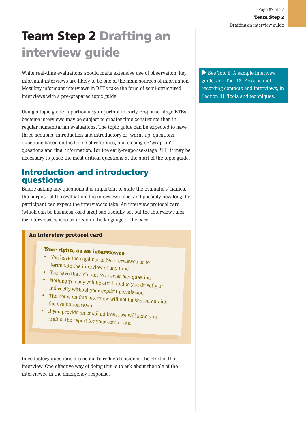# **Team Step 2 Drafting an interview guide**

While real-time evaluations should make extensive use of observation, key informant interviews are likely to be one of the main sources of information. Most key informant interviews in RTEs take the form of semi-structured interviews with a pre-prepared topic guide.

Using a topic guide is particularly important in early-response-stage RTEs because interviews may be subject to greater time constraints than in regular humanitarian evaluations. The topic guide can be expected to have three sections: introduction and introductory or 'warm-up' questions, questions based on the terms of reference, and closing or 'wrap-up' questions and final information. For the early-response-stage RTE, it may be necessary to place the most critical questions at the start of the topic guide.

## **Introduction and introductory questions**

Before asking any questions it is important to state the evaluators' names, the purpose of the evaluation, the interview rules, and possibly how long the participant can expect the interview to take. An interview protocol card (which can be business-card size) can usefully set out the interview rules for interviewees who can read in the language of the card.

#### An interview protocol card

- Your rights as an interviewee
- $\bullet$  You have the right not to be interviewed or to terminate the interview at any time
- You have the right not to answer any question
- Nothing you say will be attributed to you directly or indirectly without your explicit permission
- The notes on this interview will not be shared outside the evaluation team
- If you provide an email address, we will send you dust of the  $\cdot$ draft of the report for your comments.

Introductory questions are useful to reduce tension at the start of the interview. One effective way of doing this is to ask about the role of the interviewee in the emergency response.

See Tool 8: A sample interview guide, and Tool 13: Persons met – recording contacts and interviews, in Section III: Tools and techniques.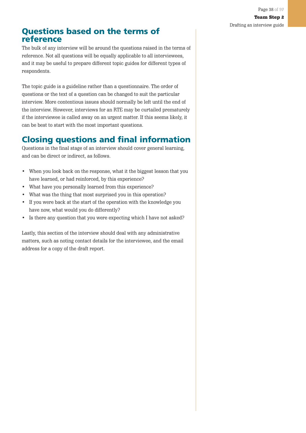## **Questions based on the terms of reference**

The bulk of any interview will be around the questions raised in the terms of reference. Not all questions will be equally applicable to all interviewees, and it may be useful to prepare different topic guides for different types of respondents.

The topic guide is a guideline rather than a questionnaire. The order of questions or the text of a question can be changed to suit the particular interview. More contentious issues should normally be left until the end of the interview. However, interviews for an RTE may be curtailed prematurely if the interviewee is called away on an urgent matter. If this seems likely, it can be best to start with the most important questions.

# **Closing questions and final information**

Questions in the final stage of an interview should cover general learning, and can be direct or indirect, as follows.

- When you look back on the response, what it the biggest lesson that you have learned, or had reinforced, by this experience?
- What have you personally learned from this experience?
- What was the thing that most surprised you in this operation?
- If you were back at the start of the operation with the knowledge you have now, what would you do differently?
- Is there any question that you were expecting which I have not asked?

Lastly, this section of the interview should deal with any administrative matters, such as noting contact details for the interviewee, and the email address for a copy of the draft report.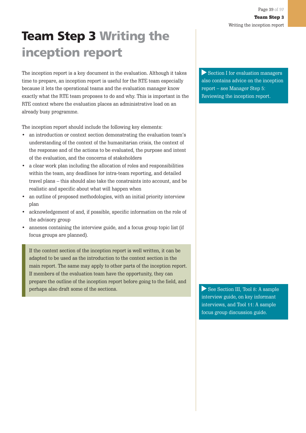# **Team Step 3 Writing the inception report**

The inception report is a key document in the evaluation. Although it takes time to prepare, an inception report is useful for the RTE team especially because it lets the operational teams and the evaluation manager know exactly what the RTE team proposes to do and why. This is important in the RTE context where the evaluation places an administrative load on an already busy programme.

The inception report should include the following key elements:

- an introduction or context section demonstrating the evaluation team's understanding of the context of the humanitarian crisis, the context of the response and of the actions to be evaluated, the purpose and intent of the evaluation, and the concerns of stakeholders
- a clear work plan including the allocation of roles and responsibilities within the team, any deadlines for intra-team reporting, and detailed travel plans – this should also take the constraints into account, and be realistic and specific about what will happen when
- an outline of proposed methodologies, with an initial priority interview plan
- acknowledgement of and, if possible, specific information on the role of the advisory group
- annexes containing the interview guide, and a focus group topic list (if focus groups are planned).

If the context section of the inception report is well written, it can be adapted to be used as the introduction to the context section in the main report. The same may apply to other parts of the inception report. If members of the evaluation team have the opportunity, they can prepare the outline of the inception report before going to the field, and perhaps also draft some of the sections.

Section I for evaluation managers also contains advice on the inception report – see Manager Step 5: Reviewing the inception report.

See Section III, Tool 8: A sample interview guide, on key informant interviews, and Tool 11: A sample focus group discussion guide.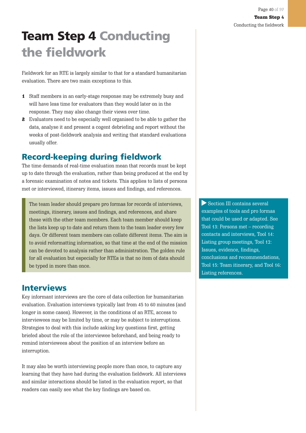# **Team Step 4 Conducting the fieldwork**

Fieldwork for an RTE is largely similar to that for a standard humanitarian evaluation. There are two main exceptions to this.

- 1 Staff members in an early-stage response may be extremely busy and will have less time for evaluators than they would later on in the response. They may also change their views over time.
- 2 Evaluators need to be especially well organised to be able to gather the data, analyse it and present a cogent debriefing and report without the weeks of post-fieldwork analysis and writing that standard evaluations usually offer.

## **Record-keeping during fieldwork**

The time demands of real-time evaluation mean that records must be kept up to date through the evaluation, rather than being produced at the end by a forensic examination of notes and tickets. This applies to lists of persons met or interviewed, itinerary items, issues and findings, and references.

The team leader should prepare pro formas for records of interviews, meetings, itinerary, issues and findings, and references, and share these with the other team members. Each team member should keep the lists keep up to date and return them to the team leader every few days. Or different team members can collate different items. The aim is to avoid reformatting information, so that time at the end of the mission can be devoted to analysis rather than administration. The golden rule for all evaluation but especially for RTEs is that no item of data should be typed in more than once.

## **Interviews**

Key informant interviews are the core of data collection for humanitarian evaluation. Evaluation interviews typically last from 45 to 60 minutes (and longer in some cases). However, in the conditions of an RTE, access to interviewees may be limited by time, or may be subject to interruptions. Strategies to deal with this include asking key questions first, getting briefed about the role of the interviewee beforehand, and being ready to remind interviewees about the position of an interview before an interruption.

It may also be worth interviewing people more than once, to capture any learning that they have had during the evaluation fieldwork. All interviews and similar interactions should be listed in the evaluation report, so that readers can easily see what the key findings are based on.

Section III contains several examples of tools and pro formas that could be used or adapted. See Tool 13: Persons met – recording contacts and interviews, Tool 14: Listing group meetings, Tool 12: Issues, evidence, findings, conclusions and recommendations, Tool 15: Team itinerary, and Tool 16: Listing references.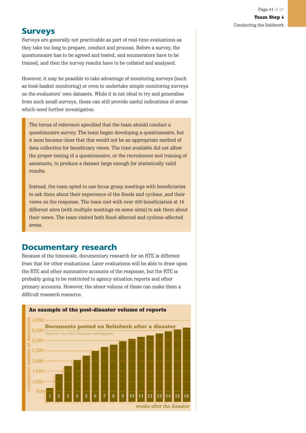## **Surveys**

Surveys are generally not practicable as part of real-time evaluations as they take too long to prepare, conduct and process. Before a survey, the questionnaire has to be agreed and tested, and enumerators have to be trained, and then the survey results have to be collated and analysed.

However, it may be possible to take advantage of monitoring surveys (such as food-basket monitoring) or even to undertake simple monitoring surveys on the evaluators' own datasets. While it is not ideal to try and generalise from such small surveys, these can still provide useful indications of areas which need further investigation.

The terms of reference specified that the team should conduct a questionnaire survey. The team began developing a questionnaire, but it soon became clear that this would not be an appropriate method of data collection for beneficiary views. The time available did not allow the proper testing of a questionnaire, or the recruitment and training of assistants, to produce a dataset large enough for statistically valid results.

Instead, the team opted to use focus group meetings with beneficiaries to ask them about their experience of the floods and cyclone ,and their views on the response. The team met with over 400 beneficiaries at 16 different sites (with multiple meetings on some sites) to ask them about their views. The team visited both flood-affected and cyclone-affected areas.

### **Documentary research**

Because of the timescale, documentary research for an RTE is different from that for other evaluations. Later evaluations will be able to draw upon the RTE and other summative accounts of the response, but the RTE is probably going to be restricted to agency situation reports and other primary accounts. However, the sheer volume of these can make them a difficult research resource.

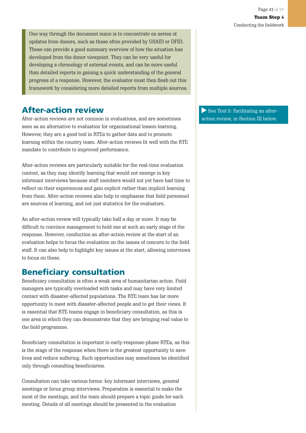One way through the document maze is to concentrate on series of updates from donors, such as those often provided by USAID or DFID. These can provide a good summary overview of how the situation has developed from the donor viewpoint. They can be very useful for developing a chronology of external events, and can be more useful than detailed reports in gaining a quick understanding of the general progress of a response. However, the evaluator must then flesh out this framework by considering more detailed reports from multiple sources.

## **After-action review**

After-action reviews are not common in evaluations, and are sometimes seen as an alternative to evaluation for organisational lesson-learning. However, they are a good tool in RTEs to gather data and to promote learning within the country team. After-action reviews fit well with the RTE mandate to contribute to improved performance.

After-action reviews are particularly suitable for the real-time evaluation context, as they may identify learning that would not emerge in key informant interviews because staff members would not yet have had time to reflect on their experiences and gain explicit rather than implicit learning from them. After-action reviews also help to emphasise that field personnel are sources of learning, and not just statistics for the evaluators.

An after-action review will typically take half a day or more. It may be difficult to convince management to hold one at such an early stage of the response. However, conduction an after-action review at the start of an evaluation helps to focus the evaluation on the issues of concern to the field staff. It can also help to highlight key issues at the start, allowing interviews to focus on these.

## **Beneficiary consultation**

Beneficiary consultation is often a weak area of humanitarian action. Field managers are typically overloaded with tasks and may have very limited contact with disaster-affected populations. The RTE team has far more opportunity to meet with disaster-affected people and to get their views. It is essential that RTE teams engage in beneficiary consultation, as this is one area in which they can demonstrate that they are bringing real value to the field programme.

Beneficiary consultation is important in early-response-phase RTEs, as this is the stage of the response when there is the greatest opportunity to save lives and reduce suffering. Such opportunities may sometimes be identified only through consulting beneficiaries.

Consultation can take various forms: key informant interviews, general meetings or focus group interviews. Preparation is essential to make the most of the meetings, and the team should prepare a topic guide for each meeting. Details of all meetings should be presented in the evaluation

See Tool 9: Facilitating an afteraction review, in Section III below.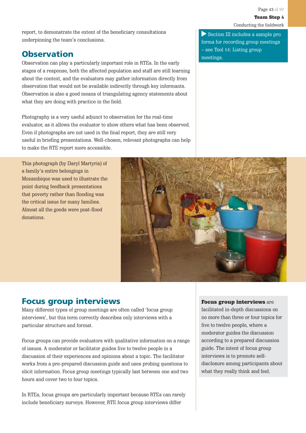report, to demonstrate the extent of the beneficiary consultations underpinning the team's conclusions.

## **Observation**

Observation can play a particularly important role in RTEs. In the early stages of a response, both the affected population and staff are still learning about the context, and the evaluators may gather information directly from observation that would not be available indirectly through key informants. Observation is also a good means of triangulating agency statements about what they are doing with practice in the field.

Photography is a very useful adjunct to observation for the real-time evaluator, as it allows the evaluator to show others what has been observed. Even if photographs are not used in the final report, they are still very useful in briefing presentations. Well-chosen, relevant photographs can help to make the RTE report more accessible.

This photograph (by Daryl Martyris) of a family's entire belongings in Mozambique was used to illustrate the point during feedback presentations that poverty rather than flooding was the critical issue for many families. Almost all the goods were post-flood donations.

Section III includes a sample pro forma for recording group meetings – see Tool 14: Listing group meetings.



## **Focus group interviews**

Many different types of group meetings are often called 'focus group interviews', but this term correctly describes only interviews with a particular structure and format.

Focus groups can provide evaluators with qualitative information on a range of issues. A moderator or facilitator guides five to twelve people in a discussion of their experiences and opinions about a topic. The facilitator works from a pre-prepared discussion guide and uses probing questions to elicit information. Focus group meetings typically last between one and two hours and cover two to four topics.

In RTEs, focus groups are particularly important because RTEs can rarely include beneficiary surveys. However, RTE focus group interviews differ

#### Focus group interviews are

facilitated in-depth discussions on no more than three or four topics for five to twelve people, where a moderator guides the discussion according to a prepared discussion guide. The intent of focus group interviews is to promote selfdisclosure among participants about what they really think and feel.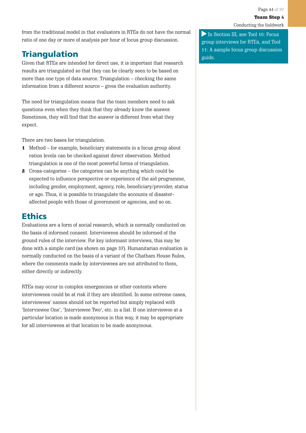from the traditional model in that evaluators in RTEs do not have the normal ratio of one day or more of analysis per hour of focus group discussion.

# **Triangulation**

Given that RTEs are intended for direct use, it is important that research results are triangulated so that they can be clearly seen to be based on more than one type of data source. Triangulation – checking the same information from a different source – gives the evaluation authority.

The need for triangulation means that the team members need to ask questions even when they think that they already know the answer. Sometimes, they will find that the answer is different from what they expect.

There are two bases for triangulation.

- 1 Method for example, beneficiary statements in a focus group about ration levels can be checked against direct observation. Method triangulation is one of the most powerful forms of triangulation.
- 2 Cross-categories the categories can be anything which could be expected to influence perspective or experience of the aid programme, including gender, employment, agency, role, beneficiary/provider, status or age. Thus, it is possible to triangulate the accounts of disasteraffected people with those of government or agencies, and so on.

## **Ethics**

Evaluations are a form of social research, which is normally conducted on the basis of informed consent. Interviewees should be informed of the ground rules of the interview. For key informant interviews, this may be done with a simple card (as shown on page 37). Humanitarian evaluation is normally conducted on the basis of a variant of the Chatham House Rules, where the comments made by interviewees are not attributed to them, either directly or indirectly.

RTEs may occur in complex emergencies or other contexts where interviewees could be at risk if they are identified. In some extreme cases, interviewees' names should not be reported but simply replaced with 'Interviewee One', 'Interviewee Two', etc. in a list. If one interviewee at a particular location is made anonymous in this way, it may be appropriate for all interviewees at that location to be made anonymous.

In Section III, see Tool 10: Focus group interviews for RTEs, and Tool 11: A sample focus group discussion guide.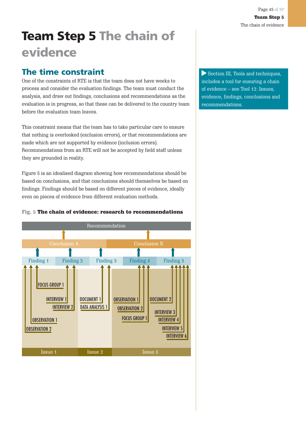# **Team Step 5 The chain of evidence**

## **The time constraint**

One of the constraints of RTE is that the team does not have weeks to process and consider the evaluation findings. The team must conduct the analysis, and draw out findings, conclusions and recommendations as the evaluation is in progress, so that these can be delivered to the country team before the evaluation team leaves.

This constraint means that the team has to take particular care to ensure that nothing is overlooked (exclusion errors), or that recommendations are made which are not supported by evidence (inclusion errors). Recommendations from an RTE will not be accepted by field staff unless they are grounded in reality.

Figure 5 is an idealised diagram showing how recommendations should be based on conclusions, and that conclusions should themselves be based on findings. Findings should be based on different pieces of evidence, ideally even on pieces of evidence from different evaluation methods.

### Fig. 5 The chain of evidence: research to recommendations



Section III, Tools and techniques, includes a tool for ensuring a chain of evidence – see Tool 12: Issues, evidence, findings, conclusions and recommendations.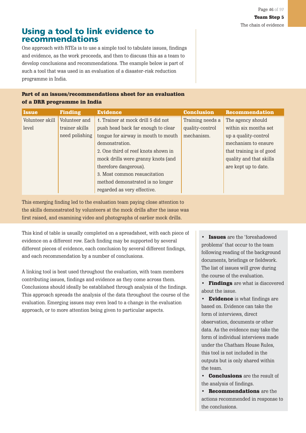## **Using a tool to link evidence to recommendations**

One approach with RTEs is to use a simple tool to tabulate issues, findings and evidence, as the work proceeds, and then to discuss this as a team to develop conclusions and recommendations. The example below is part of such a tool that was used in an evaluation of a disaster-risk reduction programme in India.

### Part of an issues/recommendations sheet for an evaluation of a DRR programme in India

| <b>Issue</b>    | <b>Finding</b> | <b>Evidence</b>                     | <b>Conclusion</b> | <b>Recommendation</b>    |
|-----------------|----------------|-------------------------------------|-------------------|--------------------------|
| Volunteer skill | Volunteer and  | 1. Trainer at mock drill 5 did not  | Training needs a  | The agency should        |
| level           | trainer skills | push head back far enough to clear  | quality-control   | within six months set    |
|                 | need polishing | tongue for airway in mouth to mouth | mechanism.        | up a quality-control     |
|                 |                | demonstration.                      |                   | mechanism to ensure      |
|                 |                | 2. One third of reef knots shown in |                   | that training is of good |
|                 |                | mock drills were granny knots (and  |                   | quality and that skills  |
|                 |                | therefore dangerous).               |                   | are kept up to date.     |
|                 |                | 3. Most common resuscitation        |                   |                          |
|                 |                | method demonstrated is no longer    |                   |                          |
|                 |                | regarded as very effective.         |                   |                          |

This emerging finding led to the evaluation team paying close attention to the skills demonstrated by volunteers at the mock drills after the issue was first raised, and examining video and photographs of earlier mock drills.

This kind of table is usually completed on a spreadsheet, with each piece of evidence on a different row. Each finding may be supported by several different pieces of evidence, each conclusion by several different findings, and each recommendation by a number of conclusions.

A linking tool is best used throughout the evaluation, with team members contributing issues, findings and evidence as they come across them. Conclusions should ideally be established through analysis of the findings. This approach spreads the analysis of the data throughout the course of the evaluation. Emerging issues may even lead to a change in the evaluation approach, or to more attention being given to particular aspects.

• Issues are the 'foreshadowed problems' that occur to the team following reading of the background documents, briefings or fieldwork. The list of issues will grow during the course of the evaluation.

• Findings are what is discovered about the issue.

• Evidence is what findings are based on. Evidence can take the form of interviews, direct observation, documents or other data. As the evidence may take the form of individual interviews made under the Chatham House Rules, this tool is not included in the outputs but is only shared within the team.

• Conclusions are the result of the analysis of findings.

• Recommendations are the actions recommended in response to the conclusions.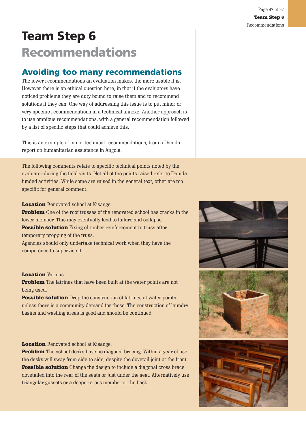# **Team Step 6 Recommendations**

## **Avoiding too many recommendations**

The fewer recommendations an evaluation makes, the more usable it is. However there is an ethical question here, in that if the evaluators have noticed problems they are duty bound to raise them and to recommend solutions if they can. One way of addressing this issue is to put minor or very specific recommendations in a technical annexe. Another approach is to use omnibus recommendations, with a general recommendation followed by a list of specific steps that could achieve this.

This is an example of minor technical recommendations, from a Danida report on humanitarian assistance in Angola.

The following comments relate to specific technical points noted by the evaluator during the field visits. Not all of the points raised refer to Danida funded activities. While some are raised in the general text, other are too specific for general comment.

**Location** Renovated school at Kisange.

**Problem** One of the roof trusses of the renovated school has cracks in the lower member. This may eventually lead to failure and collapse. **Possible solution** Fixing of timber reinforcement to truss after

temporary propping of the truss.

Agencies should only undertake technical work when they have the competence to supervise it.

#### **Location Various.**

Problem The latrines that have been built at the water points are not being used.

**Possible solution** Drop the construction of latrines at water points unless there is a community demand for these. The construction of laundry basins and washing areas is good and should be continued.

#### **Location** Renovated school at Kisange.

**Problem** The school desks have no diagonal bracing. Within a year of use the desks will sway from side to side, despite the dovetail joint at the front. **Possible solution** Change the design to include a diagonal cross brace dovetailed into the rear of the seats or just under the seat. Alternatively use triangular gussets or a deeper cross member at the back.

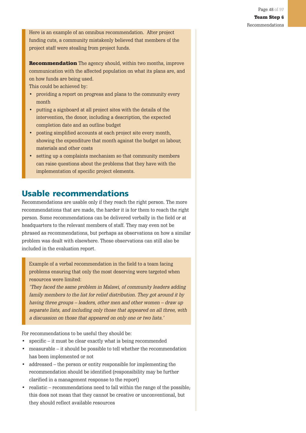Here is an example of an omnibus recommendation. After project funding cuts, a community mistakenly believed that members of the project staff were stealing from project funds.

**Recommendation** The agency should, within two months, improve communication with the affected population on what its plans are, and on how funds are being used.

This could be achieved by:

- providing a report on progress and plans to the community every month
- putting a signboard at all project sites with the details of the intervention, the donor, including a description, the expected completion date and an outline budget
- posting simplified accounts at each project site every month, showing the expenditure that month against the budget on labour, materials and other costs
- setting up a complaints mechanism so that community members can raise questions about the problems that they have with the implementation of specific project elements.

## **Usable recommendations**

Recommendations are usable only if they reach the right person. The more recommendations that are made, the harder it is for them to reach the right person. Some recommendations can be delivered verbally in the field or at headquarters to the relevant members of staff. They may even not be phrased as recommendations, but perhaps as observations on how a similar problem was dealt with elsewhere. These observations can still also be included in the evaluation report.

Example of a verbal recommendation in the field to a team facing problems ensuring that only the most deserving were targeted when resources were limited:

'They faced the same problem in Malawi, of community leaders adding family members to the list for relief distribution. They got around it by having three groups – leaders, other men and other women – draw up separate lists, and including only those that appeared on all three, with a discussion on those that appeared on only one or two lists.'

For recommendations to be useful they should be:

- specific it must be clear exactly what is being recommended
- measurable it should be possible to tell whether the recommendation has been implemented or not
- addressed the person or entity responsible for implementing the recommendation should be identified (responsibility may be further clarified in a management response to the report)
- realistic recommendations need to fall within the range of the possible. this does not mean that they cannot be creative or unconventional, but they should reflect available resources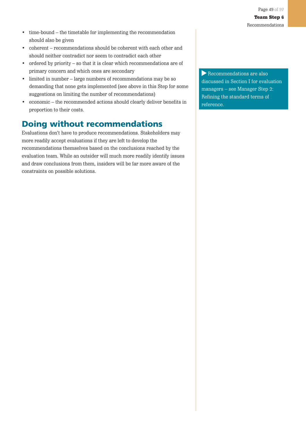- time-bound the timetable for implementing the recommendation should also be given
- coherent recommendations should be coherent with each other and should neither contradict nor seem to contradict each other
- ordered by priority so that it is clear which recommendations are of primary concern and which ones are secondary
- limited in number large numbers of recommendations may be so demanding that none gets implemented (see above in this Step for some suggestions on limiting the number of recommendations)
- economic the recommended actions should clearly deliver benefits in proportion to their costs.

## **Doing without recommendations**

Evaluations don't have to produce recommendations. Stakeholders may more readily accept evaluations if they are left to develop the recommendations themselves based on the conclusions reached by the evaluation team. While an outsider will much more readily identify issues and draw conclusions from them, insiders will be far more aware of the constraints on possible solutions.

Recommendations are also discussed in Section I for evaluation managers – see Manager Step 2: Refining the standard terms of reference.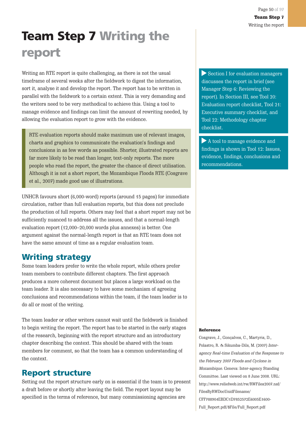# **Team Step 7 Writing the report**

Writing an RTE report is quite challenging, as there is not the usual timeframe of several weeks after the fieldwork to digest the information, sort it, analyse it and develop the report. The report has to be written in parallel with the fieldwork to a certain extent. This is very demanding and the writers need to be very methodical to achieve this. Using a tool to manage evidence and findings can limit the amount of rewriting needed, by allowing the evaluation report to grow with the evidence.

RTE evaluation reports should make maximum use of relevant images, charts and graphics to communicate the evaluation's findings and conclusions in as few words as possible. Shorter, illustrated reports are far more likely to be read than longer, text-only reports. The more people who read the report, the greater the chance of direct utilisation. Although it is not a short report, the Mozambique Floods RTE (Cosgrave et al., 2007) made good use of illustrations.

UNHCR favours short (6,000-word) reports (around 15 pages) for immediate circulation, rather than full evaluation reports, but this does not preclude the production of full reports. Others may feel that a short report may not be sufficiently nuanced to address all the issues, and that a normal-length evaluation report (12,000–20,000 words plus annexes) is better. One argument against the normal-length report is that an RTE team does not have the same amount of time as a regular evaluation team.

## **Writing strategy**

Some team leaders prefer to write the whole report, while others prefer team members to contribute different chapters. The first approach produces a more coherent document but places a large workload on the team leader. It is also necessary to have some mechanism of agreeing conclusions and recommendations within the team, if the team leader is to do all or most of the writing.

The team leader or other writers cannot wait until the fieldwork is finished to begin writing the report. The report has to be started in the early stages of the research, beginning with the report structure and an introductory chapter describing the context. This should be shared with the team members for comment, so that the team has a common understanding of the context.

## **Report structure**

Setting out the report structure early on is essential if the team is to present a draft before or shortly after leaving the field. The report layout may be specified in the terms of reference, but many commissioning agencies are

Section I for evaluation managers discusses the report in brief (see Manager Step 6: Reviewing the report). In Section III, see Tool 20: Evaluation report checklist, Tool 21: Executive summary checklist, and Tool 22: Methodology chapter checklist.

A tool to manage evidence and findings is shown in Tool 12: Issues, evidence, findings, conclusions and recommendations.

#### **Reference**

Cosgrave, J., Gonçalves, C., Martyris, D., Polastro, R. & Sikumba-Dils, M. (2007) Interagency Real-time Evaluation of the Response to the February 2007 Floods and Cyclone in Mozambique. Geneva: Inter-agency Standing Committee. Last viewed on 8 June 2008. URL: http://www.reliefweb.int/rw/RWFiles2007.nsf/ FilesByRWDocUnidFilename/ CFF788904EBDC1D7852572E6005E1600- Full\_Report.pdf/\$File/Full\_Report.pdf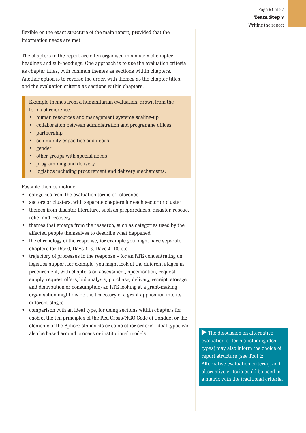flexible on the exact structure of the main report, provided that the information needs are met.

The chapters in the report are often organised in a matrix of chapter headings and sub-headings. One approach is to use the evaluation criteria as chapter titles, with common themes as sections within chapters. Another option is to reverse the order, with themes as the chapter titles, and the evaluation criteria as sections within chapters.

Example themes from a humanitarian evaluation, drawn from the terms of reference:

- human resources and management systems scaling-up
- collaboration between administration and programme offices
- partnership
- community capacities and needs
- gender
- other groups with special needs
- programming and delivery
- logistics including procurement and delivery mechanisms.

Possible themes include:

- categories from the evaluation terms of reference
- sectors or clusters, with separate chapters for each sector or cluster
- themes from disaster literature, such as preparedness, disaster, rescue, relief and recovery
- themes that emerge from the research, such as categories used by the affected people themselves to describe what happened
- the chronology of the response, for example you might have separate chapters for Day 0, Days 1–3, Days 4–10, etc.
- trajectory of processes in the response for an RTE concentrating on logistics support for example, you might look at the different stages in procurement, with chapters on assessment, specification, request supply, request offers, bid analysis, purchase, delivery, receipt, storage, and distribution or consumption; an RTE looking at a grant-making organisation might divide the trajectory of a grant application into its different stages
- comparison with an ideal type, for using sections within chapters for each of the ten principles of the Red Cross/NGO Code of Conduct or the elements of the Sphere standards or some other criteria; ideal types can also be based around process or institutional models. The discussion on alternative

evaluation criteria (including ideal types) may also inform the choice of report structure (see Tool 2: Alternative evaluation criteria), and alternative criteria could be used in a matrix with the traditional criteria.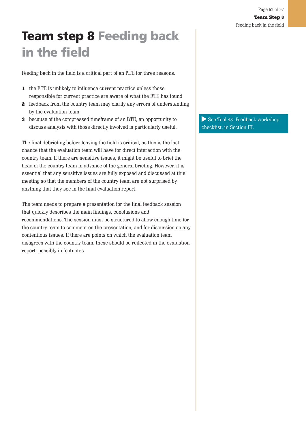# **Team step 8 Feeding back in the field**

Feeding back in the field is a critical part of an RTE for three reasons.

- 1 the RTE is unlikely to influence current practice unless those responsible for current practice are aware of what the RTE has found
- 2 feedback from the country team may clarify any errors of understanding by the evaluation team
- 3 because of the compressed timeframe of an RTE, an opportunity to discuss analysis with those directly involved is particularly useful.

The final debriefing before leaving the field is critical, as this is the last chance that the evaluation team will have for direct interaction with the country team. If there are sensitive issues, it might be useful to brief the head of the country team in advance of the general briefing. However, it is essential that any sensitive issues are fully exposed and discussed at this meeting so that the members of the country team are not surprised by anything that they see in the final evaluation report.

The team needs to prepare a presentation for the final feedback session that quickly describes the main findings, conclusions and recommendations. The session must be structured to allow enough time for the country team to comment on the presentation, and for discussion on any contentious issues. If there are points on which the evaluation team disagrees with the country team, these should be reflected in the evaluation report, possibly in footnotes.

See Tool 18: Feedback workshop checklist, in Section III.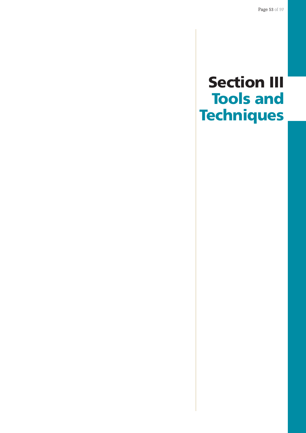# **Section III Tools and Techniques**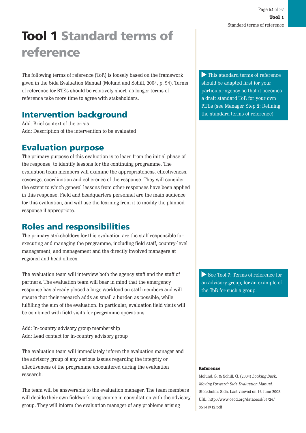# **Tool 1 Standard terms of reference**

The following terms of reference (ToR) is loosely based on the framework given in the Sida Evaluation Manual (Molund and Schill, 2004, p. 94). Terms of reference for RTEs should be relatively short, as longer terms of reference take more time to agree with stakeholders.

## **Intervention background**

Add: Brief context of the crisis Add: Description of the intervention to be evaluated

## **Evaluation purpose**

The primary purpose of this evaluation is to learn from the initial phase of the response, to identify lessons for the continuing programme. The evaluation team members will examine the appropriateness, effectiveness, coverage, coordination and coherence of the response. They will consider the extent to which general lessons from other responses have been applied in this response. Field and headquarters personnel are the main audience for this evaluation, and will use the learning from it to modify the planned response if appropriate.

## **Roles and responsibilities**

The primary stakeholders for this evaluation are the staff responsible for executing and managing the programme, including field staff, country-level management, and management and the directly involved managers at regional and head offices.

The evaluation team will interview both the agency staff and the staff of partners. The evaluation team will bear in mind that the emergency response has already placed a large workload on staff members and will ensure that their research adds as small a burden as possible, while fulfilling the aim of the evaluation. In particular, evaluation field visits will be combined with field visits for programme operations.

Add: In-country advisory group membership Add: Lead contact for in-country advisory group

The evaluation team will immediately inform the evaluation manager and the advisory group of any serious issues regarding the integrity or effectiveness of the programme encountered during the evaluation research.

The team will be answerable to the evaluation manager. The team members will decide their own fieldwork programme in consultation with the advisory group. They will inform the evaluation manager of any problems arising

This standard terms of reference should be adapted first for your particular agency so that it becomes a draft standard ToR for your own RTEs (see Manager Step 2: Refining the standard terms of reference).

See Tool 7: Terms of reference for an advisory group, for an example of the ToR for such a group.

#### Reference

Molund, S. & Schill, G. (2004) Looking Back, Moving Forward: Sida Evaluation Manual. Stockholm: Sida. Last viewed on 16 June 2008. URL: http://www.oecd.org/dataoecd/51/26/ 35141712.pdf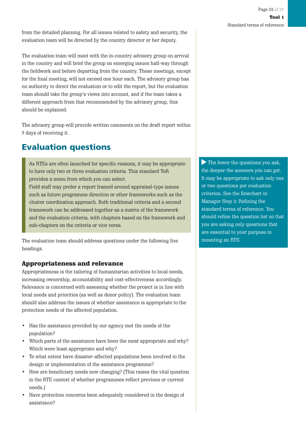The evaluation team will meet with the in-country advisory group on arrival in the country and will brief the group on emerging issues half-way through the fieldwork and before departing from the country. These meetings, except for the final meeting, will not exceed one hour each. The advisory group has no authority to direct the evaluation or to edit the report, but the evaluation team should take the group's views into account, and if the team takes a different approach from that recommended by the advisory group, this should be explained.

The advisory group will provide written comments on the draft report within 7 days of receiving it.

## **Evaluation questions**

As RTEs are often launched for specific reasons, it may be appropriate to have only two or three evaluation criteria. This standard ToR provides a menu from which you can select.

Field staff may prefer a report framed around appraisal-type issues such as future programme direction or other frameworks such as the cluster coordination approach. Both traditional criteria and a second framework can be addressed together as a matrix of the framework and the evaluation criteria, with chapters based on the framework and sub-chapters on the criteria or vice versa.

The evaluation team should address questions under the following five headings.

### Appropriateness and relevance

Appropriateness is the tailoring of humanitarian activities to local needs, increasing ownership, accountability and cost-effectiveness accordingly. Relevance is concerned with assessing whether the project is in line with local needs and priorities (as well as donor policy). The evaluation team should also address the issues of whether assistance is appropriate to the protection needs of the affected population.

- Has the assistance provided by our agency met the needs of the population?
- Which parts of the assistance have been the most appropriate and why? Which were least appropriate and why?
- To what extent have disaster-affected populations been involved in the design or implementation of the assistance programme?
- How are beneficiary needs now changing? (This raises the vital question in the RTE context of whether programmes reflect previous or current needs.)
- Have protection concerns been adequately considered in the design of assistance?

The fewer the questions you ask, the deeper the answers you can get. It may be appropriate to ask only one or two questions per evaluation criterion. See the flowchart in Manager Step 2: Refining the standard terms of reference. You should refine the question list so that you are asking only questions that are essential to your purpose in mounting an RTE.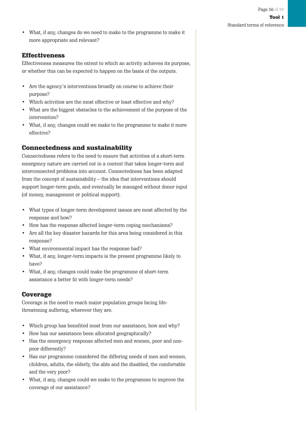• What, if any, changes do we need to make to the programme to make it more appropriate and relevant?

### Effectiveness

Effectiveness measures the extent to which an activity achieves its purpose, or whether this can be expected to happen on the basis of the outputs.

- Are the agency's interventions broadly on course to achieve their purpose?
- Which activities are the most effective or least effective and why?
- What are the biggest obstacles to the achievement of the purpose of the intervention?
- What, if any, changes could we make to the programme to make it more effective?

### Connectedness and sustainability

Connectedness refers to the need to ensure that activities of a short-term emergency nature are carried out in a context that takes longer-term and interconnected problems into account. Connectedness has been adapted from the concept of sustainability – the idea that interventions should support longer-term goals, and eventually be managed without donor input (of money, management or political support).

- What types of longer-term development issues are most affected by the response and how?
- How has the response affected longer-term coping mechanisms?
- Are all the key disaster hazards for this area being considered in this response?
- What environmental impact has the response had?
- What, if any, longer-term impacts is the present programme likely to have?
- What, if any, changes could make the programme of short-term assistance a better fit with longer-term needs?

### Coverage

Coverage is the need to reach major population groups facing lifethreatening suffering, wherever they are.

- Which group has benefited most from our assistance, how and why?
- How has our assistance been allocated geographically?
- Has the emergency response affected men and women, poor and nonpoor differently?
- Has our programme considered the differing needs of men and women, children, adults, the elderly, the able and the disabled, the comfortable and the very poor?
- What, if any, changes could we make to the programme to improve the coverage of our assistance?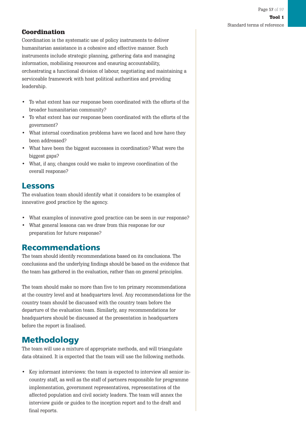### **Coordination**

Coordination is the systematic use of policy instruments to deliver humanitarian assistance in a cohesive and effective manner. Such instruments include strategic planning, gathering data and managing information, mobilising resources and ensuring accountability, orchestrating a functional division of labour, negotiating and maintaining a serviceable framework with host political authorities and providing leadership.

- To what extent has our response been coordinated with the efforts of the broader humanitarian community?
- To what extent has our response been coordinated with the efforts of the government?
- What internal coordination problems have we faced and how have they been addressed?
- What have been the biggest successes in coordination? What were the biggest gaps?
- What, if any, changes could we make to improve coordination of the overall response?

### **Lessons**

The evaluation team should identify what it considers to be examples of innovative good practice by the agency.

- What examples of innovative good practice can be seen in our response?
- What general lessons can we draw from this response for our preparation for future response?

## **Recommendations**

The team should identify recommendations based on its conclusions. The conclusions and the underlying findings should be based on the evidence that the team has gathered in the evaluation, rather than on general principles.

The team should make no more than five to ten primary recommendations at the country level and at headquarters level. Any recommendations for the country team should be discussed with the country team before the departure of the evaluation team. Similarly, any recommendations for headquarters should be discussed at the presentation in headquarters before the report is finalised.

## **Methodology**

The team will use a mixture of appropriate methods, and will triangulate data obtained. It is expected that the team will use the following methods.

• Key informant interviews: the team is expected to interview all senior incountry staff, as well as the staff of partners responsible for programme implementation, government representatives, representatives of the affected population and civil society leaders. The team will annex the interview guide or guides to the inception report and to the draft and final reports.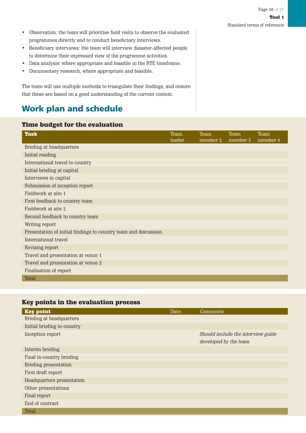- Observation: the team will prioritise field visits to observe the evaluated programmes directly and to conduct beneficiary interviews.
- Beneficiary interviews: the team will interview disaster-affected people to determine their expressed view of the programme activities.
- Data analysis: where appropriate and feasible in the RTE timeframe.
- Documentary research, where appropriate and feasible.

The team will use multiple methods to triangulate their findings, and ensure that these are based on a good understanding of the current context.

# **Work plan and schedule**

#### Time budget for the evaluation

| <b>Task</b>                                                     | Team<br>leader | Team<br>member 2 | Team<br>member 3 | Team<br>member 4 |
|-----------------------------------------------------------------|----------------|------------------|------------------|------------------|
| Briefing at headquarters                                        |                |                  |                  |                  |
| Initial reading                                                 |                |                  |                  |                  |
| International travel to country                                 |                |                  |                  |                  |
| Initial briefing at capital                                     |                |                  |                  |                  |
| Interviews in capital                                           |                |                  |                  |                  |
| Submission of inception report                                  |                |                  |                  |                  |
| Fieldwork at site 1                                             |                |                  |                  |                  |
| First feedback to country team                                  |                |                  |                  |                  |
| Fieldwork at site 2                                             |                |                  |                  |                  |
| Second feedback to country team                                 |                |                  |                  |                  |
| Writing report                                                  |                |                  |                  |                  |
| Presentation of initial findings to country team and discussion |                |                  |                  |                  |
| International travel                                            |                |                  |                  |                  |
| Revising report                                                 |                |                  |                  |                  |
| Travel and presentation at venue 1                              |                |                  |                  |                  |
| Travel and presentation at venue 2                              |                |                  |                  |                  |
| Finalisation of report                                          |                |                  |                  |                  |
| Total                                                           |                |                  |                  |                  |

### Key points in the evaluation process

| <b>Key point</b>            | Date | Comments                           |
|-----------------------------|------|------------------------------------|
| Briefing at headquarters    |      |                                    |
| Initial briefing in-country |      |                                    |
| Inception report            |      | Should include the interview guide |
|                             |      | developed by the team              |
| Interim briefing            |      |                                    |
| Final in-country briefing   |      |                                    |
| Briefing presentation       |      |                                    |
| First draft report          |      |                                    |
| Headquarters presentation   |      |                                    |
| Other presentations         |      |                                    |
| Final report                |      |                                    |
| End of contract             |      |                                    |
| <b>Total</b>                |      |                                    |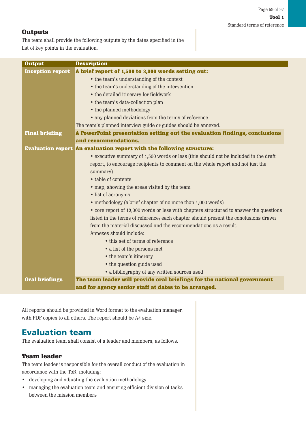### **Outputs**

The team shall provide the following outputs by the dates specified in the list of key points in the evaluation.

| <b>Output</b>           | <b>Description</b>                                                                     |  |
|-------------------------|----------------------------------------------------------------------------------------|--|
| <b>Inception report</b> | A brief report of 1,500 to 3,000 words setting out:                                    |  |
|                         | • the team's understanding of the context                                              |  |
|                         | • the team's understanding of the intervention                                         |  |
|                         | • the detailed itinerary for fieldwork                                                 |  |
|                         | • the team's data-collection plan                                                      |  |
|                         | • the planned methodology                                                              |  |
|                         | • any planned deviations from the terms of reference.                                  |  |
|                         | The team's planned interview guide or guides should be annexed.                        |  |
| <b>Final briefing</b>   | A PowerPoint presentation setting out the evaluation findings, conclusions             |  |
|                         | and recommendations.                                                                   |  |
|                         | <b>Evaluation report An evaluation report with the following structure:</b>            |  |
|                         | • executive summary of 1,500 words or less (this should not be included in the draft   |  |
|                         | report, to encourage recipients to comment on the whole report and not just the        |  |
|                         | summary)                                                                               |  |
|                         | • table of contents                                                                    |  |
|                         | • map, showing the areas visited by the team                                           |  |
|                         | • list of acronyms                                                                     |  |
|                         | • methodology (a brief chapter of no more than 1,000 words)                            |  |
|                         | • core report of 12,000 words or less with chapters structured to answer the questions |  |
|                         | listed in the terms of reference, each chapter should present the conclusions drawn    |  |
|                         | from the material discussed and the recommendations as a result.                       |  |
|                         | Annexes should include:                                                                |  |
|                         | • this set of terms of reference                                                       |  |
|                         | • a list of the persons met                                                            |  |
|                         | • the team's itinerary                                                                 |  |
|                         | • the question guide used                                                              |  |
|                         | • a bibliography of any written sources used                                           |  |
| <b>Oral briefings</b>   | The team leader will provide oral briefings for the national government                |  |
|                         | and for agency senior staff at dates to be arranged.                                   |  |

All reports should be provided in Word format to the evaluation manager, with PDF copies to all others. The report should be A4 size.

## **Evaluation team**

The evaluation team shall consist of a leader and members, as follows.

### Team leader

The team leader is responsible for the overall conduct of the evaluation in accordance with the ToR, including:

- developing and adjusting the evaluation methodology
- managing the evaluation team and ensuring efficient division of tasks between the mission members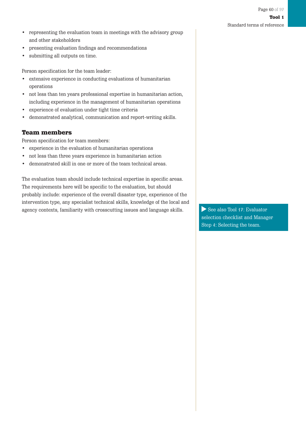- Tool 1 Standard terms of reference
- representing the evaluation team in meetings with the advisory group and other stakeholders
- presenting evaluation findings and recommendations
- submitting all outputs on time.

Person specification for the team leader:

- extensive experience in conducting evaluations of humanitarian operations
- not less than ten years professional expertise in humanitarian action, including experience in the management of humanitarian operations
- experience of evaluation under tight time criteria
- demonstrated analytical, communication and report-writing skills.

### Team members

Person specification for team members:

- experience in the evaluation of humanitarian operations
- not less than three years experience in humanitarian action
- demonstrated skill in one or more of the team technical areas.

The evaluation team should include technical expertise in specific areas. The requirements here will be specific to the evaluation, but should probably include: experience of the overall disaster type, experience of the intervention type, any specialist technical skills, knowledge of the local and agency contexts, familiarity with crosscutting issues and language skills.  $\Box$  See also Tool 17: Evaluator

selection checklist and Manager Step 4: Selecting the team.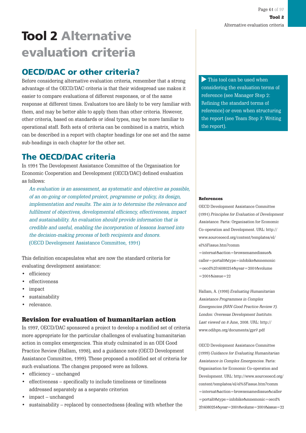# **Tool 2 Alternative evaluation criteria**

## **OECD/DAC or other criteria?**

Before considering alternative evaluation criteria, remember that a strong advantage of the OECD/DAC criteria is that their widespread use makes it easier to compare evaluations of different responses, or of the same response at different times. Evaluators too are likely to be very familiar with them, and may be better able to apply them than other criteria. However, other criteria, based on standards or ideal types, may be more familiar to operational staff. Both sets of criteria can be combined in a matrix, which can be described in a report with chapter headings for one set and the same sub-headings in each chapter for the other set.

## **The OECD/DAC criteria**

In 1991 The Development Assistance Committee of the Organisation for Economic Cooperation and Development (OECD/DAC) defined evaluation as follows:

An evaluation is an assessment, as systematic and objective as possible, of an on-going or completed project, programme or policy, its design, implementation and results. The aim is to determine the relevance and fulfilment of objectives, developmental efficiency, effectiveness, impact and sustainability. An evaluation should provide information that is credible and useful, enabling the incorporation of lessons learned into the decision-making process of both recipients and donors. (OECD Development Assistance Committee, 1991)

This definition encapsulates what are now the standard criteria for evaluating development assistance:

- efficiency
- effectiveness
- impact
- sustainability
- relevance.

### Revision for evaluation of humanitarian action

In 1997, OECD/DAC sponsored a project to develop a modified set of criteria more appropriate for the particular challenges of evaluating humanitarian action in complex emergencies. This study culminated in an ODI Good Practice Review (Hallam, 1998), and a guidance note (OECD Development Assistance Committee, 1999). These proposed a modified set of criteria for such evaluations. The changes proposed were as follows.

- efficiency unchanged
- effectiveness specifically to include timeliness or timeliness addressed separately as a separate criterion
- impact unchanged
- sustainability replaced by connectedness (dealing with whether the

This tool can be used when considering the evaluation terms of reference (see Manager Step 2: Refining the standard terms of reference) or even when structuring the report (see Team Step 7: Writing the report).

#### References

OECD Development Assistance Committee (1991) Principles for Evaluation of Development Assistance. Paris: Organisation for Economic Co-operation and Development. URL: http:// www.sourceoecd.org/content/templates/el/ el%5Fissue.htm?comm

=internat&action=browsenamedissue& caller=portal0&type=infobike&mnemonic =oecd%2f16080254&year=2001&volume  $=20018$ issue $=22$ 

Hallam, A. (1998) Evaluating Humanitarian Assistance Programmes in Complex Emergencies (RRN Good Practice Review 7). London: Overseas Development Institute. Last viewed on 8 June, 2008. URL: http:// www.odihpn.org/documents/gpr7.pdf

OECD Development Assistance Committee (1999) Guidance for Evaluating Humanitarian Assistance in Complex Emergencies. Paris: Organisation for Economic Co-operation and Development. URL: http://www.sourceoecd.org/ content/templates/el/el%5Fissue.htm?comm =internat&action=browsenamedissue&caller =portal0&type=infobike&mnemonic=oecd% 2f16080254&year=2001&volume=2001&issue=22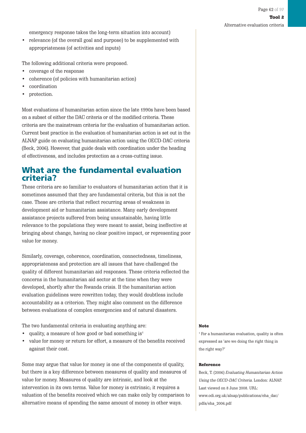emergency response takes the long-term situation into account)

• relevance (of the overall goal and purpose) to be supplemented with appropriateness (of activities and inputs)

The following additional criteria were proposed.

- coverage of the response
- coherence (of policies with humanitarian action)
- coordination
- protection.

Most evaluations of humanitarian action since the late 1990s have been based on a subset of either the DAC criteria or of the modified criteria. These criteria are the mainstream criteria for the evaluation of humanitarian action. Current best practice in the evaluation of humanitarian action is set out in the ALNAP guide on evaluating humanitarian action using the OECD-DAC criteria (Beck, 2006). However, that guide deals with coordination under the heading of effectiveness, and includes protection as a cross-cutting issue.

### **What are the fundamental evaluation criteria?**

These criteria are so familiar to evaluators of humanitarian action that it is sometimes assumed that they are fundamental criteria, but this is not the case. These are criteria that reflect recurring areas of weakness in development aid or humanitarian assistance. Many early development assistance projects suffered from being unsustainable, having little relevance to the populations they were meant to assist, being ineffective at bringing about change, having no clear positive impact, or representing poor value for money.

Similarly, coverage, coherence, coordination, connectedness, timeliness, appropriateness and protection are all issues that have challenged the quality of different humanitarian aid responses. These criteria reflected the concerns in the humanitarian aid sector at the time when they were developed, shortly after the Rwanda crisis. If the humanitarian action evaluation guidelines were rewritten today, they would doubtless include accountability as a criterion. They might also comment on the difference between evaluations of complex emergencies and of natural disasters.

The two fundamental criteria in evaluating anything are:

- quality, a measure of how good or bad something  $is<sup>1</sup>$
- value for money or return for effort, a measure of the benefits received against their cost.

Some may argue that value for money is one of the components of quality, but there is a key difference between measures of quality and measures of value for money. Measures of quality are intrinsic, and look at the intervention in its own terms. Value for money is extrinsic; it requires a valuation of the benefits received which we can make only by comparison to alternative means of spending the same amount of money in other ways.

#### Note

<sup>1</sup> For a humanitarian evaluation, quality is often expressed as 'are we doing the right thing in the right way?'

#### Reference

Beck, T. (2006) Evaluating Humanitarian Action Using the OECD-DAC Criteria. London: ALNAP. Last viewed on 8 June 2008. URL: www.odi.org.uk/alnap/publications/eha\_dac/ pdfs/eha\_2006.pdf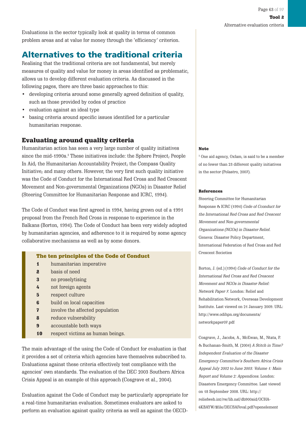Evaluations in the sector typically look at quality in terms of common problem areas and at value for money through the 'efficiency' criterion.

## **Alternatives to the traditional criteria**

Realising that the traditional criteria are not fundamental, but merely measures of quality and value for money in areas identified as problematic, allows us to develop different evaluation criteria. As discussed in the following pages, there are three basic approaches to this:

- developing criteria around some generally agreed definition of quality, such as those provided by codes of practice
- evaluation against an ideal type
- basing criteria around specific issues identified for a particular humanitarian response.

### Evaluating around quality criteria

Humanitarian action has seen a very large number of quality initiatives since the mid-1990s.<sup>2</sup> These initiatives include: the Sphere Project; People In Aid; the Humanitarian Accountability Project; the Compass Quality Initiative; and many others. However, the very first such quality initiative was the Code of Conduct for the International Red Cross and Red Crescent Movement and Non-governmental Organizations (NGOs) in Disaster Relief (Steering Committee for Humanitarian Response and ICRC, 1994).

The Code of Conduct was first agreed in 1994, having grown out of a 1991 proposal from the French Red Cross in response to experience in the Balkans (Borton, 1994). The Code of Conduct has been very widely adopted by humanitarian agencies, and adherence to it is required by some agency collaborative mechanisms as well as by some donors.

#### The ten principles of the Code of Conduct

- 1 humanitarian imperative
- 2 basis of need
- 3 no proselytising
- 4 not foreign agents
- 5 respect culture
- 6 build on local capacities
- 7 involve the affected population
- 8 reduce vulnerability
- 9 accountable both ways
- 10 respect victims as human beings.

The main advantage of the using the Code of Conduct for evaluation is that it provides a set of criteria which agencies have themselves subscribed to. Evaluations against these criteria effectively test compliance with the agencies' own standards. The evaluation of the DEC 2003 Southern Africa Crisis Appeal is an example of this approach (Cosgrave et al., 2004).

Evaluation against the Code of Conduct may be particularly appropriate for a real-time humanitarian evaluation. Sometimes evaluators are asked to perform an evaluation against quality criteria as well as against the OECD-

#### **Note**

2 One aid agency, Oxfam, is said to be a member of no fewer than 23 different quality initiatives in the sector (Polastro, 2007).

#### **References**

Steering Committee for Humanitarian Response & ICRC (1994) Code of Cconduct for the International Red Cross and Red Crescent Movement and Non-governmental Organizations (NGOs) in Disaster Relief. Geneva: Disaster Policy Department, International Federation of Red Cross and Red Crescent Societies

Borton, J. (ed.) (1994) Code of Conduct for the International Red Cross and Red Crescent Movement and NGOs in Disaster Relief: Network Paper 7. London: Relief and Rehabilitation Network, Overseas Development Institute. Last viewed on 21 January 2009. URL: http://www.odihpn.org/documents/ networkpaper07.pdf

Cosgrave, J., Jacobs, A., McEwan, M., Ntata, P. & Buchanan-Smith, M. (2004) A Stitch in Time? Independent Evaluation of the Disaster Emergency Committee's Southern Africa Crisis Appeal July 2002 to June 2003: Volume 1: Main Report and Volume 2: Appendices. London: Disasters Emergency Committee. Last viewed on 18 September 2008. URL: http:// reliefweb.int/rw/lib.nsf/db900sid/OCHA-6KBAYW/\$file/DECSAFeval.pdf?openelement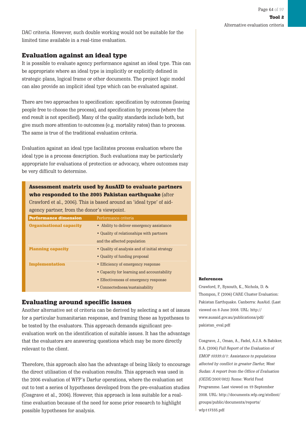DAC criteria. However, such double working would not be suitable for the limited time available in a real-time evaluation.

### Evaluation against an ideal type

It is possible to evaluate agency performance against an ideal type. This can be appropriate where an ideal type is implicitly or explicitly defined in strategic plans, logical frame or other documents. The project logic model can also provide an implicit ideal type which can be evaluated against.

There are two approaches to specification: specification by outcomes (leaving people free to choose the process), and specification by process (where the end result is not specified). Many of the quality standards include both, but give much more attention to outcomes (e.g. mortality rates) than to process. The same is true of the traditional evaluation criteria.

Evaluation against an ideal type facilitates process evaluation where the ideal type is a process description. Such evaluations may be particularly appropriate for evaluations of protection or advocacy, where outcomes may be very difficult to determine.

### Assessment matrix used by AusAID to evaluate partners who responded to the 2005 Pakistan earthquake (after

Crawford et al., 2006). This is based around an 'ideal type' of aidagency partner, from the donor's viewpoint.

| <b>Performance dimension</b>   | Performance criteria                          |
|--------------------------------|-----------------------------------------------|
| <b>Organisational capacity</b> | • Ability to deliver emergency assistance     |
|                                | • Quality of relationships with partners      |
|                                | and the affected population                   |
| <b>Planning capacity</b>       | • Quality of analysis and of initial strategy |
|                                | • Quality of funding proposal                 |
| <b>Implementation</b>          | • Efficiency of emergency response            |
|                                | • Capacity for learning and accountability    |
|                                | • Effectiveness of emergency response         |
|                                | • Connectedness/sustainability                |

#### Evaluating around specific issues

Another alternative set of criteria can be derived by selecting a set of issues for a particular humanitarian response, and framing these as hypotheses to be tested by the evaluators. This approach demands significant preevaluation work on the identification of suitable issues. It has the advantage that the evaluators are answering questions which may be more directly relevant to the client.

Therefore, this approach also has the advantage of being likely to encourage the direct utilisation of the evaluation results. This approach was used in the 2006 evaluation of WFP's Darfur operations, where the evaluation set out to test a series of hypotheses developed from the pre-evaluation studies (Cosgrave et al., 2006). However, this approach is less suitable for a realtime evaluation because of the need for some prior research to highlight possible hypotheses for analysis.

#### References

Crawford, P., Bysouth, K., Nichols, D. & Thompon, F. (2006) CARE Cluster Evaluation: Pakistan Earthquake. Canberra: AusAid. (Last viewed on 8 June 2008. URL: http:// www.ausaid.gov.au/publications/pdf/ pakistan\_eval.pdf

Cosgrave, J., Oman, A., Fadel, A.J.A. & Babiker, S.A. (2006) Full Report of the Evaluation of EMOP 10339.0/1: Assistance to populations affected by conflict in greater Darfur, West Sudan: A report from the Office of Evaluation (OEDE/2007/002). Rome: World Food Programme. Last viewed on 19 September 2008. URL: http://documents.wfp.org/stellent/ groups/public/documents/reports/ wfp117335.pdf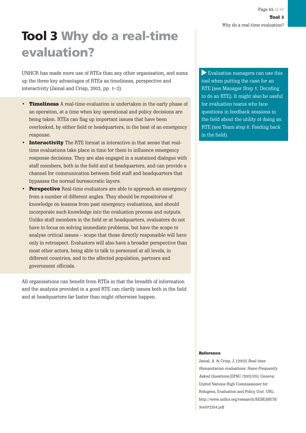# **Tool 3 Why do a real-time evaluation?**

UNHCR has made more use of RTEs than any other organisation, and sums up the three key advantages of RTEs as timeliness, perspective and interactivity (Jamal and Crisp, 2002, pp. 1–2).

- Timeliness A real-time evaluation is undertaken in the early phase of an operation, at a time when key operational and policy decisions are being taken. RTEs can flag up important issues that have been overlooked, by either field or headquarters, in the heat of an emergency response.
- Interactivity The RTE format is interactive in that sense that realtime evaluations take place in time for them to influence emergency response decisions. They are also engaged in a sustained dialogue with staff members, both in the field and at headquarters, and can provide a channel for communication between field staff and headquarters that bypasses the normal bureaucratic layers.
- Perspective Real-time evaluators are able to approach an emergency from a number of different angles. They should be repositories of knowledge on lessons from past emergency evaluations, and should incorporate such knowledge into the evaluation process and outputs. Unlike staff members in the field or at headquarters, evaluators do not have to focus on solving immediate problems, but have the scope to analyse critical issues – scope that those directly responsible will have only in retrospect. Evaluators will also have a broader perspective than most other actors, being able to talk to personnel at all levels, in different countries, and to the affected population, partners and government officials.

All organisations can benefit from RTEs in that the breadth of information and the analysis provided in a good RTE can clarify issues both in the field and at headquarters far faster than might otherwise happen.

Evaluation managers can use this tool when putting the case for an RTE (see Manager Step 1: Deciding to do an RTE). It might also be useful for evaluation teams who face questions in feedback sessions in the field about the utility of doing an RTE (see Team step 8: Feeding back in the field).

#### Reference

Jamal, A. & Crisp, J. (2002) Real-time Humanitarian evaluations: Some Frequently Asked Questions (EPAU /2002/05). Geneva: United Nations High Commissioner for Refugees, Evaluation and Policy Unit. URL: http://www.unhcr.org/research/RESEARCH/ 3ce372204.pdf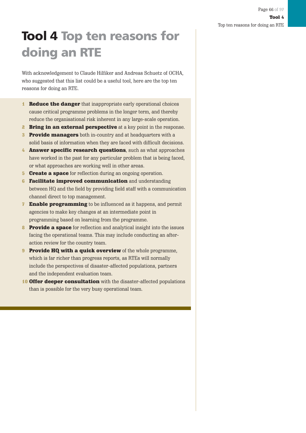# **Tool 4 Top ten reasons for doing an RTE**

With acknowledgement to Claude Hilfiker and Andreas Schuetz of OCHA, who suggested that this list could be a useful tool, here are the top ten reasons for doing an RTE.

- **1 Reduce the danger** that inappropriate early operational choices cause critical programme problems in the longer term, and thereby reduce the organisational risk inherent in any large-scale operation.
- **2 Bring in an external perspective** at a key point in the response.
- **3** Provide managers both in-country and at headquarters with a solid basis of information when they are faced with difficult decisions.
- 4 **Answer specific research questions**, such as what approaches have worked in the past for any particular problem that is being faced, or what approaches are working well in other areas.
- **5 Create a space** for reflection during an ongoing operation.
- **6 Facilitate improved communication** and understanding between HQ and the field by providing field staff with a communication channel direct to top management.
- **7 Enable programming** to be influenced as it happens, and permit agencies to make key changes at an intermediate point in programming based on learning from the programme.
- 8 **Provide a space** for reflection and analytical insight into the issues facing the operational teams. This may include conducting an afteraction review for the country team.
- **9 Provide HQ with a quick overview** of the whole programme, which is far richer than progress reports, as RTEs will normally include the perspectives of disaster-affected populations, partners and the independent evaluation team.
- **10 Offer deeper consultation** with the disaster-affected populations than is possible for the very busy operational team.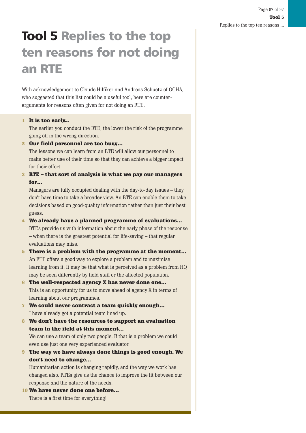# **Tool 5 Replies to the top ten reasons for not doing an RTE**

With acknowledgement to Claude Hilfiker and Andreas Schuetz of OCHA, who suggested that this list could be a useful tool, here are counterarguments for reasons often given for not doing an RTE.

#### 1 It is too early...

The earlier you conduct the RTE, the lower the risk of the programme going off in the wrong direction.

2 Our field personnel are too busy…

The lessons we can learn from an RTE will allow our personnel to make better use of their time so that they can achieve a bigger impact for their effort.

#### 3 RTE – that sort of analysis is what we pay our managers for…

Managers are fully occupied dealing with the day-to-day issues – they don't have time to take a broader view. An RTE can enable them to take decisions based on good-quality information rather than just their best guess.

#### 4 We already have a planned programme of evaluations…

RTEs provide us with information about the early phase of the response – when there is the greatest potential for life-saving – that regular evaluations may miss.

- 5 There is a problem with the programme at the moment… An RTE offers a good way to explore a problem and to maximise learning from it. It may be that what is perceived as a problem from HQ may be seen differently by field staff or the affected population.
- 6 The well-respected agency X has never done one… This is an opportunity for us to move ahead of agency X in terms of learning about our programmes.
- 7 We could never contract a team quickly enough… I have already got a potential team lined up.
- 8 We don't have the resources to support an evaluation team in the field at this moment…

We can use a team of only two people. If that is a problem we could even use just one very experienced evaluator.

9 The way we have always done things is good enough. We don't need to change…

Humanitarian action is changing rapidly, and the way we work has changed also. RTEs give us the chance to improve the fit between our response and the nature of the needs.

10 We have never done one before… There is a first time for everything!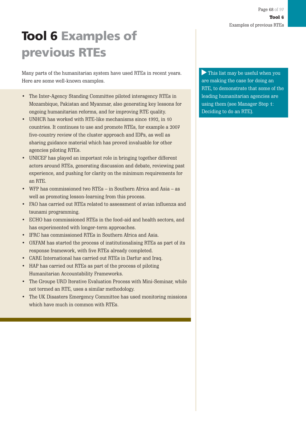# **Tool 6 Examples of previous RTEs**

Many parts of the humanitarian system have used RTEs in recent years. Here are some well-known examples.

- The Inter-Agency Standing Committee piloted interagency RTEs in Mozambique, Pakistan and Myanmar, also generating key lessons for ongoing humanitarian reforms, and for improving RTE quality.
- UNHCR has worked with RTE-like mechanisms since 1992, in 10 countries. It continues to use and promote RTEs, for example a 2007 five-country review of the cluster approach and IDPs, as well as sharing guidance material which has proved invaluable for other agencies piloting RTEs.
- UNICEF has played an important role in bringing together different actors around RTEs, generating discussion and debate, reviewing past experience, and pushing for clarity on the minimum requirements for an RTE.
- WFP has commissioned two RTEs in Southern Africa and Asia as well as promoting lesson-learning from this process.
- FAO has carried out RTEs related to assessment of avian influenza and tsunami programming.
- ECHO has commissioned RTEs in the food-aid and health sectors, and has experimented with longer-term approaches.
- IFRC has commissioned RTEs in Southern Africa and Asia.
- OXFAM has started the process of institutionalising RTEs as part of its response framework, with five RTEs already completed.
- CARE International has carried out RTEs in Darfur and Iraq.
- HAP has carried out RTEs as part of the process of piloting Humanitarian Accountability Frameworks.
- The Groupe URD Iterative Evaluation Process with Mini-Seminar, while not termed an RTE, uses a similar methodology.
- The UK Disasters Emergency Committee has used monitoring missions which have much in common with RTEs.

This list may be useful when you are making the case for doing an RTE, to demonstrate that some of the leading humanitarian agencies are using them (see Manager Step 1: Deciding to do an RTE).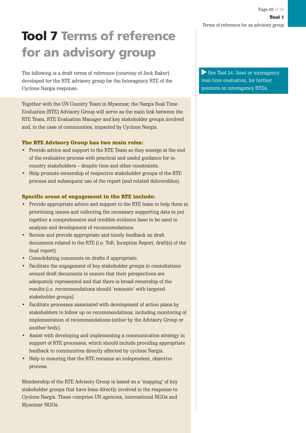# **Tool 7 Terms of reference for an advisory group**

The following is a draft terms of reference (courtesy of Jock Baker) developed for the RTE advisory group for the Interagency RTE of the Cyclone Nargis response.

Together with the UN Country Team in Myanmar, the Nargis Real Time Evaluation (RTE) Advisory Group will serve as the main link between the RTE Team, RTE Evaluation Manager and key stakeholder groups involved and, in the case of communities, impacted by Cyclone Nargis.

#### The RTE Advisory Group has two main roles:

- Provide advice and support to the RTE Team so they emerge at the end of the evaluative process with practical and useful guidance for incountry stakeholders – despite time and other constraints.
- Help promote ownership of respective stakeholder groups of the RTE process and subsequent use of the report (and related deliverables).

#### Specific areas of engagement in the RTE include:

- Provide appropriate advice and support to the RTE team to help them in prioritising issues and collecting the necessary supporting data to put together a comprehensive and credible evidence base to be used in analysis and development of recommendations.
- Review and provide appropriate and timely feedback on draft documents related to the RTE (i.e. ToR, Inception Report, draft(s) of the final report).
- Consolidating comments on drafts if appropriate.
- Facilitate the engagement of key stakeholder groups in consultations around draft documents to ensure that their perspectives are adequately represented and that there is broad ownership of the results (i.e. recommendations should 'resonate' with targeted stakeholder groups).
- Facilitate processes associated with development of action plans by stakeholders to follow up on recommendations, including monitoring of implementation of recommendations (either by the Advisory Group or another body).
- Assist with developing and implementing a communication strategy in support of RTE processes, which should include providing appropriate feedback to communities directly affected by cyclone Nargis.
- Help in ensuring that the RTE remains an independent, objective process.

Membership of the RTE Advisory Group is based on a 'mapping' of key stakeholder groups that have been directly involved in the response to Cyclone Nargis. These comprise UN agencies, international NGOs and Myanmar NGOs.

See Tool 24: Joint or interagency real-time evaluation, for further pointers on interagency RTEs.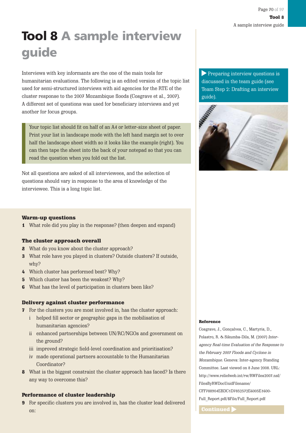# **Tool 8 A sample interview guide**

Interviews with key informants are the one of the main tools for humanitarian evaluations. The following is an edited version of the topic list used for semi-structured interviews with aid agencies for the RTE of the cluster response to the 2007 Mozambique floods (Cosgrave et al., 2007). A different set of questions was used for beneficiary interviews and yet another for focus groups.

Your topic list should fit on half of an A4 or letter-size sheet of paper. Print your list in landscape mode with the left hand margin set to over half the landscape sheet width so it looks like the example (right). You can then tape the sheet into the back of your notepad so that you can read the question when you fold out the list.

Not all questions are asked of all interviewees, and the selection of questions should vary in response to the area of knowledge of the interviewee. This is a long topic list.

Preparing interview questions is discussed in the team guide (see Team Step 2: Drafting an interview guide).



#### Warm-up questions

1 What role did you play in the response? (then deepen and expand)

#### The cluster approach overall

- 2 What do you know about the cluster approach?
- 3 What role have you played in clusters? Outside clusters? If outside, why?
- 4 Which cluster has performed best? Why?
- 5 Which cluster has been the weakest? Why?
- 6 What has the level of participation in clusters been like?

#### Delivery against cluster performance

- 7 For the clusters you are most involved in, has the cluster approach:
	- i helped fill sector or geographic gaps in the mobilisation of humanitarian agencies?
	- ii enhanced partnerships between UN/RC/NGOs and government on the ground?
	- iii improved strategic field-level coordination and prioritisation?
	- iv made operational partners accountable to the Humanitarian Coordinator?
- 8 What is the biggest constraint the cluster approach has faced? Is there any way to overcome this?

#### Performance of cluster leadership

9 For specific clusters you are involved in, has the cluster lead delivered on: Continued  $\blacktriangleright$ 

#### Reference

Cosgrave, J., Gonçalves, C., Martyris, D., Polastro, R. & Sikumba-Dils, M. (2007) Interagency Real-time Evaluation of the Response to the February 2007 Floods and Cyclone in Mozambique. Geneva: Inter-agency Standing Committee. Last viewed on 8 June 2008. URL: http://www.reliefweb.int/rw/RWFiles2007.nsf/ FilesByRWDocUnidFilename/ CFF788904EBDC1D7852572E6005E1600- Full\_Report.pdf/\$File/Full\_Report.pdf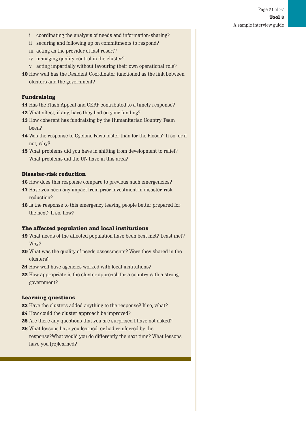- i coordinating the analysis of needs and information-sharing?
- ii securing and following up on commitments to respond?
- iii acting as the provider of last resort?
- iv managing quality control in the cluster?
- v acting impartially without favouring their own operational role?
- 10 How well has the Resident Coordinator functioned as the link between clusters and the government?

#### Fundraising

- 11 Has the Flash Appeal and CERF contributed to a timely response?
- 12 What affect, if any, have they had on your funding?
- 13 How coherent has fundraising by the Humanitarian Country Team been?
- 14 Was the response to Cyclone Favio faster than for the Floods? If so, or if not, why?
- 15 What problems did you have in shifting from development to relief? What problems did the UN have in this area?

#### Disaster-risk reduction

- 16 How does this response compare to previous such emergencies?
- 17 Have you seen any impact from prior investment in disaster-risk reduction?
- 18 Is the response to this emergency leaving people better prepared for the next? If so, how?

#### The affected population and local institutions

- 19 What needs of the affected population have been best met? Least met? Why?
- 20 What was the quality of needs assessments? Were they shared in the clusters?
- 21 How well have agencies worked with local institutions?
- 22 How appropriate is the cluster approach for a country with a strong government?

#### Learning questions

- 23 Have the clusters added anything to the response? If so, what?
- 24 How could the cluster approach be improved?
- 25 Are there any questions that you are surprised I have not asked?
- 26 What lessons have you learned, or had reinforced by the response?What would you do differently the next time? What lessons have you (re)learned?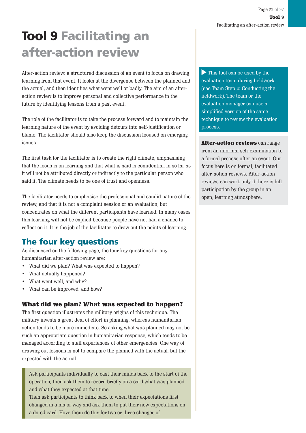# **Tool 9 Facilitating an after-action review**

After-action review: a structured discussion of an event to focus on drawing learning from that event. It looks at the divergence between the planned and the actual, and then identifies what went well or badly. The aim of an afteraction review is to improve personal and collective performance in the future by identifying lessons from a past event.

The role of the facilitator is to take the process forward and to maintain the learning nature of the event by avoiding detours into self-justification or blame. The facilitator should also keep the discussion focused on emerging issues.

The first task for the facilitator is to create the right climate, emphasising that the focus is on learning and that what is said is confidential, in so far as it will not be attributed directly or indirectly to the particular person who said it. The climate needs to be one of trust and openness.

The facilitator needs to emphasise the professional and candid nature of the review, and that it is not a complaint session or an evaluation, but concentrates on what the different participants have learned. In many cases this learning will not be explicit because people have not had a chance to reflect on it. It is the job of the facilitator to draw out the points of learning.

# **The four key questions**

As discussed on the following page, the four key questions for any humanitarian after-action review are:

- What did we plan? What was expected to happen?
- What actually happened?
- What went well, and why?
- What can be improved, and how?

### What did we plan? What was expected to happen?

The first question illustrates the military origins of this technique. The military invests a great deal of effort in planning, whereas humanitarian action tends to be more immediate. So asking what was planned may not be such an appropriate question in humanitarian response, which tends to be managed according to staff experiences of other emergencies. One way of drawing out lessons is not to compare the planned with the actual, but the expected with the actual.

Ask participants individually to cast their minds back to the start of the operation, then ask them to record briefly on a card what was planned and what they expected at that time.

Then ask participants to think back to when their expectations first changed in a major way and ask them to put their new expectations on a dated card. Have them do this for two or three changes of

This tool can be used by the evaluation team during fieldwork (see Team Step 4: Conducting the fieldwork). The team or the evaluation manager can use a simplified version of the same technique to review the evaluation process.

After-action reviews can range from an informal self-examination to a formal process after an event. Our focus here is on formal, facilitated after-action reviews. After-action reviews can work only if there is full participation by the group in an open, learning atmosphere.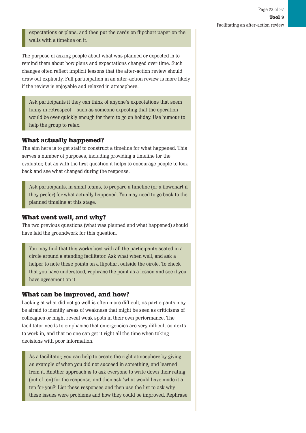expectations or plans, and then put the cards on flipchart paper on the walls with a timeline on it.

The purpose of asking people about what was planned or expected is to remind them about how plans and expectations changed over time. Such changes often reflect implicit lessons that the after-action review should draw out explicitly. Full participation in an after-action review is more likely if the review is enjoyable and relaxed in atmosphere.

Ask participants if they can think of anyone's expectations that seem funny in retrospect – such as someone expecting that the operation would be over quickly enough for them to go on holiday. Use humour to help the group to relax.

#### What actually happened?

The aim here is to get staff to construct a timeline for what happened. This serves a number of purposes, including providing a timeline for the evaluator, but as with the first question it helps to encourage people to look back and see what changed during the response.

Ask participants, in small teams, to prepare a timeline (or a flowchart if they prefer) for what actually happened. You may need to go back to the planned timeline at this stage.

#### What went well, and why?

The two previous questions (what was planned and what happened) should have laid the groundwork for this question.

You may find that this works best with all the participants seated in a circle around a standing facilitator. Ask what when well, and ask a helper to note these points on a flipchart outside the circle. To check that you have understood, rephrase the point as a lesson and see if you have agreement on it.

#### What can be improved, and how?

Looking at what did not go well is often more difficult, as participants may be afraid to identify areas of weakness that might be seen as criticisms of colleagues or might reveal weak spots in their own performance. The facilitator needs to emphasise that emergencies are very difficult contexts to work in, and that no one can get it right all the time when taking decisions with poor information.

As a facilitator, you can help to create the right atmosphere by giving an example of when you did not succeed in something, and learned from it. Another approach is to ask everyone to write down their rating (out of ten) for the response, and then ask 'what would have made it a ten for you?' List these responses and then use the list to ask why these issues were problems and how they could be improved. Rephrase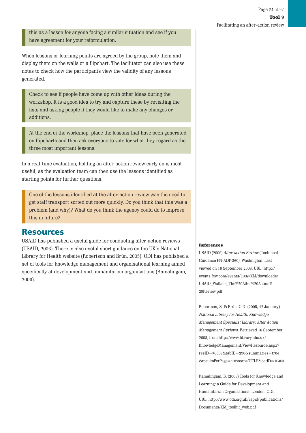this as a lesson for anyone facing a similar situation and see if you have agreement for your reformulation.

When lessons or learning points are agreed by the group, note them and display them on the walls or a flipchart. The facilitator can also use these notes to check how the participants view the validity of any lessons generated.

Check to see if people have come up with other ideas during the workshop. It is a good idea to try and capture these by revisiting the lists and asking people if they would like to make any changes or additions.

At the end of the workshop, place the lessons that have been generated on flipcharts and then ask everyone to vote for what they regard as the three most important lessons.

In a real-time evaluation, holding an after-action review early on is most useful, as the evaluation team can then use the lessons identified as starting points for further questions.

One of the lessons identified at the after-action review was the need to get staff transport sorted out more quickly. Do you think that this was a problem (and why)? What do you think the agency could do to improve this in future?

### **Resources**

USAID has published a useful guide for conducting after-action reviews (USAID, 2006). There is also useful short guidance on the UK's National Library for Health website (Robertson and Brún, 2005). ODI has published a set of tools for knowledge management and organisational learning aimed specifically at development and humanitarian organisations (Ramalingam, 2006).

#### References

USAID (2006) After-action Review (Technical Guidance PN-ADF-360). Washington. Last viewed on 16 September 2008. URL: http:// events.fcw.com/events/2007/KM/downloads/ USAID\_Wallace\_The%20After%20Action% 20Review.pdf

Robertson, S. & Brún, C.D. (2005, 12 January) National Library for Health: Knowledge Management Specialist Library: After Action Management Reviews. Retrieved 16 September 2008, from http://www.library.nhs.uk/ KnowledgeManagement/ViewResource.aspx? resID=70306&tabID=290&summaries=true &resultsPerPage=10&sort=TITLE&catID=10403

Ramalingam, B. (2006) Tools for Knowledge and Learning: a Guide for Development and Humanitarian Organisations. London: ODI. URL: http://www.odi.org.uk/rapid/publications/ Documents/KM\_toolkit\_web.pdf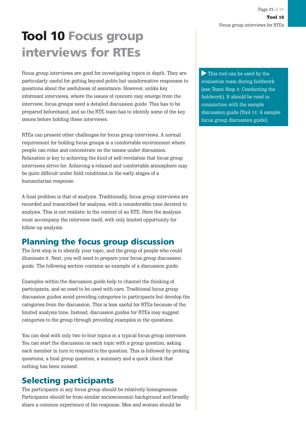# **Tool 10 Focus group interviews for RTEs**

Focus group interviews are good for investigating topics in depth. They are particularly useful for getting beyond polite but uninformative responses to questions about the usefulness of assistance. However, unlike key informant interviews, where the issues of concern may emerge from the interview, focus groups need a detailed discussion guide. This has to be prepared beforehand, and so the RTE team has to identify some of the key issues before holding these interviews.

RTEs can present other challenges for focus group interviews. A normal requirement for holding focus groups is a comfortable environment where people can relax and concentrate on the issues under discussion. Relaxation is key to achieving the kind of self-revelation that focus group interviews strive for. Achieving a relaxed and comfortable atmosphere may be quite difficult under field conditions in the early stages of a humanitarian response.

A final problem is that of analysis. Traditionally, focus group interviews are recorded and transcribed for analysis, with a considerable time devoted to analysis. This is not realistic in the context of an RTE. Here the analysis must accompany the interview itself, with only limited opportunity for follow-up analysis.

## **Planning the focus group discussion**

The first step is to identify your topic, and the group of people who could illuminate it. Next, you will need to prepare your focus group discussion guide. The following section contains an example of a discussion guide.

Examples within the discussion guide help to channel the thinking of participants, and so need to be used with care. Traditional focus group discussion guides avoid providing categories to participants but develop the categories from the discussion. This is less useful for RTEs because of the limited analysis time. Instead, discussion guides for RTEs may suggest categories to the group through providing examples in the questions.

You can deal with only two to four topics in a typical focus group interview. You can start the discussion on each topic with a group question, asking each member in turn to respond to the question. This is followed by probing questions, a final group question, a summary and a quick check that nothing has been missed.

### **Selecting participants**

The participants in any focus group should be relatively homogeneous. Participants should be from similar socioeconomic background and broadly share a common experience of the response. Men and women should be

This tool can be used by the evaluation team during fieldwork (see Team Step 4: Conducting the fieldwork). It should be read in conjunction with the sample discussion guide (Tool 11: A sample focus group discussion guide).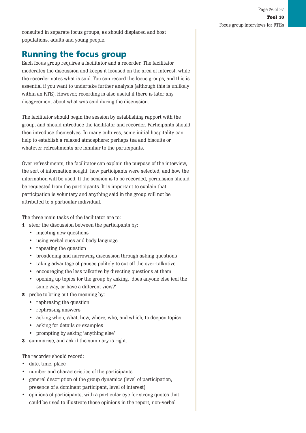consulted in separate focus groups, as should displaced and host populations, adults and young people.

### **Running the focus group**

Each focus group requires a facilitator and a recorder. The facilitator moderates the discussion and keeps it focused on the area of interest, while the recorder notes what is said. You can record the focus groups, and this is essential if you want to undertake further analysis (although this is unlikely within an RTE). However, recording is also useful if there is later any disagreement about what was said during the discussion.

The facilitator should begin the session by establishing rapport with the group, and should introduce the facilitator and recorder. Participants should then introduce themselves. In many cultures, some initial hospitality can help to establish a relaxed atmosphere: perhaps tea and biscuits or whatever refreshments are familiar to the participants.

Over refreshments, the facilitator can explain the purpose of the interview, the sort of information sought, how participants were selected, and how the information will be used. If the session is to be recorded, permission should be requested from the participants. It is important to explain that participation is voluntary and anything said in the group will not be attributed to a particular individual.

The three main tasks of the facilitator are to:

- 1 steer the discussion between the participants by:
	- injecting new questions
	- using verbal cues and body language
	- repeating the question
	- broadening and narrowing discussion through asking questions
	- taking advantage of pauses politely to cut off the over-talkative
	- encouraging the less talkative by directing questions at them
	- opening up topics for the group by asking, 'does anyone else feel the same way, or have a different view?'
- **2** probe to bring out the meaning by:
	- rephrasing the question
	- rephrasing answers
	- asking when, what, how, where, who, and which, to deepen topics
	- asking for details or examples
	- prompting by asking 'anything else'
- 3 summarise, and ask if the summary is right.

The recorder should record:

- date, time, place
- number and characteristics of the participants
- general description of the group dynamics (level of participation, presence of a dominant participant, level of interest)
- opinions of participants, with a particular eye for strong quotes that could be used to illustrate those opinions in the report; non-verbal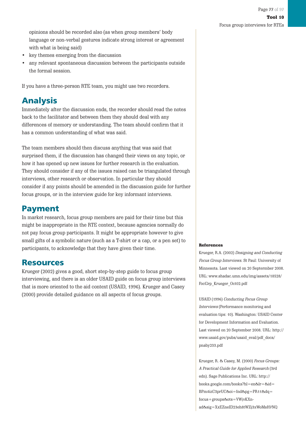opinions should be recorded also (as when group members' body language or non-verbal gestures indicate strong interest or agreement with what is being said)

- key themes emerging from the discussion
- any relevant spontaneous discussion between the participants outside the formal session.

If you have a three-person RTE team, you might use two recorders.

## **Analysis**

Immediately after the discussion ends, the recorder should read the notes back to the facilitator and between them they should deal with any differences of memory or understanding. The team should confirm that it has a common understanding of what was said.

The team members should then discuss anything that was said that surprised them, if the discussion has changed their views on any topic, or how it has opened up new issues for further research in the evaluation. They should consider if any of the issues raised can be triangulated through interviews, other research or observation. In particular they should consider if any points should be amended in the discussion guide for further focus groups, or in the interview guide for key informant interviews.

### **Payment**

In market research, focus group members are paid for their time but this might be inappropriate in the RTE context, because agencies normally do not pay focus group participants. It might be appropriate however to give small gifts of a symbolic nature (such as a T-shirt or a cap, or a pen set) to participants, to acknowledge that they have given their time.

### **Resources**

Krueger (2002) gives a good, short step-by-step guide to focus group interviewing, and there is an older USAID guide on focus group interviews that is more oriented to the aid context (USAID, 1996). Krueger and Casey (2000) provide detailed guidance on all aspects of focus groups.

#### References

Krueger, R.A. (2002) Designing and Conducting Focus Group Interviews. St Paul: University of Minnesota. Last viewed on 20 Septermber 2008. URL: www.shadac.umn.edu/img/assets/18528/ FocGrp\_Krueger\_Oct02.pdf

USAID (1996) Conducting Focus Group Interviews (Performance monitoring and evaluation tips: 10). Washington: USAID Center for Development Information and Evaluation. Last viewed on 20 September 2008. URL: http:// www.usaid.gov/pubs/usaid\_eval/pdf\_docs/ pnaby233.pdf

Krueger, R. & Casey, M. (2000) Focus Groups: A Practical Guide for Applied Research (3rd edn). Sage Publications Inc. URL: http:// books.google.com/books?hl=en&lr=&id= BPm4izC3prUC&oi=fnd&pg=PR11&dq= focus+groups&ots=VWjvKXnad&sig=XxEZneID23eh8tWZj3xWoMsH7NQ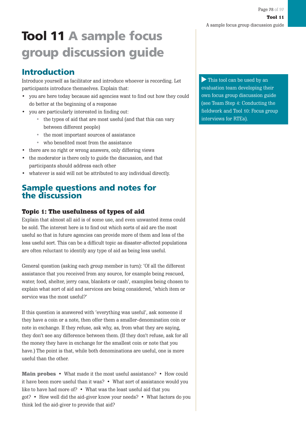# **Tool 11 A sample focus group discussion guide**

### **Introduction**

Introduce yourself as facilitator and introduce whoever is recording. Let participants introduce themselves. Explain that:

- you are here today because aid agencies want to find out how they could do better at the beginning of a response
- you are particularly interested in finding out:
	- the types of aid that are most useful (and that this can vary between different people)
	- the most important sources of assistance
	- who benefited most from the assistance
- there are no right or wrong answers, only differing views
- the moderator is there only to guide the discussion, and that participants should address each other
- whatever is said will not be attributed to any individual directly.

### **Sample questions and notes for the discussion**

### Topic 1: The usefulness of types of aid

Explain that almost all aid is of some use, and even unwanted items could be sold. The interest here is to find out which sorts of aid are the most useful so that in future agencies can provide more of them and less of the less useful sort. This can be a difficult topic as disaster-affected populations are often reluctant to identify any type of aid as being less useful.

General question (asking each group member in turn): 'Of all the different assistance that you received from any source, for example being rescued, water, food, shelter, jerry cans, blankets or cash', examples being chosen to explain what sort of aid and services are being considered, 'which item or service was the most useful?'

If this question is answered with 'everything was useful', ask someone if they have a coin or a note, then offer them a smaller-denomination coin or note in exchange. If they refuse, ask why, as, from what they are saying, they don't see any difference between them. (If they don't refuse, ask for all the money they have in exchange for the smallest coin or note that you have.) The point is that, while both denominations are useful, one is more useful than the other.

Main probes • What made it the most useful assistance? • How could it have been more useful than it was? • What sort of assistance would you like to have had more of? • What was the least useful aid that you got? • How well did the aid-giver know your needs? • What factors do you think led the aid-giver to provide that aid?

This tool can be used by an evaluation team developing their own focus group discussion guide (see Team Step 4: Conducting the fieldwork and Tool 10: Focus group interviews for RTEs).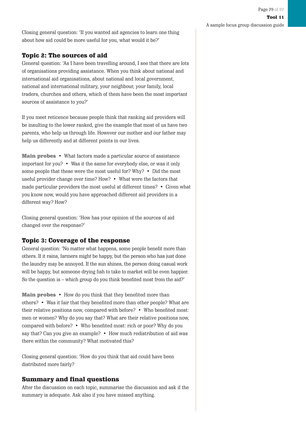Closing general question: 'If you wanted aid agencies to learn one thing about how aid could be more useful for you, what would it be?'

### Topic 2: The sources of aid

General question: 'As I have been travelling around, I see that there are lots of organisations providing assistance. When you think about national and international aid organisations, about national and local government, national and international military, your neighbour, your family, local traders, churches and others, which of them have been the most important sources of assistance to you?'

If you meet reticence because people think that ranking aid providers will be insulting to the lower ranked, give the example that most of us have two parents, who help us through life. However our mother and our father may help us differently and at different points in our lives.

Main probes • What factors made a particular source of assistance important for you? • Was it the same for everybody else, or was it only some people that these were the most useful for? Why? • Did the most useful provider change over time? How? • What were the factors that made particular providers the most useful at different times? • Given what you know now, would you have approached different aid providers in a different way? How?

Closing general question: 'How has your opinion of the sources of aid changed over the response?'

### Topic 3: Coverage of the response

General question: 'No matter what happens, some people benefit more than others. If it rains, farmers might be happy, but the person who has just done the laundry may be annoyed. If the sun shines, the person doing casual work will be happy, but someone drying fish to take to market will be even happier. So the question is – which group do you think benefited most from the aid?'

Main probes • How do you think that they benefited more than others? • Was it fair that they benefited more than other people? What are their relative positions now, compared with before? • Who benefited most: men or women? Why do you say that? What are their relative positions now, compared with before? • Who benefited most: rich or poor? Why do you say that? Can you give an example? • How much redistribution of aid was there within the community? What motivated this?

Closing general question: 'How do you think that aid could have been distributed more fairly?

### Summary and final questions

After the discussion on each topic, summarise the discussion and ask if the summary is adequate. Ask also if you have missed anything.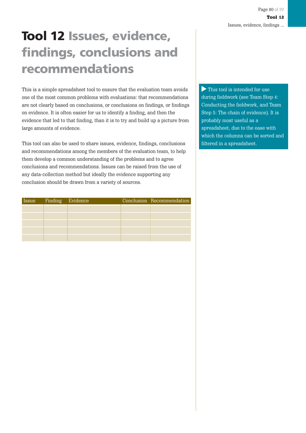# **Tool 12 Issues, evidence, findings, conclusions and recommendations**

This is a simple spreadsheet tool to ensure that the evaluation team avoids one of the most common problems with evaluations: that recommendations are not clearly based on conclusions, or conclusions on findings, or findings on evidence. It is often easier for us to identify a finding, and then the evidence that led to that finding, than it is to try and build up a picture from large amounts of evidence.

This tool can also be used to share issues, evidence, findings, conclusions and recommendations among the members of the evaluation team, to help them develop a common understanding of the problems and to agree conclusions and recommendations. Issues can be raised from the use of any data-collection method but ideally the evidence supporting any conclusion should be drawn from a variety of sources.

| Issue | Finding Evidence |  | Conclusion Recommendation |
|-------|------------------|--|---------------------------|
|       |                  |  |                           |
|       |                  |  |                           |
|       |                  |  |                           |
|       |                  |  |                           |
|       |                  |  |                           |

This tool is intended for use during fieldwork (see Team Step 4: Conducting the fieldwork, and Team Step 5: The chain of evidence). It is probably most useful as a spreadsheet, due to the ease with which the columns can be sorted and filtered in a spreadsheet.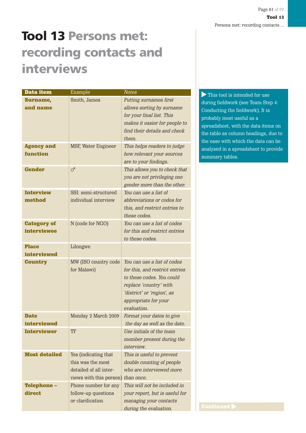# **Tool 13 Persons met: recording contacts and interviews**

| Data item                                | Example                                                                                        | <b>Notes</b>                                                                                                                                                                              | $\blacktriangleright$ This tool is i                                                                        |
|------------------------------------------|------------------------------------------------------------------------------------------------|-------------------------------------------------------------------------------------------------------------------------------------------------------------------------------------------|-------------------------------------------------------------------------------------------------------------|
| Surname,<br>and name                     | Smith, James                                                                                   | Putting surnames first<br>allows sorting by surname<br>for your final list. This<br>makes it easier for people to<br>find their details and check<br>them.                                | during fieldwor<br>Conducting the<br>probably most<br>spreadsheet, w<br>the table as col<br>the ease with w |
| <b>Agency and</b><br>function            | <b>MSF, Water Engineer</b>                                                                     | This helps readers to judge<br>how relevant your sources<br>are to your findings.                                                                                                         | analysed in a s<br>summary table                                                                            |
| <b>Gender</b>                            | $\sigma$                                                                                       | This allows you to check that<br>you are not privileging one<br>gender more than the other.                                                                                               |                                                                                                             |
| <b>Interview</b><br>method               | SSI: semi-structured<br>individual interview                                                   | You can use a list of<br>abbreviations or codes for<br>this, and restrict entries to<br>these codes.                                                                                      |                                                                                                             |
| <b>Category of</b><br><b>interviewee</b> | N (code for NGO)                                                                               | You can use a list of codes<br>for this and restrict entries<br>to these codes.                                                                                                           |                                                                                                             |
| <b>Place</b><br><b>interviewed</b>       | Lilongwe                                                                                       |                                                                                                                                                                                           |                                                                                                             |
| <b>Country</b>                           | MW (ISO country code<br>for Malawi)                                                            | You can use a list of codes<br>for this, and restrict entries<br>to these codes. You could<br>replace 'country' with<br>'district' or 'region', as<br>appropriate for your<br>evaluation. |                                                                                                             |
| <b>Date</b><br>interviewed               | Monday 2 March 2009                                                                            | Format your dates to give<br>the day as well as the date.                                                                                                                                 |                                                                                                             |
| <b>Interviewer</b>                       | TF                                                                                             | Use initials of the team<br>member present during the<br>interview.                                                                                                                       |                                                                                                             |
| <b>Most detailed</b>                     | Yes (indicating that<br>this was the most<br>detailed of all inter-<br>views with this person) | This is useful to prevent<br>double counting of people<br>who are interviewed more<br>than once.                                                                                          |                                                                                                             |
| <b>Telephone -</b><br>direct             | Phone number for any<br>follow-up questions<br>or clarification                                | This will not be included in<br>your report, but is useful for<br>managing your contacts<br>during the evaluation.                                                                        | <b>Continued</b>                                                                                            |

This tool is intended for use during fieldwork (see Team Step 4: Conducting the fieldwork). It is probably most useful as a spreadsheet, with the data items on the table as column headings, due to the ease with which the data can be analysed in a spreadsheet to provide summary tables.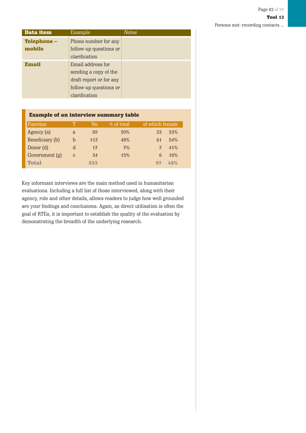Persons met: recording contacts ...

| Data item          | Example                 | Notes |
|--------------------|-------------------------|-------|
| <b>Telephone -</b> | Phone number for any    |       |
| mobile             | follow-up questions or  |       |
|                    | clarification           |       |
| <b>Email</b>       | Email address for       |       |
|                    | sending a copy of the   |       |
|                    | draft report or for any |       |
|                    | follow-up questions or  |       |
|                    | clarification           |       |

#### Example of an interview summary table

| Function        |               | No  | % of total | of which female |
|-----------------|---------------|-----|------------|-----------------|
| Agency (a)      | a             | 69  | 30%        | 33%<br>23       |
| Beneficiary (b) | h             | 113 | 48%        | 54%<br>61       |
| Donor (d)       | d             | 17  | 7%         | 41%<br>7        |
| Government (g)  | $\mathcal{C}$ | 34  | 15%        | 18%             |
| <b>Total</b>    |               | 233 |            | 42%<br>97       |

Key informant interviews are the main method used in humanitarian evaluations. Including a full list of those interviewed, along with their agency, role and other details, allows readers to judge how well grounded are your findings and conclusions. Again, as direct utilisation is often the goal of RTEs, it is important to establish the quality of the evaluation by demonstrating the breadth of the underlying research.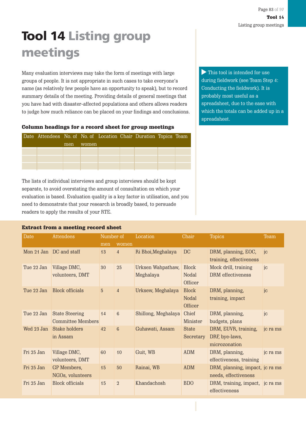# **Tool 14 Listing group meetings**

Many evaluation interviews may take the form of meetings with large groups of people. It is not appropriate in such cases to take everyone's name (as relatively few people have an opportunity to speak), but to record summary details of the meeting. Providing details of general meetings that you have had with disaster-affected populations and others allows readers to judge how much reliance can be placed on your findings and conclusions.

Column headings for a record sheet for group meetings

| Date Attendees No. of No. of Location Chair Duration Topics Team |     |       |  |  |  |
|------------------------------------------------------------------|-----|-------|--|--|--|
|                                                                  | men | women |  |  |  |
|                                                                  |     |       |  |  |  |
|                                                                  |     |       |  |  |  |
|                                                                  |     |       |  |  |  |

The lists of individual interviews and group interviews should be kept separate, to avoid overstating the amount of consultation on which your evaluation is based. Evaluation quality is a key factor in utilisation, and you need to demonstrate that your research is broadly based, to persuade readers to apply the results of your RTE.

#### Extract from a meeting record sheet

This tool is intended for use during fieldwork (see Team Step 4: Conducting the fieldwork). It is probably most useful as a spreadsheet, due to the ease with which the totals can be added up in a spreadsheet.

| Date       | Attendees                                         | Number of |                 | Location                       | Chair                            | <b>Topics</b>                                           | Team     |
|------------|---------------------------------------------------|-----------|-----------------|--------------------------------|----------------------------------|---------------------------------------------------------|----------|
|            |                                                   | men       | women           |                                |                                  |                                                         |          |
|            | Mon 21 Jan DC and staff                           | 13        | $\overline{4}$  | Ri Bhoi, Meghalaya             | DC                               | DRM, planning, EOC,<br>training, effectiveness          | ic       |
| Tue 22 Jan | Village DMC,<br>volunteers, DMT                   | 30        | 25              | Urksen Wahpathaw,<br>Meghalaya | <b>Block</b><br>Nodal<br>Officer | Mock drill, training<br>DRM effectiveness               | ic       |
| Tue 22 Jan | <b>Block officials</b>                            | 5         | $\overline{4}$  | Urksew, Meghalaya              | <b>Block</b><br>Nodal<br>Officer | DRM, planning,<br>training, impact                      | jc       |
| Tue 22 Jan | <b>State Steering</b><br><b>Committee Members</b> | 14        | $6\phantom{1}$  | Shillong, Meghalaya            | Chief<br>Minister                | DRM, planning,<br>budgets, plans                        | ic       |
| Wed 23 Jan | Stake holders<br>in Assam                         | 49        | $6\overline{6}$ | Guhawati, Assam                | <b>State</b><br>Secretary        | DRM, EUVR, training,<br>DRF, bye-laws,<br>microzonation | jc ra ms |
| Fri 25 Jan | Village DMC,<br>volunteers, DMT                   | 60        | 10              | Guit, WB                       | <b>ADM</b>                       | DRM, planning,<br>effectiveness, training               | jc ra ms |
| Fri 25 Jan | GP Members,<br>NGOs, volunteers                   | 15        | 50              | Rainai, WB                     | <b>ADM</b>                       | DRM, planning, impact, jc ra ms<br>needs, effectiveness |          |
| Fri 25 Jan | <b>Block officials</b>                            | 15        | $\overline{2}$  | Khandachosh                    | B <sub>D</sub> O                 | DRM, training, impact, jc ra ms<br>effectiveness        |          |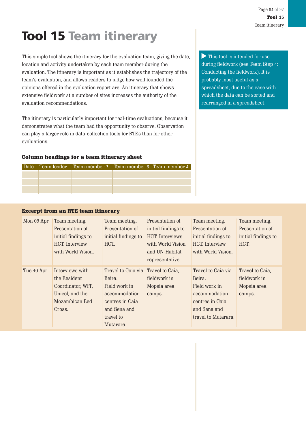# **Tool 15 Team itinerary**

This simple tool shows the itinerary for the evaluation team, giving the date, location and activity undertaken by each team member during the evaluation. The itinerary is important as it establishes the trajectory of the team's evaluation, and allows readers to judge how well founded the opinions offered in the evaluation report are. An itinerary that shows extensive fieldwork at a number of sites increases the authority of the evaluation recommendations.

The itinerary is particularly important for real-time evaluations, because it demonstrates what the team had the opportunity to observe. Observation can play a larger role in data-collection tools for RTEs than for other evaluations.

#### Column headings for a team itinerary sheet

|  | Date Team leader Team member 2 Team member 3 Team member 4 |  |
|--|------------------------------------------------------------|--|
|  |                                                            |  |
|  |                                                            |  |
|  |                                                            |  |

This tool is intended for use during fieldwork (see Team Step 4: Conducting the fieldwork). It is probably most useful as a spreadsheet, due to the ease with which the data can be sorted and rearranged in a spreadsheet.

#### Excerpt from an RTE team itinerary

| Mon 09 Apr | Team meeting.<br>Presentation of<br>initial findings to<br>HCT. Interview<br>with World Vision.     | Team meeting.<br>Presentation of<br>initial findings to<br>HCT.                                                                             | Presentation of<br>initial findings to<br>HCT. Interviews<br>with World Vision<br>and UN-Habitat<br>representative. | Team meeting.<br>Presentation of<br>initial findings to<br>HCT. Interview<br>with World Vision.                          | Team meeting.<br>Presentation of<br>initial findings to<br>HCT. |
|------------|-----------------------------------------------------------------------------------------------------|---------------------------------------------------------------------------------------------------------------------------------------------|---------------------------------------------------------------------------------------------------------------------|--------------------------------------------------------------------------------------------------------------------------|-----------------------------------------------------------------|
| Tue 10 Apr | Interviews with<br>the Resident<br>Coordinator, WFP,<br>Unicef, and the<br>Mozambican Red<br>Cross. | Travel to Caia via Travel to Caia,<br>Beira.<br>Field work in<br>accommodation<br>centres in Caia<br>and Sena and<br>travel to<br>Mutarara. | fieldwork in<br>Mopeia area<br>camps.                                                                               | Travel to Caia via<br>Beira.<br>Field work in<br>accommodation<br>centres in Caia<br>and Sena and<br>travel to Mutarara. | Travel to Caia,<br>fieldwork in<br>Mopeia area<br>camps.        |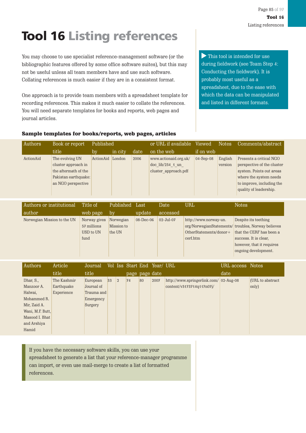# **Tool 16 Listing references**

You may choose to use specialist reference-management software (or the bibliographic features offered by some office software suites), but this may not be useful unless all team members have and use such software. Collating references is much easier if they are in a consistent format.

One approach is to provide team members with a spreadsheet template for recording references. This makes it much easier to collate the references. You will need separate templates for books and reports, web pages and journal articles.

This tool is intended for use during fieldwork (see Team Step 4: Conducting the fieldwork). It is probably most useful as a spreadsheet, due to the ease with which the data can be manipulated and listed in different formats.

#### Sample templates for books/reports, web pages, articles

| Authors   | Book or report       | Published |         | or URL if available<br>Viewed |                                   | <b>Notes</b> | Comments/abstract |                            |
|-----------|----------------------|-----------|---------|-------------------------------|-----------------------------------|--------------|-------------------|----------------------------|
|           | title                | 'by       | in city | date                          | on the web                        | if on web    |                   |                            |
| ActionAid | The evolving UN      | ActionAid | London  | 2006                          | www.actionaid.org.uk/             | $04-Sep-08$  | English           | Presents a critical NGO    |
|           | cluster approach in  |           |         |                               | $\frac{\text{doc lib}}{234}$ 1 un |              | version           | perspective of the cluster |
|           | the aftermath of the |           |         |                               | cluster approach.pdf              |              |                   | system. Points out areas   |
|           | Pakistan earthquake: |           |         |                               |                                   |              |                   | where the system needs     |
|           | an NGO perspective   |           |         |                               |                                   |              |                   | to improve, including the  |
|           |                      |           |         |                               |                                   |              |                   | quality of leadership.     |

| Authors or institutional    | Title of     | Published  | Last            | Date         | URL                                                | <b>Notes</b>              |
|-----------------------------|--------------|------------|-----------------|--------------|----------------------------------------------------|---------------------------|
| author                      | web page     | by         | update          | accessed     |                                                    |                           |
| Norwegian Mission to the UN | Norway gives | Norwegian  | $08 - Dec - 06$ | $02$ -Jul-07 | http://www.norway-un.                              | Despite its teething      |
|                             | 57 millions  | Mission to |                 |              | org/NorwegianStatements/ troubles, Norway believes |                           |
|                             | USD to UN    | the UN     |                 |              | OtherStatements/donor+                             | that the CERF has been a  |
|                             | fund         |            |                 |              | cerf.htm                                           | success. It is clear,     |
|                             |              |            |                 |              |                                                    | however, that it requires |
|                             |              |            |                 |              |                                                    | ongoing development.      |
|                             |              |            |                 |              |                                                    |                           |

| Authors          | Article     | Journal    |    |                |                |    | Vol Iss Start End Year/ URL |                                        | URL access Notes |                  |
|------------------|-------------|------------|----|----------------|----------------|----|-----------------------------|----------------------------------------|------------------|------------------|
|                  | title       | title      |    |                | page page date |    |                             |                                        | date             |                  |
| Dhar, S.,        | The Kashmir | European   | 33 | $\overline{2}$ | 74             | 80 | 2007                        | http://www.springerlink.com/ 02-Aug-08 |                  | (URL to abstract |
| Manzoor A.       | Earthquake  | Journal of |    |                |                |    |                             | content/v3173714q117n07j/              |                  | only)            |
| Halwai,          | Experience  | Trauma and |    |                |                |    |                             |                                        |                  |                  |
| Mohammed R.      |             | Emergency  |    |                |                |    |                             |                                        |                  |                  |
| Mir, Zaid A.     |             | Surgery    |    |                |                |    |                             |                                        |                  |                  |
| Wani, M.F. Butt, |             |            |    |                |                |    |                             |                                        |                  |                  |
| Masood I. Bhat   |             |            |    |                |                |    |                             |                                        |                  |                  |
| and Arshiya      |             |            |    |                |                |    |                             |                                        |                  |                  |
| Hamid            |             |            |    |                |                |    |                             |                                        |                  |                  |

If you have the necessary software skills, you can use your spreadsheet to generate a list that your reference-manager programme can import, or even use mail-merge to create a list of formatted references.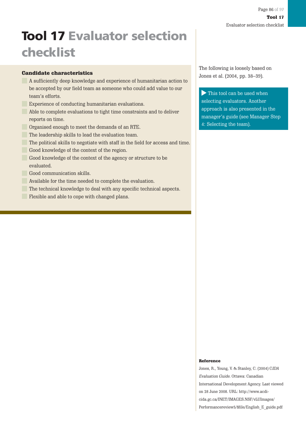# **Tool 17 Evaluator selection checklist**

#### Candidate characteristics

- A sufficiently deep knowledge and experience of humanitarian action to be accepted by our field team as someone who could add value to our team's efforts.
- Experience of conducting humanitarian evaluations.
- Able to complete evaluations to tight time constraints and to deliver reports on time.
	- Organised enough to meet the demands of an RTE.
	- The leadership skills to lead the evaluation team.
- The political skills to negotiate with staff in the field for access and time.
	- Good knowledge of the context of the region.
- Good knowledge of the context of the agency or structure to be evaluated.
	- Good communication skills.
	- Available for the time needed to complete the evaluation.
	- The technical knowledge to deal with any specific technical aspects.
	- Flexible and able to cope with changed plans.

The following is loosely based on Jones et al. (2004, pp. 38–39).

This tool can be used when selecting evaluators. Another approach is also presented in the manager's guide (see Manager Step 4: Selecting the team).

#### Reference

Jones, R., Young, V. & Stanley, C. (2004) CIDA Evaluation Guide. Ottawa: Canadian International Development Agency. Last viewed on 28 June 2008. URL: http://www.acdicida.gc.ca/INET/IMAGES.NSF/vLUImages/ Performancereview5/\$file/English\_E\_guide.pdf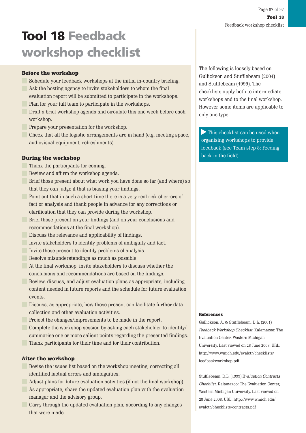## **Tool 18 Feedback workshop checklist**

#### Before the workshop

- Schedule your feedback workshops at the initial in-country briefing. Ask the hosting agency to invite stakeholders to whom the final
- evaluation report will be submitted to participate in the workshops. **Plan for your full team to participate in the workshops.**
- **Draft a brief workshop agenda and circulate this one week before each** workshop.
- **Prepare your presentation for the workshop.**
- Check that all the logistic arrangements are in hand (e.g. meeting space, audiovisual equipment, refreshments).

#### During the workshop

- Thank the participants for coming.
- Review and affirm the workshop agenda.
- Brief those present about what work you have done so far (and where) so that they can judge if that is biasing your findings.
	- Point out that in such a short time there is a very real risk of errors of fact or analysis and thank people in advance for any corrections or clarification that they can provide during the workshop.
	- Brief those present on your findings (and on your conclusions and recommendations at the final workshop).
- **Discuss the relevance and applicability of findings.** 
	- Invite stakeholders to identify problems of ambiguity and fact.
- Invite those present to identify problems of analysis.
- Resolve misunderstandings as much as possible.
- At the final workshop, invite stakeholders to discuss whether the conclusions and recommendations are based on the findings.
	- Review, discuss, and adjust evaluation plans as appropriate, including content needed in future reports and the schedule for future evaluation events.
- **Discuss, as appropriate, how those present can facilitate further data** collection and other evaluation activities.
- **Project the changes/improvements to be made in the report.**
- Complete the workshop session by asking each stakeholder to identify/ summarise one or more salient points regarding the presented findings. Thank participants for their time and for their contribution.

#### After the workshop

- Revise the issues list based on the workshop meeting, correcting all identified factual errors and ambiguities.
- Adjust plans for future evaluation activities (if not the final workshop). As appropriate, share the updated evaluation plan with the evaluation manager and the advisory group.
	- Carry through the updated evaluation plan, according to any changes that were made.

The following is loosely based on Gullickson and Stufflebeam (2001) and Stufflebeam (1999). The checklists apply both to intermediate workshops and to the final workshop. However some items are applicable to only one type.

This checklist can be used when organising workshops to provide feedback (see Team step 8: Feeding back in the field).

#### References

Gullickson, A. & Stufflebeam, D.L. (2001) Feedback Workshop Checklist. Kalamazoo: The Evaluation Center, Western Michigan University. Last viewed on 28 June 2008. URL: http://www.wmich.edu/evalctr/checklists/ feedbackworkshop.pdf

Stufflebeam, D.L. (1999) Evaluation Contracts Checklist. Kalamazoo: The Evaluation Center, Western Michigan University. Last viewed on 28 June 2008. URL: http://www.wmich.edu/ evalctr/checklists/contracts.pdf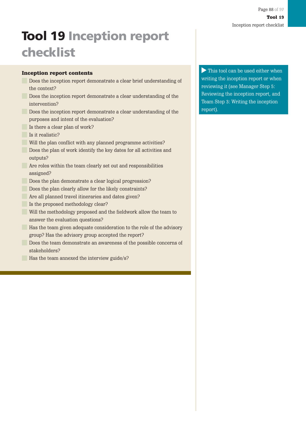# **Tool 19 Inception report checklist**

#### Inception report contents

- Does the inception report demonstrate a clear brief understanding of the context?
- **Does the inception report demonstrate a clear understanding of the** intervention?
- **Does the inception report demonstrate a clear understanding of the** purposes and intent of the evaluation?
- Is there a clear plan of work?
- Is it realistic?
- Will the plan conflict with any planned programme activities?
- **Does the plan of work identify the key dates for all activities and** outputs?
- Are roles within the team clearly set out and responsibilities assigned?
- Does the plan demonstrate a clear logical progression?
- Does the plan clearly allow for the likely constraints?
	- Are all planned travel itineraries and dates given?
- Is the proposed methodology clear?
- Will the methodology proposed and the fieldwork allow the team to answer the evaluation questions?
- **Has the team given adequate consideration to the role of the advisory** group? Has the advisory group accepted the report?
	- Does the team demonstrate an awareness of the possible concerns of stakeholders?
- Has the team annexed the interview guide/s?

This tool can be used either when writing the inception report or when reviewing it (see Manager Step 5: Reviewing the inception report, and Team Step 3: Writing the inception report).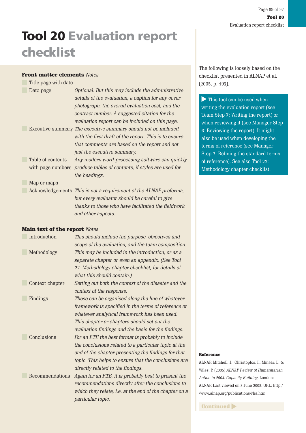## **Tool 20 Evaluation report checklist**

#### Front matter elements Notes

| Title page with date |                                                                                                                                                                                                                               |
|----------------------|-------------------------------------------------------------------------------------------------------------------------------------------------------------------------------------------------------------------------------|
| Data page            | Optional. But this may include the administrative                                                                                                                                                                             |
|                      | details of the evaluation, a caption for any cover                                                                                                                                                                            |
|                      | photograph, the overall evaluation cost, and the                                                                                                                                                                              |
|                      | contract number. A suggested citation for the                                                                                                                                                                                 |
|                      | evaluation report can be included on this page.                                                                                                                                                                               |
|                      | Executive summary <i>The executive summary should not be included</i>                                                                                                                                                         |
|                      | with the first draft of the report. This is to ensure                                                                                                                                                                         |
|                      | that comments are based on the report and not                                                                                                                                                                                 |
|                      | just the executive summary.                                                                                                                                                                                                   |
| Table of contents    | Any modern word-processing software can quickly                                                                                                                                                                               |
|                      | with page numbers <i>produce tables of contents, if styles are used for</i>                                                                                                                                                   |
|                      | the headings.                                                                                                                                                                                                                 |
| Map or maps          |                                                                                                                                                                                                                               |
|                      | Acknowledgements This is not a requirement of the ALNAP proforma,                                                                                                                                                             |
|                      | $k$ are assessed to the set of the set of $k$ and $k$ and $k$ and $k$ and $k$ and $k$ and $k$ and $k$ and $k$ and $k$ and $k$ and $k$ and $k$ and $k$ and $k$ and $k$ and $k$ and $k$ and $k$ and $k$ and $k$ and $k$ and $k$ |

but every evaluator should be careful to give thanks to those who have facilitated the fieldwork and other aspects.

#### Main text of the report Notes

| Introduction    | This should include the purpose, objectives and        |
|-----------------|--------------------------------------------------------|
|                 | scope of the evaluation, and the team composition.     |
| Methodology     | This may be included in the introduction, or as a      |
|                 | separate chapter or even an appendix. (See Tool        |
|                 | 22: Methodology chapter checklist, for details of      |
|                 | what this should contain.)                             |
| Context chapter | Setting out both the context of the disaster and the   |
|                 | context of the response.                               |
| Findings        | These can be organised along the line of whatever      |
|                 | framework is specified in the terms of reference or    |
|                 | whatever analytical framework has been used.           |
|                 | This chapter or chapters should set out the            |
|                 | evaluation findings and the basis for the findings.    |
| Conclusions     | For an RTE the best format is probably to include      |
|                 | the conclusions related to a particular topic at the   |
|                 | end of the chapter presenting the findings for that    |
|                 | topic. This helps to ensure that the conclusions are   |
|                 | directly related to the findings.                      |
| Recommendations | Again for an RTE, it is probably best to present the   |
|                 | recommendations directly after the conclusions to      |
|                 | which they relate, i.e. at the end of the chapter on a |
|                 | particular topic.                                      |
|                 |                                                        |

The following is loosely based on the checklist presented in ALNAP et al. (2005, p. 192).

This tool can be used when writing the evaluation report (see Team Step 7: Writing the report) or when reviewing it (see Manager Step 6: Reviewing the report). It might also be used when developing the terms of reference (see Manager Step 2: Refining the standard terms of reference). See also Tool 22: Methodology chapter checklist.

#### Reference

ALNAP, Mitchell, J., Christoplos, I., Minear, L. & Wiles, P. (2005) ALNAP Review of Humanitarian Action in 2004: Capacity Building. London: ALNAP. Last viewed on 8 June 2008. URL: http:/ /www.alnap.org/publications/rha.htm

Continued  $\blacktriangleright$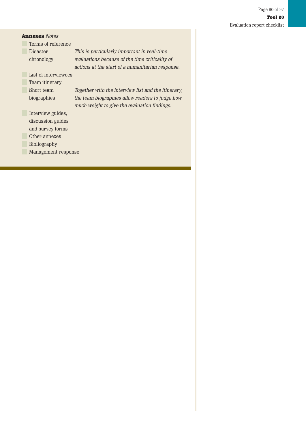| <b>Annexes</b> Notes |                      |                                                     |  |  |  |
|----------------------|----------------------|-----------------------------------------------------|--|--|--|
|                      | Terms of reference   |                                                     |  |  |  |
|                      | Disaster             | This is particularly important in real-time         |  |  |  |
|                      | chronology           | evaluations because of the time criticality of      |  |  |  |
|                      |                      | actions at the start of a humanitarian response.    |  |  |  |
|                      | List of interviewees |                                                     |  |  |  |
|                      | Team itinerary       |                                                     |  |  |  |
|                      | Short team           | Together with the interview list and the itinerary, |  |  |  |
|                      | biographies          | the team biographies allow readers to judge how     |  |  |  |
|                      |                      | much weight to give the evaluation findings.        |  |  |  |
|                      | Interview guides,    |                                                     |  |  |  |
|                      | discussion guides    |                                                     |  |  |  |
|                      | and survey forms     |                                                     |  |  |  |
|                      | Other annexes        |                                                     |  |  |  |
|                      | Bibliography         |                                                     |  |  |  |
|                      | Management response  |                                                     |  |  |  |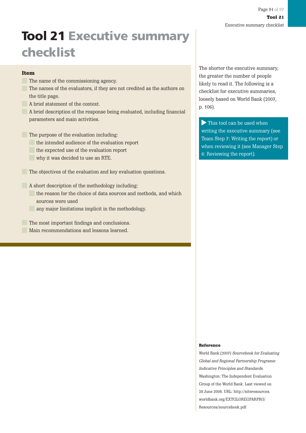## **Tool 21 Executive summary checklist**

#### Item

- The name of the commissioning agency.
- The names of the evaluators, if they are not credited as the authors on the title page.
- A brief statement of the context.
- A brief description of the response being evaluated, including financial parameters and main activities.
- The purpose of the evaluation including:
	- the intended audience of the evaluation report
	- the expected use of the evaluation report
	- why it was decided to use an RTE.
- The objectives of the evaluation and key evaluation questions.
- A short description of the methodology including:
	- the reason for the choice of data sources and methods, and which sources were used
	- any major limitations implicit in the methodology.
	- The most important findings and conclusions. Main recommendations and lessons learned.

The shorter the executive summary, the greater the number of people likely to read it. The following is a checklist for executive summaries, loosely based on World Bank (2007, p. 106).

This tool can be used when writing the executive summary (see Team Step 7: Writing the report) or when reviewing it (see Manager Step 6: Reviewing the report).

#### Reference

World Bank (2007) Sourcebook for Evaluating Global and Regional Partnership Programs: Indicative Principles and Standards. Washington: The Independent Evaluation Group of the World Bank. Last viewed on 28 June 2008. URL: http://siteresources. worldbank.org/EXTGLOREGPARPRO/ Resources/sourcebook.pdf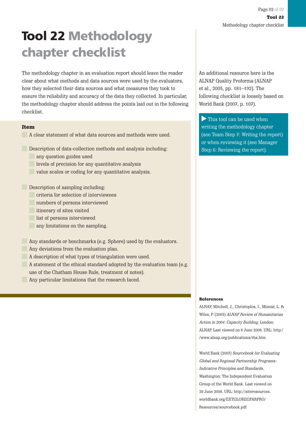## **Tool 22 Methodology chapter checklist**

The methodology chapter in an evaluation report should leave the reader clear about what methods and data sources were used by the evaluators, how they selected their data sources and what measures they took to ensure the reliability and accuracy of the data they collected. In particular, the methodology chapter should address the points laid out in the following checklist.

#### Item

A clear statement of what data sources and methods were used.

Description of data-collection methods and analysis including:

- any question guides used
- levels of precision for any quantitative analysis
- value scales or coding for any quantitative analysis.

**Description of sampling including:** 

- criteria for selection of interviewees
- numbers of persons interviewed
- itinerary of sites visited
- **list of persons interviewed** 
	- any limitations on the sampling.

Any standards or benchmarks (e.g. Sphere) used by the evaluators.

- Any deviations from the evaluation plan.
- A description of what types of triangulation were used.
- A statement of the ethical standard adopted by the evaluation team (e.g. use of the Chatham House Rule, treatment of notes).
	- Any particular limitations that the research faced.

An additional resource here is the ALNAP Quality Proforma (ALNAP et al., 2005, pp. 181–192). The following checklist is loosely based on World Bank (2007, p. 107).

This tool can be used when writing the methodology chapter (see Team Step 7: Writing the report) or when reviewing it (see Manager Step 6: Reviewing the report).

#### **References**

ALNAP, Mitchell, J., Christoplos, I., Minear, L. & Wiles, P. (2005) ALNAP Review of Humanitarian Action in 2004: Capacity Building. London: ALNAP. Last viewed on 8 June 2008. URL: http:/ /www.alnap.org/publications/rha.htm

World Bank (2007) Sourcebook for Evaluating Global and Regional Partnership Programs: Indicative Principles and Standards. Washington: The Independent Evaluation Group of the World Bank. Last viewed on 28 June 2008. URL: http://siteresources. worldbank.org/EXTGLOREGPARPRO/ Resources/sourcebook.pdf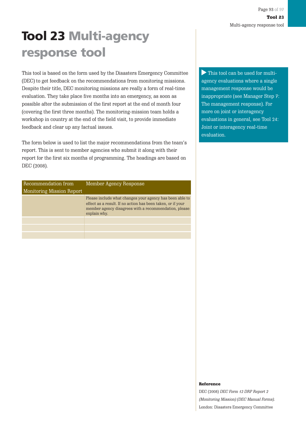# **Tool 23 Multi-agency response tool**

This tool is based on the form used by the Disasters Emergency Committee (DEC) to get feedback on the recommendations from monitoring missions. Despite their title, DEC monitoring missions are really a form of real-time evaluation. They take place five months into an emergency, as soon as possible after the submission of the first report at the end of month four (covering the first three months). The monitoring-mission team holds a workshop in country at the end of the field visit, to provide immediate feedback and clear up any factual issues.

The form below is used to list the major recommendations from the team's report. This is sent to member agencies who submit it along with their report for the first six months of programming. The headings are based on DEC (2008).

| Recommendation from              | Member Agency Response                                                                                                                                                                           |
|----------------------------------|--------------------------------------------------------------------------------------------------------------------------------------------------------------------------------------------------|
| <b>Monitoring Mission Report</b> |                                                                                                                                                                                                  |
|                                  | Please include what changes your agency has been able to<br>effect as a result. If no action has been taken, or if your<br>member agency disagrees with a recommendation, please<br>explain why. |
|                                  |                                                                                                                                                                                                  |
|                                  |                                                                                                                                                                                                  |
|                                  |                                                                                                                                                                                                  |

This tool can be used for multiagency evaluations where a single management response would be inappropriate (see Manager Step 7: The management response). For more on joint or interagency evaluations in general, see Tool 24: Joint or interagency real-time evaluation.

#### Reference

DEC (2008) DEC Form 12 DRP Report 2 (Monitoring Mission) (DEC Manual Forms). London: Disasters Emergency Committee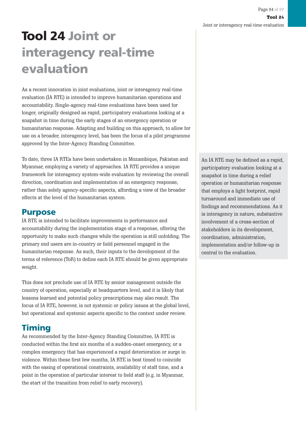# **Tool 24 Joint or interagency real-time evaluation**

As a recent innovation in joint evaluations, joint or interagency real-time evaluation (IA RTE) is intended to improve humanitarian operations and accountability. Single-agency real-time evaluations have been used for longer, originally designed as rapid, participatory evaluations looking at a snapshot in time during the early stages of an emergency operation or humanitarian response. Adapting and building on this approach, to allow for use on a broader, interagency level, has been the focus of a pilot programme approved by the Inter-Agency Standing Committee.

To date, three IA RTEs have been undertaken in Mozambique, Pakistan and Myanmar, employing a variety of approaches. IA RTE provides a unique framework for interagency system-wide evaluation by reviewing the overall direction, coordination and implementation of an emergency response, rather than solely agency-specific aspects, affording a view of the broader effects at the level of the humanitarian system.

### **Purpose**

IA RTE is intended to facilitate improvements in performance and accountability during the implementation stage of a response, offering the opportunity to make such changes while the operation is still unfolding. The primary end users are in-country or field personnel engaged in the humanitarian response. As such, their inputs to the development of the terms of reference (ToR) to define each IA RTE should be given appropriate weight.

This does not preclude use of IA RTE by senior management outside the country of operation, especially at headquarters level, and it is likely that lessons learned and potential policy prescriptions may also result. The focus of IA RTE, however, is not systemic or policy issues at the global level, but operational and systemic aspects specific to the context under review.

### **Timing**

As recommended by the Inter-Agency Standing Committee, IA RTE is conducted within the first six months of a sudden-onset emergency, or a complex emergency that has experienced a rapid deterioration or surge in violence. Within these first few months, IA RTE is best timed to coincide with the easing of operational constraints, availability of staff time, and a point in the operation of particular interest to field staff (e.g. in Myanmar, the start of the transition from relief to early recovery).

An IA RTE may be defined as a rapid, participatory evaluation looking at a snapshot in time during a relief operation or humanitarian response that employs a light footprint, rapid turnaround and immediate use of findings and recommendations. As it is interagency in nature, substantive involvement of a cross-section of stakeholders in its development, coordination, administration, implementation and/or follow-up is central to the evaluation.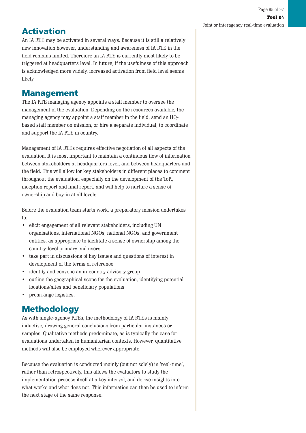## **Activation**

An IA RTE may be activated in several ways. Because it is still a relatively new innovation however, understanding and awareness of IA RTE in the field remains limited. Therefore an IA RTE is currently most likely to be triggered at headquarters level. In future, if the usefulness of this approach is acknowledged more widely, increased activation from field level seems likely.

### **Management**

The IA RTE managing agency appoints a staff member to oversee the management of the evaluation. Depending on the resources available, the managing agency may appoint a staff member in the field, send an HQbased staff member on mission, or hire a separate individual, to coordinate and support the IA RTE in country.

Management of IA RTEs requires effective negotiation of all aspects of the evaluation. It is most important to maintain a continuous flow of information between stakeholders at headquarters level, and between headquarters and the field. This will allow for key stakeholders in different places to comment throughout the evaluation, especially on the development of the ToR, inception report and final report, and will help to nurture a sense of ownership and buy-in at all levels.

Before the evaluation team starts work, a preparatory mission undertakes to:

- elicit engagement of all relevant stakeholders, including UN organisations, international NGOs, national NGOs, and government entities, as appropriate to facilitate a sense of ownership among the country-level primary end users
- take part in discussions of key issues and questions of interest in development of the terms of reference
- identify and convene an in-country advisory group
- outline the geographical scope for the evaluation, identifying potential locations/sites and beneficiary populations
- prearrange logistics.

### **Methodology**

As with single-agency RTEs, the methodology of IA RTEs is mainly inductive, drawing general conclusions from particular instances or samples. Qualitative methods predominate, as is typically the case for evaluations undertaken in humanitarian contexts. However, quantitative methods will also be employed wherever appropriate.

Because the evaluation is conducted mainly (but not solely) in 'real-time', rather than retrospectively, this allows the evaluators to study the implementation process itself at a key interval, and derive insights into what works and what does not. This information can then be used to inform the next stage of the same response.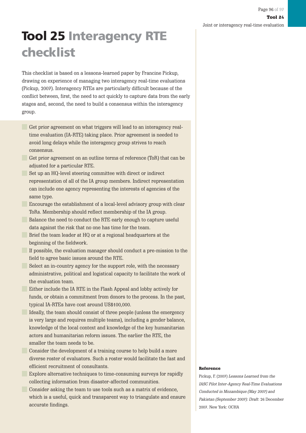## **Tool 25 Interagency RTE checklist**

This checklist is based on a lessons-learned paper by Francine Pickup, drawing on experience of managing two interagency real-time evaluations (Pickup, 2007). Interagency RTEs are particularly difficult because of the conflict between, first, the need to act quickly to capture data from the early stages and, second, the need to build a consensus within the interagency group.

- Get prior agreement on what triggers will lead to an interagency realtime evaluation (IA-RTE) taking place. Prior agreement is needed to avoid long delays while the interagency group strives to reach consensus.
- Get prior agreement on an outline terms of reference (ToR) that can be adjusted for a particular RTE.
	- Set up an HQ-level steering committee with direct or indirect representation of all of the IA group members. Indirect representation can include one agency representing the interests of agencies of the same type.
- Encourage the establishment of a local-level advisory group with clear ToRs. Membership should reflect membership of the IA group.
	- Balance the need to conduct the RTE early enough to capture useful data against the risk that no one has time for the team.
- **Brief the team leader at HO** or at a regional headquarters at the beginning of the fieldwork.
- If possible, the evaluation manager should conduct a pre-mission to the field to agree basic issues around the RTE.
	- Select an in-country agency for the support role, with the necessary administrative, political and logistical capacity to facilitate the work of the evaluation team.
- **Either include the IA RTE in the Flash Appeal and lobby actively for** funds, or obtain a commitment from donors to the process. In the past, typical IA-RTEs have cost around US\$100,000.
	- Ideally, the team should consist of three people (unless the emergency is very large and requires multiple teams), including a gender balance, knowledge of the local context and knowledge of the key humanitarian actors and humanitarian reform issues. The earlier the RTE, the smaller the team needs to be.
	- Consider the development of a training course to help build a more diverse roster of evaluators. Such a roster would facilitate the fast and efficient recruitment of consultants.
- **Explore alternative techniques to time-consuming surveys for rapidly** collecting information from disaster-affected communities.
	- Consider asking the team to use tools such as a matrix of evidence, which is a useful, quick and transparent way to triangulate and ensure accurate findings.

#### Reference

Pickup, F. (2007) Lessons Learned from the IASC Pilot Inter-Agency Real-Time Evaluations Conducted in Mozambique (May 2007) and Pakistan (September 2007): Draft: 26 December 2007. New York: OCHA